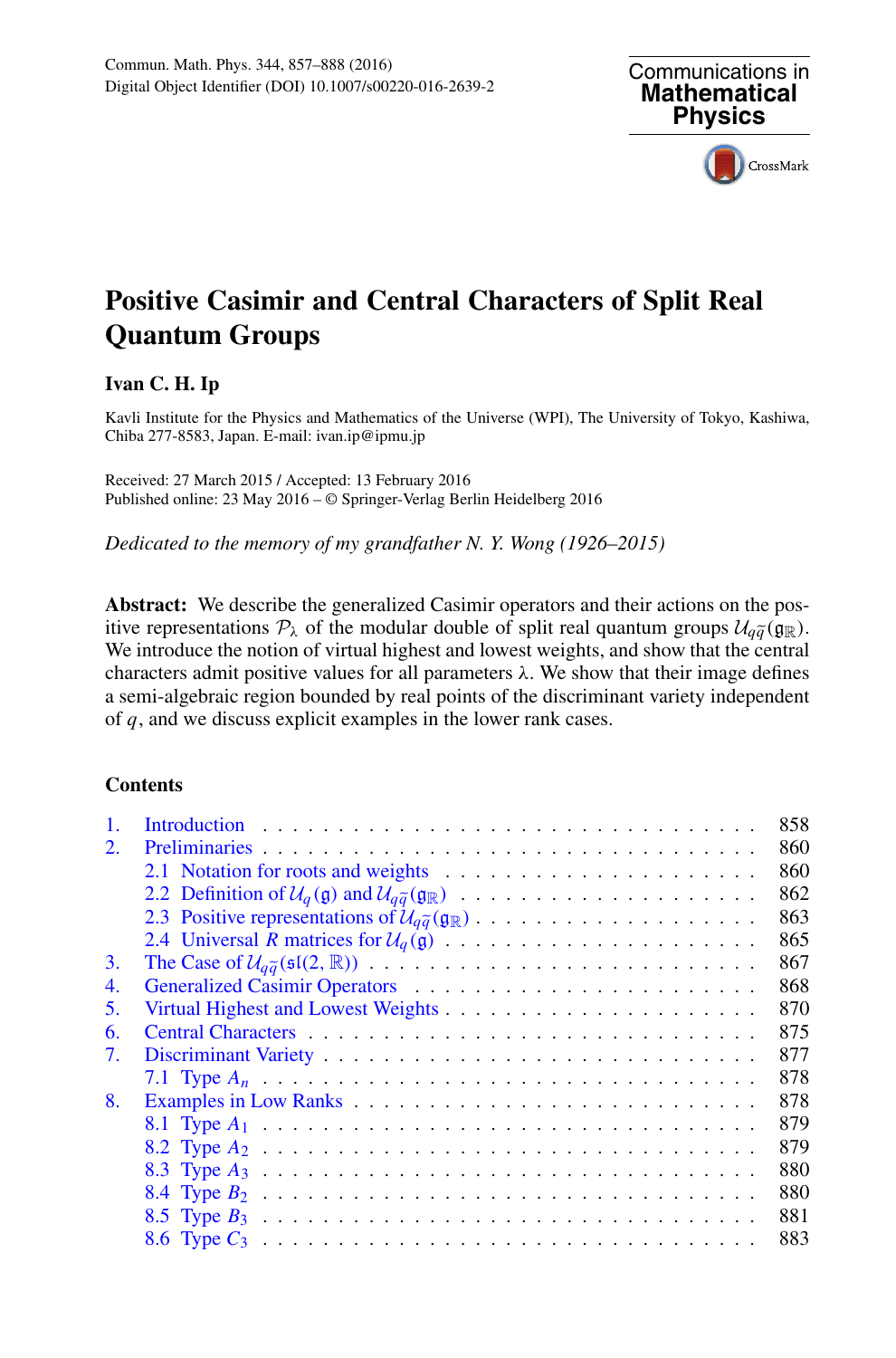

# **Positive Casimir and Central Characters of Split Real Quantum Groups**

# **Ivan C. H. Ip**

Kavli Institute for the Physics and Mathematics of the Universe (WPI), The University of Tokyo, Kashiwa, Chiba 277-8583, Japan. E-mail: ivan.ip@ipmu.jp

Received: 27 March 2015 / Accepted: 13 February 2016 Published online: 23 May 2016 – © Springer-Verlag Berlin Heidelberg 2016

*Dedicated to the memory of my grandfather N. Y. Wong (1926–2015)*

**Abstract:** We describe the generalized Casimir operators and their actions on the pos**is a substract:** We describe the generalized Casimir operators and their actions on the positive representations  $P_{\lambda}$  of the modular double of split real quantum groups  $U_{q\tilde{q}}(g_{\mathbb{R}})$ .<br>We introduce the notion o We introduce the notion of virtual highest and lowest weights, and show that the central characters admit positive values for all parameters  $\lambda$ . We show that their image defines a semi-algebraic region bounded by real points of the discriminant variety independent of *q*, and we discuss explicit examples in the lower rank cases.

# **Contents**

|    |                                                                                                                                       | 858 |
|----|---------------------------------------------------------------------------------------------------------------------------------------|-----|
| 2. |                                                                                                                                       | 860 |
|    |                                                                                                                                       | 860 |
|    |                                                                                                                                       | 862 |
|    | 2.3 Positive representations of $\mathcal{U}_{q\tilde{q}}(\mathfrak{g}_{\mathbb{R}})\ldots \ldots \ldots \ldots \ldots \ldots \ldots$ | 863 |
|    |                                                                                                                                       | 865 |
| 3. |                                                                                                                                       | 867 |
| 4. |                                                                                                                                       | 868 |
| 5. |                                                                                                                                       | 870 |
| 6. |                                                                                                                                       | 875 |
| 7. |                                                                                                                                       | 877 |
|    |                                                                                                                                       | 878 |
| 8. |                                                                                                                                       | 878 |
|    |                                                                                                                                       | 879 |
|    |                                                                                                                                       | 879 |
|    |                                                                                                                                       | 880 |
|    |                                                                                                                                       | 880 |
|    |                                                                                                                                       | 881 |
|    |                                                                                                                                       | 883 |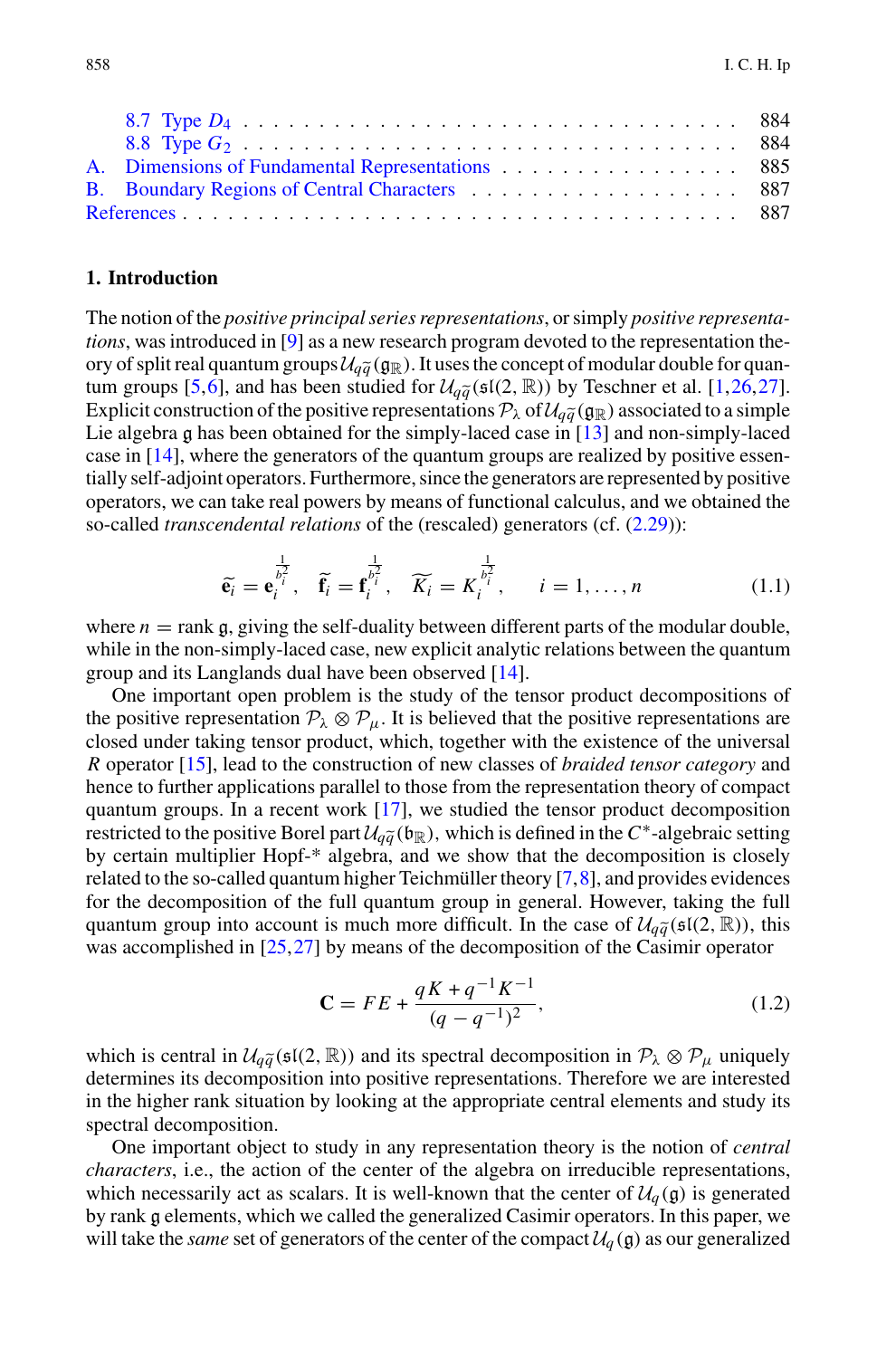| A. Dimensions of Fundamental Representations 885 |  |
|--------------------------------------------------|--|
|                                                  |  |
|                                                  |  |

# <span id="page-1-0"></span>**1. Introduction**

The notion of the *positive principal series representations*, or simply *positive representations*, was introduced in [\[9\]](#page-30-2) as a new research program devoted to the representation theor the notion of the *positive principal s*<br>tions, was introduced in [9] as a new<br>ory of split real quantum groups  $\mathcal{U}_{q\bar{q}}$ ory of split real quantum groups  $\mathcal{U}_{q\tilde{q}}(g_{\mathbb{R}})$ . It uses the concept of modular double for quan-The notion of the *positive principal series representations*, or simply *positive representa-<br><i>tions*, was introduced in [9] as a new research program devoted to the representation the-<br>ory of split real quantum groups Explicit construction of the positive representations  $P_\lambda$  of  $\mathcal{U}_{q\tilde{q}}(g_\mathbb{R})$  associated to a simple Lie algebra g has been obtained for the simply-laced case in [\[13\]](#page-30-6) and non-simply-laced case in [\[14\]](#page-30-7), where the generators of the quantum groups are realized by positive essentially self-adjoint operators. Furthermore, since the generators are represented by positive operators, we can take real powers by means of functional calculus, and we obtained the so-called *transcendental relations* of operators, we can take real powers by means of functional calculus, and we obtained the so-called *transcendental relations* of the (rescaled) generators (cf. [\(2.29\)](#page-6-1)): io<br>1 t<br>en<br>e<sub>i</sub>

$$
\widetilde{\mathbf{e}_i} = \mathbf{e}_i^{\frac{1}{b_i^2}}, \quad \widetilde{\mathbf{f}_i} = \mathbf{f}_i^{\frac{1}{b_i^2}}, \quad \widetilde{K_i} = K_i^{\frac{1}{b_i^2}}, \qquad i = 1, \dots, n
$$
\n(1.1)

where  $n =$  rank  $\mathfrak{g}$ , giving the self-duality between different parts of the modular double, while in the non-simply-laced case, new explicit analytic relations between the quantum group and its Langlands dual have been observed [\[14](#page-30-7)].

One important open problem is the study of the tensor product decompositions of the positive representation  $P_\lambda \otimes P_\mu$ . It is believed that the positive representations are closed under taking tensor product, which, together with the existence of the universal *R* operator [\[15](#page-30-8)], lead to the construction of new classes of *braided tensor category* and hence to further applications parallel to those from the representation theory of compact quantum groups. In a recent work [\[17\]](#page-31-2), we studied the tensor product decomposition *R* operator [15], lead to the construction<br>hence to further applications parallel to<br>quantum groups. In a recent work [17]<br>restricted to the positive Borel part  $\mathcal{U}_{q\tilde{q}}$ *restricted to the positive Borel part*  $\mathcal{U}_{q\tilde{q}}(\mathfrak{b}_{\mathbb{R}})$ *, which is defined in the <i>C*<sup>∗</sup>-algebraic setting by certain multiplier Hopf-\* algebra, and we show that the decomposition is closely related to the so-called quantum higher Teichmüller theory [7,8], and provides evidences for the decomposition of the full quantum group related to the so-called quantum higher Teichmüller theory [\[7](#page-30-9)[,8](#page-30-10)], and provides evidences for the decomposition of the full quantum group in general. However, taking the full quantum group into account is much more difficult. In the case of  $\mathcal{U}_{\tilde{\alpha}}(\mathfrak{sl}(2,\mathbb{R}))$ , this was accomplished in [\[25](#page-31-3)[,27](#page-31-1)] by means of the decomposition of the Casimir operator

$$
\mathbf{C} = FE + \frac{qK + q^{-1}K^{-1}}{(q - q^{-1})^2},\tag{1.2}
$$

 $C = FE + \frac{qK + q^{-1}K^{-1}}{(q - q^{-1})^2}$ , (1.2)<br>which is central in  $U_{q\tilde{q}}(\mathfrak{sl}(2, \mathbb{R}))$  and its spectral decomposition in  $\mathcal{P}_\lambda \otimes \mathcal{P}_\mu$  uniquely<br>determines its decomposition into positive representations. Therefore w determines its decomposition into positive representations. Therefore we are interested in the higher rank situation by looking at the appropriate central elements and study its spectral decomposition.

One important object to study in any representation theory is the notion of *central characters*, i.e., the action of the center of the algebra on irreducible representations, which necessarily act as scalars. It is well-known that the center of  $\mathcal{U}_q(\mathfrak{g})$  is generated by rank g elements, which we called the generalized Casimir operators. In this paper, we will take the *same* set of generators of the center of the compact  $\mathcal{U}_q(\mathfrak{g})$  as our generalized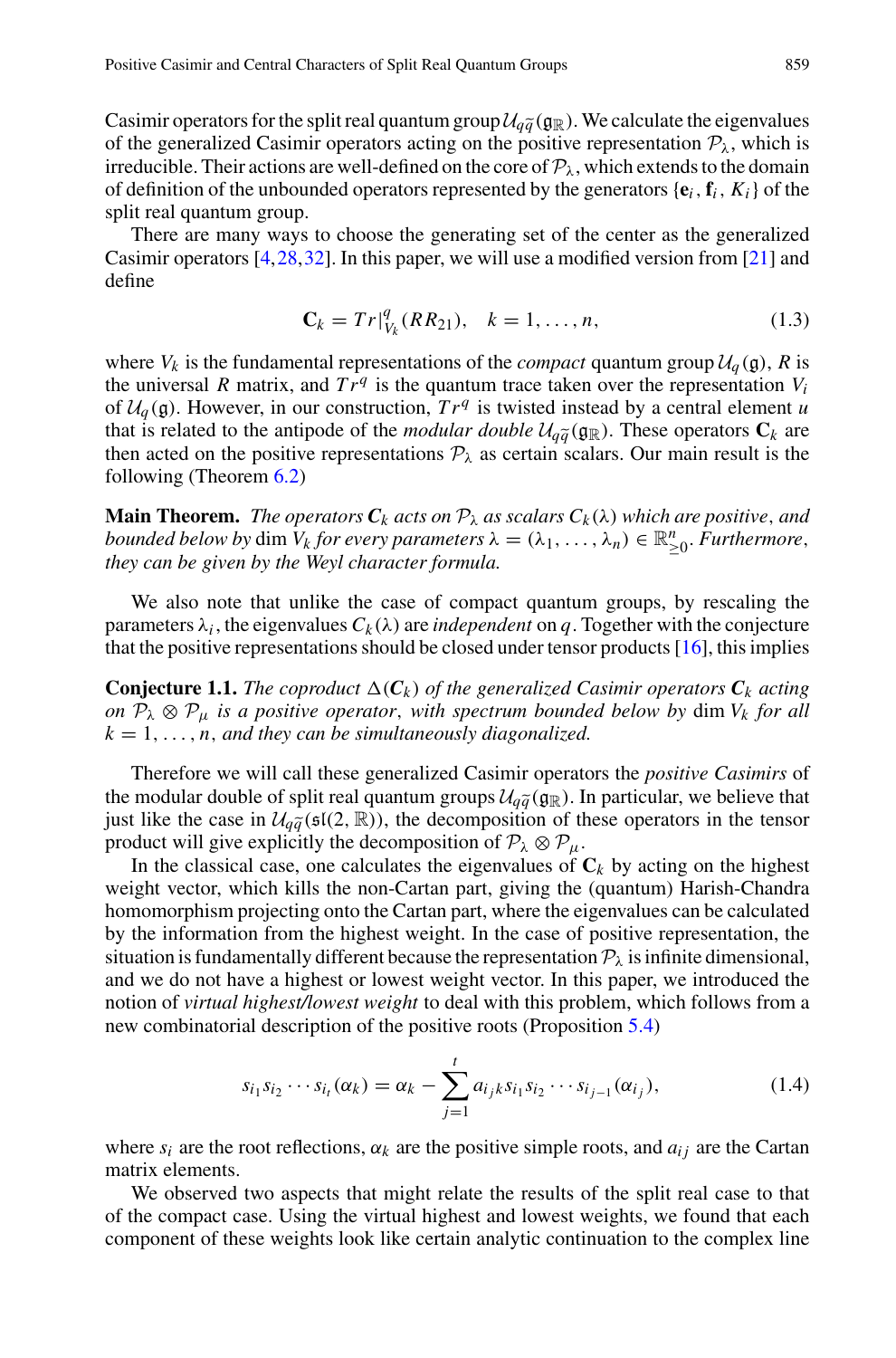Positive Casimir and Central Characters of Split Real Quantum Groups<br>
Casimir operators for the split real quantum group  $U_{q\tilde{q}}(g_{\mathbb{R}})$ . We calculate the eigenvalues<br>
of the generalized Casimir operators acting on of the generalized Casimir operators acting on the positive representation  $P_{\lambda}$ , which is irreducible. Their actions are well-defined on the core of  $P_\lambda$ , which extends to the domain of definition of the unbounded operators represented by the generators  $\{\mathbf{e}_i, \mathbf{f}_i, K_i\}$  of the split real quantum group.

There are many ways to choose the generating set of the center as the generalized Casimir operators [\[4](#page-30-11)[,28](#page-31-4)[,32](#page-31-5)]. In this paper, we will use a modified version from [\[21](#page-31-6)] and define

$$
\mathbf{C}_k = Tr|_{V_k}^q(RR_{21}), \quad k = 1, \dots, n,
$$
\n(1.3)

where  $V_k$  is the fundamental representations of the *compact* quantum group  $U_q(\mathfrak{g})$ , *R* is the universal *R* matrix, and  $Tr^q$  is the quantum trace taken over the representation  $V_i$  of  $U_q(\mathfrak{g})$ . However, in our the universal *R* matrix, and  $Tr<sup>q</sup>$  is the quantum trace taken over the representation  $V<sub>i</sub>$ of  $U_q(\mathfrak{g})$ . However, in our construction,  $Tr^q$  is twisted instead by a central element *u* that is related to the antipode of the *modular double*  $\mathcal{U}_{\alpha\tilde{\alpha}}(\mathfrak{g}_{\mathbb{R}})$ *. These operators*  $C_k$  *are* then acted on the positive representations  $P_{\lambda}$  as certain scalars. Our main result is the following (Theorem [6.2\)](#page-19-0)

**Main Theorem.** *The operators*  $C_k$  *acts on*  $P_\lambda$  *as scalars*  $C_k(\lambda)$  *which are positive, and bounded below by* dim  $V_k$  *for every parameters*  $\lambda = (\lambda_1, \ldots, \lambda_n) \in \mathbb{R}_{\geq 0}^n$ . *Furthermore*, then see he since by the Way character formula *they can be given by the Weyl character formula.*

We also note that unlike the case of compact quantum groups, by rescaling the parameters  $\lambda_i$ , the eigenvalues  $C_k(\lambda)$  are *independent* on *q*. Together with the conjecture that the positive representations should be closed under tensor products  $[16]$  $[16]$ , this implies

**Conjecture 1.1.** The coproduct  $\Delta(C_k)$  of the generalized Casimir operators  $C_k$  acting *on*  $P_\lambda \otimes P_\mu$  *is a positive operator, with spectrum bounded below by* dim  $V_k$  *for all*  $k = 1, \ldots, n$ , and they can be simultaneously diagonalized.

Therefore we will call these generalized Casimir operators the *positive Casimirs* of  $k = 1, ..., n$ , and they can be simultaneously diagonalized.<br>Therefore we will call these generalized Casimir operators the *positive Casimirs* of<br>the modular double of split real quantum groups  $U_{q\tilde{q}}(g_R)$ . In particular, Therefore we will call these generalized Casimir operators the *positive Casimirs* of<br>the modular double of split real quantum groups  $U_{q\tilde{q}}(g_{\mathbb{R}})$ . In particular, we believe that<br>just like the case in  $U_{q\tilde{q}}($ product will give explicitly the decomposition of  $P_\lambda \otimes P_\mu$ .

In the classical case, one calculates the eigenvalues of  $C_k$  by acting on the highest weight vector, which kills the non-Cartan part, giving the (quantum) Harish-Chandra homomorphism projecting onto the Cartan part, where the eigenvalues can be calculated by the information from the highest weight. In the case of positive representation, the situation is fundamentally different because the representation  $P_{\lambda}$  is infinite dimensional, and we do not have a highest or lowest weight vector. In this paper, we introduced the notion of *virtual highest/lowest weight* to deal with this problem, which follows from a new combinatorial description of the positive roots (Proposition [5.4\)](#page-15-0) *si*<sup>1</sup> *si*<sup>2</sup> ···*sit*(α*<sup>k</sup>* ) <sup>=</sup> <sup>α</sup>*<sup>k</sup>* <sup>−</sup>*<sup>t</sup>*

$$
s_{i_1} s_{i_2} \cdots s_{i_t} (\alpha_k) = \alpha_k - \sum_{j=1}^t a_{i_j k} s_{i_1} s_{i_2} \cdots s_{i_{j-1}} (\alpha_{i_j}), \qquad (1.4)
$$

where  $s_i$  are the root reflections,  $\alpha_k$  are the positive simple roots, and  $a_{ij}$  are the Cartan matrix elements.

We observed two aspects that might relate the results of the split real case to that of the compact case. Using the virtual highest and lowest weights, we found that each component of these weights look like certain analytic continuation to the complex line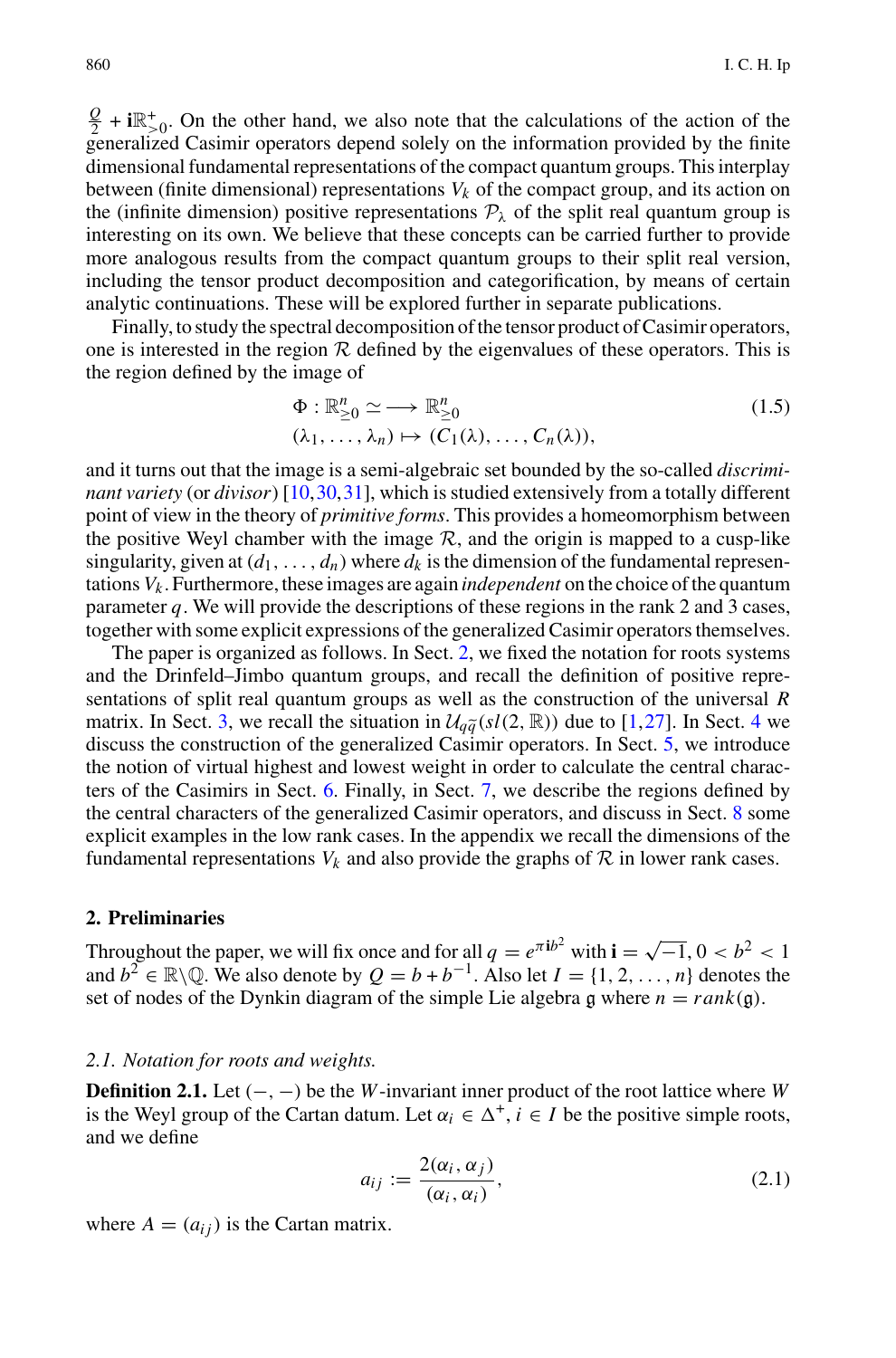$\frac{Q}{2}$  + **i** $\mathbb{R}^+$ <sub>2</sub>. On the other hand, we also note that the calculations of the action of the generalized Casimir operators depend solely on the information provided by the finite dimensional fundamental representations of the compact quantum groups. This interplay between (finite dimensional) representations  $V_k$  of the compact group, and its action on the (infinite dimension) positive representations  $P_{\lambda}$  of the split real quantum group is interesting on its own. We believe that these concepts can be carried further to provide more analogous results from the compact quantum groups to their split real version, including the tensor product decomposition and categorification, by means of certain analytic continuations. These will be explored further in separate publications.

Finally, to study the spectral decomposition of the tensor product of Casimir operators, one is interested in the region  $R$  defined by the eigenvalues of these operators. This is the region defined by the image of

$$
\Phi: \mathbb{R}_{\geq 0}^n \simeq \longrightarrow \mathbb{R}_{\geq 0}^n
$$
\n
$$
(\lambda_1, \dots, \lambda_n) \mapsto (C_1(\lambda), \dots, C_n(\lambda)),
$$
\n
$$
(1.5)
$$

and it turns out that the image is a semi-algebraic set bounded by the so-called *discriminant variety* (or *divisor*) [\[10](#page-30-12)[,30](#page-31-8)[,31](#page-31-9)], which is studied extensively from a totally different point of view in the theory of *primitive forms*. This provides a homeomorphism between the positive Weyl chamber with the image  $R$ , and the origin is mapped to a cusp-like singularity, given at  $(d_1, \ldots, d_n)$  where  $d_k$  is the dimension of the fundamental representations *Vk* . Furthermore, these images are again *independent* on the choice of the quantum parameter *q*. We will provide the descriptions of these regions in the rank 2 and 3 cases, together with some explicit expressions of the generalized Casimir operators themselves.

The paper is organized as follows. In Sect. [2,](#page-3-0) we fixed the notation for roots systems and the Drinfeld–Jimbo quantum groups, and recall the definition of positive representations of split real quantum groups as well as the construction of the universal *R* The paper is organized as follows. In Sect. 2, we fixed the notation for roots systems<br>and the Drinfeld–Jimbo quantum groups, and recall the definition of positive repre-<br>sentations of split real quantum groups as well as discuss the construction of the generalized Casimir operators. In Sect. [5,](#page-13-0) we introduce the notion of virtual highest and lowest weight in order to calculate the central characters of the Casimirs in Sect. [6.](#page-18-0) Finally, in Sect. [7,](#page-20-0) we describe the regions defined by the central characters of the generalized Casimir operators, and discuss in Sect. [8](#page-21-1) some explicit examples in the low rank cases. In the appendix we recall the dimensions of the fundamental representations  $V_k$  and also provide the graphs of  $R$  in lower rank cases.

#### <span id="page-3-0"></span>**2. Preliminaries**

Throughout the paper, we will fix once and for all  $q = e^{\pi i b^2}$  with  $\mathbf{i} = \sqrt{-1}$ ,  $0 < b^2 < 1$ and  $b^2 \in \mathbb{R} \setminus \mathbb{Q}$ . We also denote by  $Q = b + b^{-1}$ . Also let  $I = \{1, 2, ..., n\}$  denotes the set of nodes of the Dynkin diagram of the simple Lie algebra g where  $n = rank(g)$ .

#### <span id="page-3-1"></span>*2.1. Notation for roots and weights.*

**Definition 2.1.** Let (−, −) be the *W*-invariant inner product of the root lattice where *W* is the Weyl group of the Cartan datum. Let  $\alpha_i \in \Delta^+$ ,  $i \in I$  be the positive simple roots, and we define

$$
a_{ij} := \frac{2(\alpha_i, \alpha_j)}{(\alpha_i, \alpha_i)},
$$
\n(2.1)

where  $A = (a_{ij})$  is the Cartan matrix.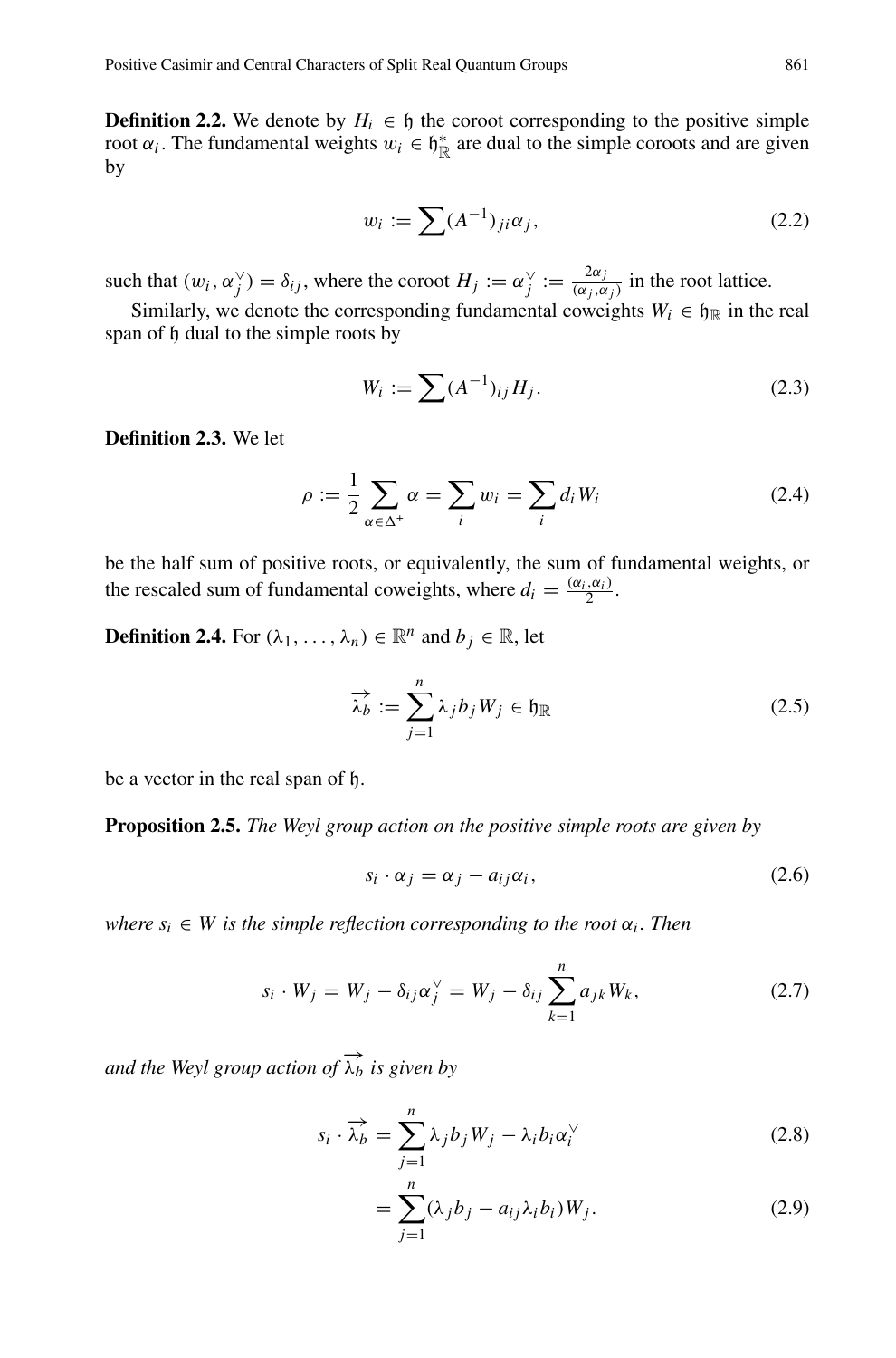<span id="page-4-0"></span>**Definition 2.2.** We denote by  $H_i \in \mathfrak{h}$  the coroot corresponding to the positive simple root  $\alpha_i$ . The fundamental weights  $w_i \in \mathfrak{h}_{\mathbb{R}}^*$  are dual to the simple coroots and are given by by *H<sub>i</sub>* ∈ *h* the coroot corresponding to the positive simple<br>ts  $w_i \in h_{\mathbb{R}}^*$  are dual to the simple coroots and are given<br> $w_i := \sum (A^{-1})_{ji} \alpha_j$ , (2.2)

$$
w_i := \sum (A^{-1})_{ji} \alpha_j,\tag{2.2}
$$

such that  $(w_i, \alpha_j^{\vee}) = \delta_{ij}$ , where the coroot  $H_j := \alpha_j^{\vee} := \frac{2\alpha_j}{(\alpha_j, \alpha_j)}$  in the root lattice.

Similarly, we denote the corresponding fundamental coweights  $W_i \in \mathfrak{h}_\mathbb{R}$  in the real span of h dual to the simple roots by *w*: the coroot  $H_j := \alpha_j^{\vee} := \frac{2\alpha_j}{(\alpha_j, \alpha_j)}$  in the root lattice.<br>
responding fundamental coweights  $W_i \in \mathfrak{h}_{\mathbb{R}}$  in the real<br>
ts by<br>  $W_i := \sum (A^{-1})_{ij} H_j.$  (2.3)

$$
W_i := \sum (A^{-1})_{ij} H_j.
$$
\n
$$
\sum \alpha = \sum w_i = \sum d_i W_i
$$
\n(2.3)

**Definition 2.3.** We let

$$
\rho := \frac{1}{2} \sum_{\alpha \in \Delta^+} \alpha = \sum_i w_i = \sum_i d_i W_i \tag{2.4}
$$

be the half sum of positive roots, or equivalently, the sum of fundamental weights, or the rescaled sum of fundamental coweights, where  $d_i = \frac{(\alpha_i, \alpha_i)}{2}$ .<br> **Definition 2.4.** For  $(\lambda_1, ..., \lambda_n) \in \mathbb{R}^n$  and  $b_j \in \mathbb{R}$ , let<br>  $\overrightarrow{\lambda_b} := \sum^n \lambda_j b_j W_j \in \mathfrak{h}_{\mathbb{R}}$ 

**Definition 2.4.** For  $(\lambda_1, \ldots, \lambda_n) \in \mathbb{R}^n$  and  $b_j \in \mathbb{R}$ , let

$$
\overrightarrow{\lambda_b} := \sum_{j=1}^n \lambda_j b_j W_j \in \mathfrak{h}_{\mathbb{R}}
$$
 (2.5)

<span id="page-4-1"></span>be a vector in the real span of h.

**Proposition 2.5.** *The Weyl group action on the positive simple roots are given by*

$$
s_i \cdot \alpha_j = \alpha_j - a_{ij}\alpha_i, \qquad (2.6)
$$

 $where s_i \in W$  *is the simple reflection corresponding to the root*  $\alpha_i$ *. Then* 

$$
s_i \cdot \alpha_j = \alpha_j - a_{ij}\alpha_i,
$$
\n
$$
e \text{ simple reflection corresponding to the root } \alpha_i. \text{ Then}
$$
\n
$$
s_i \cdot W_j = W_j - \delta_{ij}\alpha_j^{\vee} = W_j - \delta_{ij}\sum_{k=1}^n a_{jk}W_k,
$$
\n
$$
(2.7)
$$

<span id="page-4-2"></span>and the Weyl group action of  $\overrightarrow{\lambda_b}$  is given by

$$
\overrightarrow{a_{j}} \overrightarrow{b_{k}} \text{ is given by}
$$
\n
$$
s_{i} \cdot \overrightarrow{\lambda_{b}} = \sum_{j=1}^{n} \lambda_{j} b_{j} W_{j} - \lambda_{i} b_{i} \alpha_{i}^{V}
$$
\n
$$
= \sum_{j=1}^{n} (\lambda_{j} b_{j} - a_{ij} \lambda_{i} b_{i}) W_{j}.
$$
\n(2.9)

$$
= \sum_{j=1}^{n} (\lambda_j b_j - a_{ij} \lambda_i b_i) W_j.
$$
 (2.9)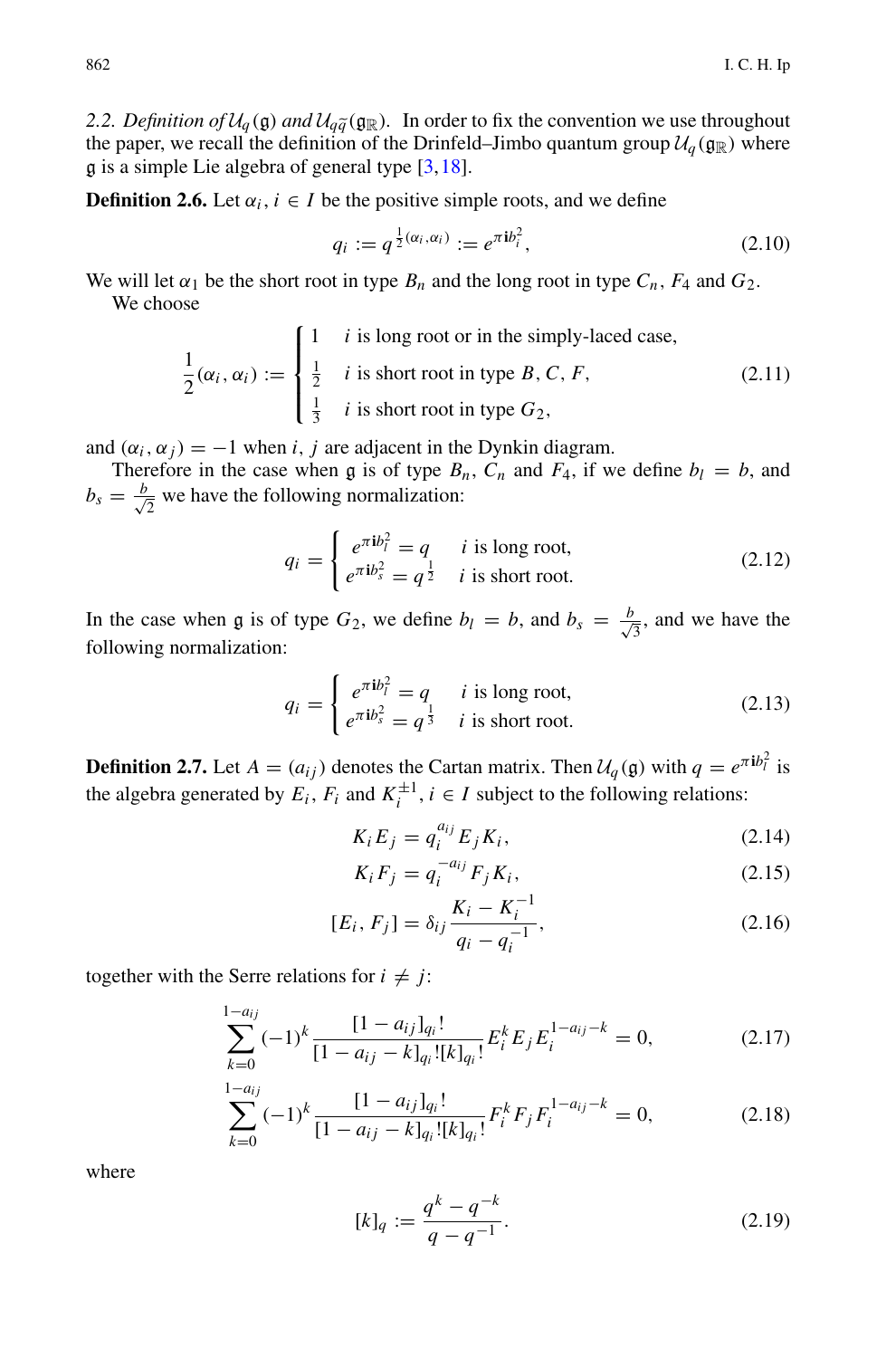<span id="page-5-0"></span>*2.2. Definition of*  $U_q(\mathfrak{g})$  *and*  $U_q\tilde{q}(\mathfrak{g}_\mathbb{R})$ . In order to fix the convention we use throughout the paper. we recall the definition of the Drinfeld–Jimbo quantum group  $U_q(\mathfrak{a}_\mathbb{R})$  where the paper, we recall the definition of the Drinfeld–Jimbo quantum group  $\mathcal{U}_q(\mathfrak{g}_{\mathbb{R}})$  where  $\alpha$  is a simple Lie algebra of general type [\[3](#page-30-13)[,18](#page-31-10)].

**Definition 2.6.** Let  $\alpha_i$ ,  $i \in I$  be the positive simple roots, and we define

<span id="page-5-1"></span>
$$
q_i := q^{\frac{1}{2}(\alpha_i, \alpha_i)} := e^{\pi i b_i^2}, \qquad (2.10)
$$

We will let  $\alpha_1$  be the short root in type  $B_n$  and the long root in type  $C_n$ ,  $F_4$  and  $G_2$ .<br>We choose We choose

$$
\frac{1}{2}(\alpha_i, \alpha_i) := \begin{cases}\n1 & i \text{ is long root or in the simply-laced case,} \\
\frac{1}{2} & i \text{ is short root in type } B, C, F, \\
\frac{1}{3} & i \text{ is short root in type } G_2,\n\end{cases}
$$
\n(2.11)

and  $(\alpha_i, \alpha_j) = -1$  when *i*, *j* are adjacent in the Dynkin diagram.

Therefore in the case when g is of type  $B_n$ ,  $C_n$  and  $F_4$ , if we define  $b_l = b$ , and  $b_s = \frac{b}{\sqrt{2}}$  we have the following normalization:

$$
q_i = \begin{cases} e^{\pi i b_i^2} = q & i \text{ is long root,} \\ e^{\pi i b_s^2} = q^{\frac{1}{2}} & i \text{ is short root.} \end{cases}
$$
 (2.12)

In the case when g is of type  $G_2$ , we define  $b_l = b$ , and  $b_s = \frac{b}{\sqrt{l}}$  $\frac{1}{3}$ , and we have the following normalization:

$$
q_i = \begin{cases} e^{\pi i b_i^2} = q & i \text{ is long root,} \\ e^{\pi i b_s^2} = q^{\frac{1}{3}} & i \text{ is short root.} \end{cases}
$$
 (2.13)

**Definition 2.7.** Let  $A = (a_{ij})$  denotes the Cartan matrix. Then  $U_q(\mathfrak{g})$  with  $q = e^{\pi i b_l^2}$  is the algebra generated by  $F$ .  $F$  and  $K^{\pm 1}$  i.  $\subset I$  subject to the following relations: the algebra generated by  $E_i$ ,  $F_i$  and  $K_i^{\pm 1}$ ,  $i \in I$  subject to the following relations:

$$
K_i E_j = q_i^{a_{ij}} E_j K_i,
$$
\n(2.14)

$$
K_i F_j = q_i^{-a_{ij}} F_j K_i,
$$
\n
$$
(2.15)
$$

$$
[E_i, F_j] = \delta_{ij} \frac{K_i - K_i^{-1}}{q_i - q_i^{-1}},
$$
\n(2.16)

together with the Serre relations for  $i \neq j$ :

$$
\sum_{k=0}^{1-a_{ij}} (-1)^k \frac{[1-a_{ij}]_{q_i}!}{[1-a_{ij}-k]_{q_i}![k]_{q_i}!} E_i^k E_j E_i^{1-a_{ij}-k} = 0,
$$
\n(2.17)

$$
\sum_{k=0}^{1-a_{ij}} (-1)^k \frac{[1-a_{ij}]_{q_i}!}{[1-a_{ij}-k]_{q_i}![k]_{q_i}!} F_i^k F_j F_i^{1-a_{ij}-k} = 0,
$$
\n(2.18)

<span id="page-5-2"></span>where

$$
[k]_q := \frac{q^k - q^{-k}}{q - q^{-1}}.\tag{2.19}
$$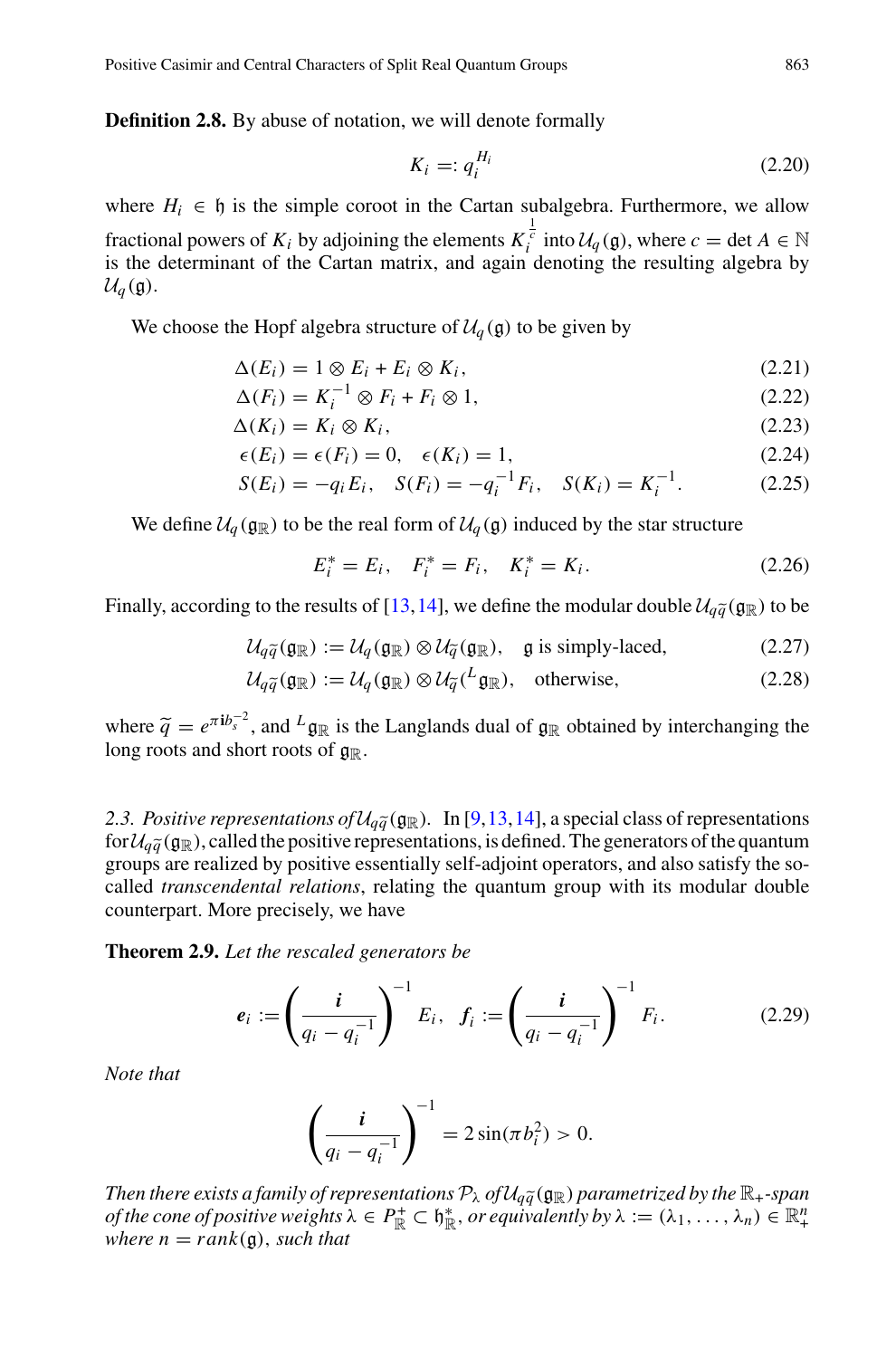**Definition 2.8.** By abuse of notation, we will denote formally

$$
K_i =: q_i^{H_i} \tag{2.20}
$$

where  $H_i \in \mathfrak{h}$  is the simple coroot in the Cartan subalgebra. Furthermore, we allow fractional powers of  $K_i$  by adjoining the elements  $K_i^{\frac{1}{c}}$  into  $\mathcal{U}_q(\mathfrak{g})$ , where  $c = \det A \in \mathbb{N}$  is the determinant of the Cartan matrix, and again denoting the resulting algebra by  $U_q(\mathfrak{g})$ .

We choose the Hopf algebra structure of  $U_q(\mathfrak{g})$  to be given by

$$
\Delta(E_i) = 1 \otimes E_i + E_i \otimes K_i, \tag{2.21}
$$

$$
\Delta(F_i) = K_i^{-1} \otimes F_i + F_i \otimes 1,\tag{2.22}
$$

$$
\Delta(K_i) = K_i \otimes K_i,\tag{2.23}
$$

$$
\epsilon(E_i) = \epsilon(F_i) = 0, \quad \epsilon(K_i) = 1,
$$
\n(2.24)

$$
S(E_i) = -q_i E_i, \quad S(F_i) = -q_i^{-1} F_i, \quad S(K_i) = K_i^{-1}.
$$
 (2.25)

We define  $U_q$  ( $\mathfrak{g}_\mathbb{R}$ ) to be the real form of  $U_q$  ( $\mathfrak{g}$ ) induced by the star structure

$$
E_i^* = E_i, \quad F_i^* = F_i, \quad K_i^* = K_i. \tag{2.26}
$$

We define  $\alpha_q(\mathfrak{g}_\mathbb{R})$  to be the real form of  $\alpha_q(\mathfrak{g})$  madeca by the star structure<br>  $E_i^* = E_i, \quad F_i^* = F_i, \quad K_i^* = K_i.$  (2.26)<br>
Finally, according to the results of [\[13](#page-30-6),[14\]](#page-30-7), we define the modular double  $\mathcal{U}_{q\tilde{$ 

$$
E_i = E_i, \quad F_i = F_i, \quad K_i = K_i.
$$
\n(2.20)

\ng to the results of [13, 14], we define the modular double  $\mathcal{U}_{q\tilde{q}}(\mathfrak{g}_{\mathbb{R}})$  to be

\n
$$
\mathcal{U}_{q\tilde{q}}(\mathfrak{g}_{\mathbb{R}}) := \mathcal{U}_q(\mathfrak{g}_{\mathbb{R}}) \otimes \mathcal{U}_{\tilde{q}}(\mathfrak{g}_{\mathbb{R}}), \quad \text{g is simply-laced},
$$
\n(2.27)

g to the results of [13, 14], we define the modular double 
$$
\mathcal{U}_{q\tilde{q}}(\mathfrak{g}_{\mathbb{R}})
$$
 to be  
\n
$$
\mathcal{U}_{q\tilde{q}}(\mathfrak{g}_{\mathbb{R}}) := \mathcal{U}_{q}(\mathfrak{g}_{\mathbb{R}}) \otimes \mathcal{U}_{\tilde{q}}(\mathfrak{g}_{\mathbb{R}}), \quad \text{g is simply-laced,}
$$
\n
$$
\mathcal{U}_{q\tilde{q}}(\mathfrak{g}_{\mathbb{R}}) := \mathcal{U}_{q}(\mathfrak{g}_{\mathbb{R}}) \otimes \mathcal{U}_{\tilde{q}}(\mathcal{L}_{\mathfrak{g}_{\mathbb{R}}}), \quad \text{otherwise,}
$$
\n(2.28)

 $\mathcal{U}_{q\tilde{q}}(\mathfrak{g}_{\mathbb{R}}) := \mathcal{U}_{q}(\mathfrak{g}_{\mathbb{R}}) \otimes \mathcal{U}_{\tilde{q}}(\mathfrak{g}_{\mathbb{R}}), \quad \text{g is simply-laced},$  (2.27)<br>  $\mathcal{U}_{q\tilde{q}}(\mathfrak{g}_{\mathbb{R}}) := \mathcal{U}_{q}(\mathfrak{g}_{\mathbb{R}}) \otimes \mathcal{U}_{\tilde{q}}(^{L}\mathfrak{g}_{\mathbb{R}}), \quad \text{otherwise},$  (2.28)<br>
where  $\tilde{q} = e^{\pi i b$ long roots and short roots of  $g_{\mathbb{R}}$ .

<span id="page-6-0"></span>*2.3. Positive representations of*  $U_{q\bar{q}}(g_{\mathbb{R}})$ . In [\[9](#page-30-2)[,13](#page-30-6)[,14](#page-30-7)], a special class of representations for  $\mathcal{U}_{q\bar{q}}(g_{\mathbb{R}})$ , called the positive representations, is defined. The generators of the quantum  $for \mathcal{U}_{a\tilde{a}}(\mathfrak{g}_{\mathbb{R}})$ , called the positive representations, is defined. The generators of the quantum groups are realized by positive essentially self-adjoint operators, and also satisfy the socalled *transcendental relations*, relating the quantum group with its modular double counterpart. More precisely, we have<br> **Theorem 2.9.** Let the rescaled generators be<br>  $e_i := \left(\frac{i}{a_i - a^{-1}}\right)^{-1} E_i$ ,  $f_i := \left(\frac{i}{a_i - a^{-1}}\right)^{-1$ counterpart. More precisely, we have

**Theorem 2.9.** *Let the rescaled generators be*

$$
e_i := \left(\frac{i}{q_i - q_i^{-1}}\right)^{-1} E_i, \ \ f_i := \left(\frac{i}{q_i - q_i^{-1}}\right)^{-1} F_i. \tag{2.29}
$$

<span id="page-6-1"></span>*Note that*

$$
\left(\frac{i}{q_i - q_i^{-1}}\right)^{-1} = 2\sin(\pi b_i^2) > 0.
$$

 $\left(\frac{i}{q_i-q_i^{-1}}\right)$  =  $2\sin(\pi b_i^2) > 0$ .<br> *Then there exists a family of representations*  $\mathcal{P}_\lambda$  *of*  $\mathcal{U}_{q\tilde{q}}(\mathfrak{g}_\mathbb{R})$  *parametrized by the*  $\mathbb{R}_+$ *-span*<br> *of the cone of positive weights*  $\lambda \in P^{\pm}_+ \subset \math$ *of the cone of positive weights*  $\lambda \in P_{\mathbb{R}}^+ \subset \mathfrak{h}_{\mathbb{R}}^*$ *, or equivalently by*  $\lambda := (\lambda_1, \dots, \lambda_n) \in \mathbb{R}_+^n$ <br>where  $n = rank(\mathfrak{a})$  such that *where*  $n = rank(q)$ *, such that*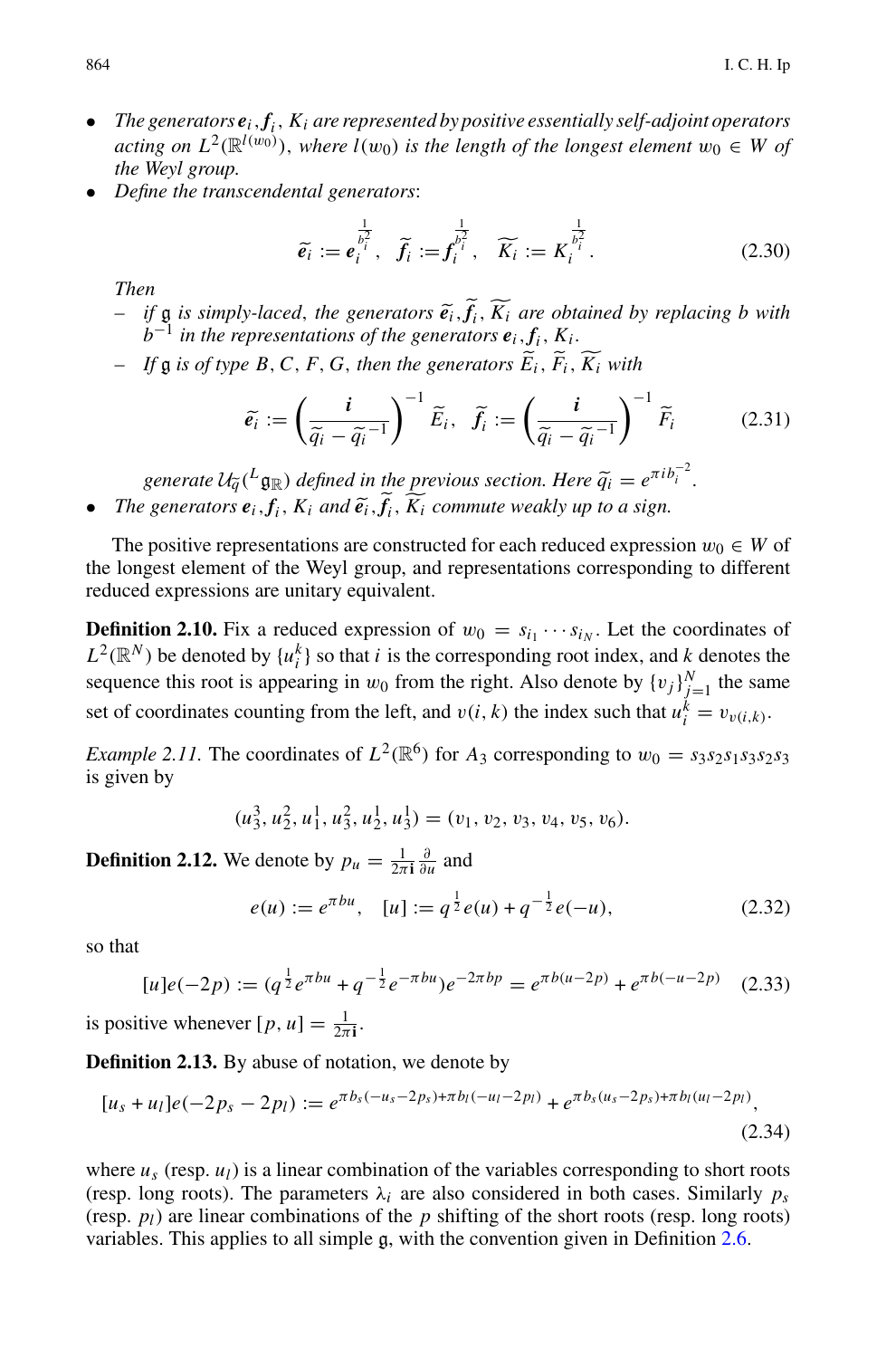- *The generators ei*,*fi*, *Ki are represented by positive essentially self-adjoint operators acting on L*<sup>2</sup>( $\mathbb{R}^{l(w_0)}$ ), *where l*(*w*<sub>0</sub>) *is the length of the longest element*  $w_0 \in W$  *of*<br>*the Weyl group.*<br>*Define the transcendental generators:*<br> $\tilde{e}_i := e_i^{\frac{1}{b_i^2}}$ ,  $\tilde{f}_i := f_i^{\frac{1}{b_i^2}}$ ,  $\widetilde{K}_$ *the Weyl group.*
- *Define the transcendental generators*:

acting on 
$$
L^2(\mathbb{R}^{l(w_0)})
$$
, where  $l(w_0)$  is the length of the longest element  $w_0 \in W$  of  
the Weyl group.  
Define the transcendental generators:  

$$
\widetilde{e_i} := \overline{e_i^{\frac{1}{b_i^2}}}, \quad \widetilde{f_i} := \overline{f_i^{\frac{1}{b_i^2}}}, \quad \widetilde{K_i} := \overline{K_i^{\frac{1}{b_i^2}}}.
$$
 (2.30)  
Then  
- if g is simply-laced, the generators  $\widetilde{e_i}$ ,  $\widetilde{f_i}$ ,  $\widetilde{K_i}$  are obtained by replacing b with  
 $b^{-1}$  in the representations of the generators  $\widetilde{e_i}$ .  $\widetilde{K_i}$ .

*Then*

- *b*−<sup>1</sup> *in the representations of the generators ei*,*fi*, *Ki .*  $\frac{1}{i}$ ,  $\frac{1}{i}$ ,  $\frac{1}{i}$ ,  $\frac{1}{i}$ ,  $\frac{1}{i}$  with v-1<br>pi<br>e<sup>7</sup>i *i* aced, the general presentations of the <br>*B*, *C*, *F*, *G*, then the <br> $\tilde{i} := \left(\frac{i}{\tilde{a} - \tilde{a} - 1}\right)$  $\tilde{e}_i$ ,  $\tilde{f}_i$ ,  $\widetilde{K}_i$  are obtained in<br> *nerators*  $\tilde{e}_i$ ,  $f_i$ ,  $K_i$ ,<br> *i*, *enerators*  $\widetilde{E}_i$ ,  $\widetilde{F}_i$ ,  $\widetilde{K}_i$  with<br>  $\widetilde{E}_i$ ,  $\widetilde{f}_i := \left(\frac{i}{\widetilde{\alpha} - \widetilde{\alpha}^{-1}}\right)$ rej
- *If* g *is of type B*,*C*, *<sup>F</sup>*, *<sup>G</sup>*, *then the generators <sup>E</sup> <sup>i</sup>*, *F*

$$
b^{-1}
$$
 in the representations of the generators  $\mathbf{e}_i$ ,  $f_i$ ,  $K_i$ .  
\n- If  $\mathfrak{g}$  is of type B, C, F, G, then the generators  $\widetilde{E}_i$ ,  $\widetilde{F}_i$ ,  $\widetilde{K}_i$  with  
\n
$$
\widetilde{\mathbf{e}}_i := \left(\frac{i}{\widetilde{q}_i - \widetilde{q}_i^{-1}}\right)^{-1} \widetilde{E}_i, \quad \widetilde{f}_i := \left(\frac{i}{\widetilde{q}_i - \widetilde{q}_i^{-1}}\right)^{-1} \widetilde{F}_i
$$
\n(2.31)  
\ngenerate  $U_{\widetilde{q}}(L_{\mathfrak{g}_{\mathbb{R}}})$  defined in the previous section. Here  $\widetilde{q}_i = e^{\pi i b_i^{-2}}$ .  
\n• The generators  $\mathbf{e}_i$ ,  $f_i$ ,  $K_i$  and  $\widetilde{\mathbf{e}}_i$ ,  $\widetilde{f}_i$ ,  $\widetilde{K}_i$  commute weakly up to a sign.

The positive representations are constructed for each reduced expression  $w_0 \in W$  of the longest element of the Weyl group, and representations corresponding to different reduced expressions are unitary equivalent.

<span id="page-7-1"></span>**Definition 2.10.** Fix a reduced expression of  $w_0 = s_{i_1} \cdots s_{i_N}$ . Let the coordinates of  $L^2(\mathbb{R}^N)$  be denoted by  $\{u_i^k\}$  so that *i* is the corresponding root index, and *k* denotes the sequence this root is appearing in  $w_0$  from the right. Also denote by  $\{v_j\}_{j=1}^N$  the same set of coordinates counting from the left, and  $v(i, k)$  the index such that  $u_i^k = v_{v(i,k)}$ .

*Example 2.11.* The coordinates of  $L^2(\mathbb{R}^6)$  for  $A_3$  corresponding to  $w_0 = s_3 s_2 s_1 s_3 s_2 s_3$ is given by

$$
(u_3^3, u_2^2, u_1^1, u_3^2, u_2^1, u_3^1) = (v_1, v_2, v_3, v_4, v_5, v_6).
$$

**Definition 2.12.** We denote by  $p_u = \frac{1}{2\pi i} \frac{\partial}{\partial u}$  and

$$
e(u) := e^{\pi bu}, \quad [u] := q^{\frac{1}{2}} e(u) + q^{-\frac{1}{2}} e(-u), \tag{2.32}
$$

so that

$$
[u]e(-2p) := (q^{\frac{1}{2}}e^{\pi bu} + q^{-\frac{1}{2}}e^{-\pi bu})e^{-2\pi bp} = e^{\pi b(u-2p)} + e^{\pi b(-u-2p)} \quad (2.33)
$$

is positive whenever  $[p, u] = \frac{1}{2\pi i}$ .

<span id="page-7-0"></span>**Definition 2.13.** By abuse of notation, we denote by

$$
[u_s + u_l]e(-2p_s - 2p_l) := e^{\pi b_s(-u_s - 2p_s) + \pi b_l(-u_l - 2p_l)} + e^{\pi b_s(u_s - 2p_s) + \pi b_l(u_l - 2p_l)},
$$
\n(2.34)

where  $u_s$  (resp.  $u_l$ ) is a linear combination of the variables corresponding to short roots (resp. long roots). The parameters  $\lambda_i$  are also considered in both cases. Similarly  $p_s$ (resp.  $p_l$ ) are linear combinations of the  $p$  shifting of the short roots (resp. long roots) variables. This applies to all simple g, with the convention given in Definition [2.6.](#page-5-1)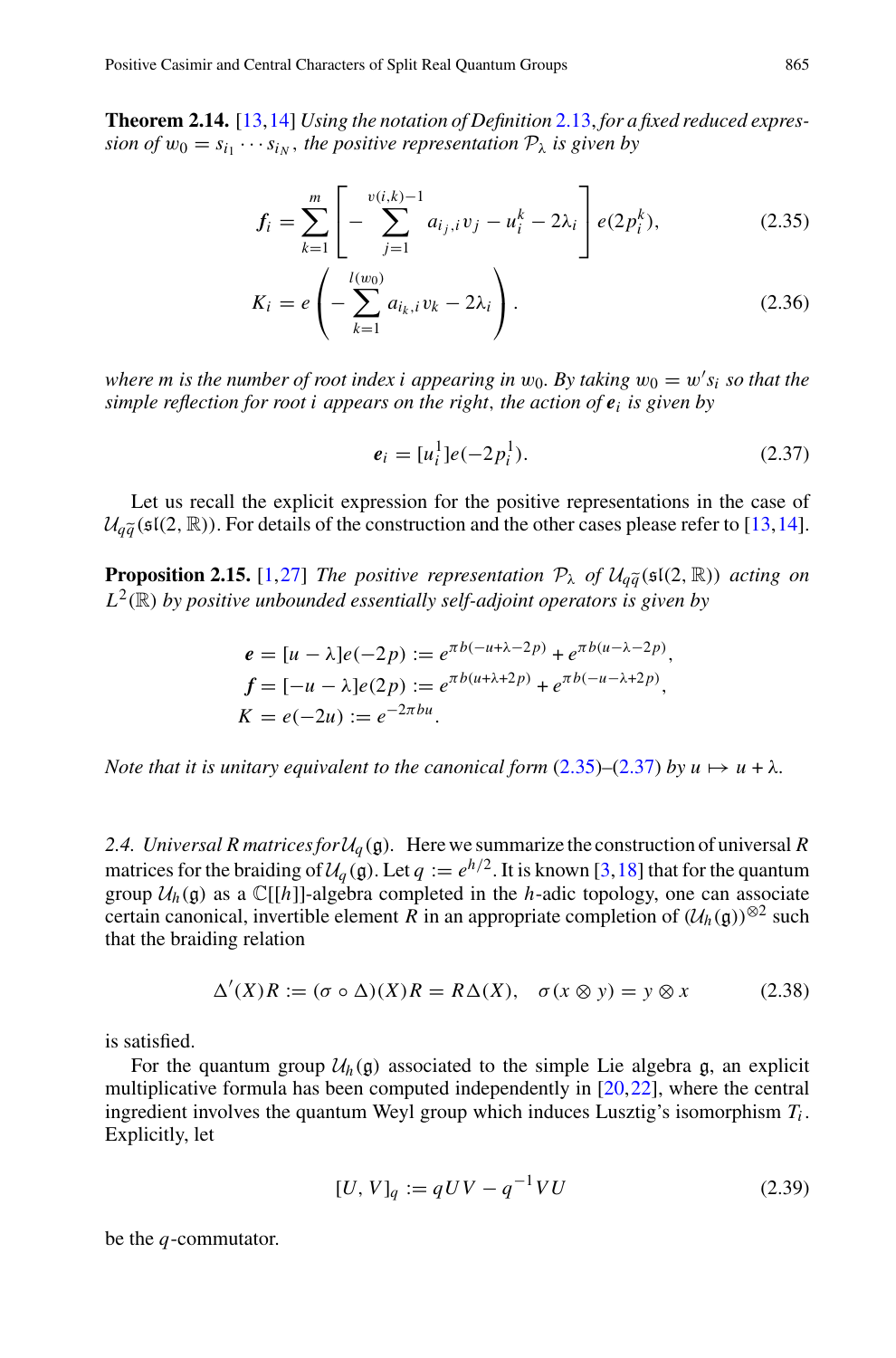<span id="page-8-5"></span><span id="page-8-1"></span>**Theorem 2.14.** [\[13](#page-30-6)[,14](#page-30-7)] *Using the notation of Definition* [2.13,](#page-7-0) *for a fixed reduced expression of*  $w_0 = s_{i_1} \cdots s_{i_N}$ , the positive representation  $\mathcal{P}_\lambda$  *is given by* 

3, 14] Using the notation of Definition 2.13, for a fixed reduced expres-  
\n• 
$$
s_{i_N}
$$
, the positive representation  $\mathcal{P}_{\lambda}$  is given by  
\n
$$
f_i = \sum_{k=1}^m \left[ -\sum_{j=1}^{v(i,k)-1} a_{i_j,i} v_j - u_i^k - 2\lambda_i \right] e(2p_i^k), \qquad (2.35)
$$

$$
K_i = e\left(-\sum_{k=1}^{l(w_0)} a_{i_k, i} v_k - 2\lambda_i\right).
$$
 (2.36)

where  $m$  is the number of root index  $i$  appearing in  $w_0$ . By taking  $w_0 = w's_i$  so that the *simple reflection for root i appears on the right*, *the action of e<sup>i</sup> is given by*

$$
e_i = [u_i^1]e(-2p_i^1). \tag{2.37}
$$

<span id="page-8-2"></span>Let us recall the explicit expression for the positive representations in the case of  $e_i = [u_i^1]e(-2p_i^1).$  *(2.37)*<br>
Let us recall the explicit expression for the positive representations in the case of  $U_{q\tilde{q}}(\mathfrak{sl}(2,\mathbb{R}))$ . For details of the construction and the other cases please refer to [\[13](#page-30-6),[14](#page-30-7)]. Let us recall the explicit expression for the positive represent  $\mathcal{U}_{q\tilde{q}}(\mathfrak{sl}(2,\mathbb{R}))$ . For details of the construction and the other cases pl<br>**Proposition 2.15.** [\[1](#page-30-5),[27\]](#page-31-1) *The positive representation*  $\mathcal{P}_{\lambda}$ 

<span id="page-8-3"></span>**Proposition 2.15.** [1,27] *The positive representation*  $\mathcal{P}_{\lambda}$  *of*  $\mathcal{U}_{a\tilde{a}}(\mathfrak{sl}(2,\mathbb{R}))$  *acting on*  $L^2(\mathbb{R})$  *by positive unbounded essentially self-adjoint operators is given by* 

$$
e = [u - \lambda]e(-2p) := e^{\pi b(-u + \lambda - 2p)} + e^{\pi b(u - \lambda - 2p)},
$$
  
\n
$$
f = [-u - \lambda]e(2p) := e^{\pi b(u + \lambda + 2p)} + e^{\pi b(-u - \lambda + 2p)},
$$
  
\n
$$
K = e(-2u) := e^{-2\pi bu}.
$$

*Note that it is unitary equivalent to the canonical form*  $(2.35)$ – $(2.37)$  *by u*  $\mapsto$  *u* +  $\lambda$ *.* 

<span id="page-8-0"></span>2.4. Universal R matrices for  $U_q$  (g). Here we summarize the construction of universal R matrices for the braiding of  $U_q(\mathfrak{g})$ . Let  $q := e^{h/2}$ . It is known [\[3,](#page-30-13)[18\]](#page-31-10) that for the quantum group  $U_h(\mathfrak{g})$  as a  $\mathbb{C}[[h]]$ -algebra completed in the *h*-adic topology, one can associate certain canonical, invertible element  $\hat{R}$  in an appropriate completion of  $(\mathcal{U}_h(\mathfrak{g}))^{\otimes 2}$  such that the braiding relation

$$
\Delta'(X)R := (\sigma \circ \Delta)(X)R = R\Delta(X), \quad \sigma(x \otimes y) = y \otimes x \tag{2.38}
$$

<span id="page-8-4"></span>is satisfied.

For the quantum group  $U_h(\mathfrak{g})$  associated to the simple Lie algebra  $\mathfrak{g}$ , an explicit multiplicative formula has been computed independently in [\[20](#page-31-11),[22\]](#page-31-12), where the central ingredient involves the quantum Weyl group which induces Lusztig's isomorphism *Ti* . Explicitly, let

$$
[U, V]_q := qUV - q^{-1}VU
$$
\n(2.39)

be the *q*-commutator.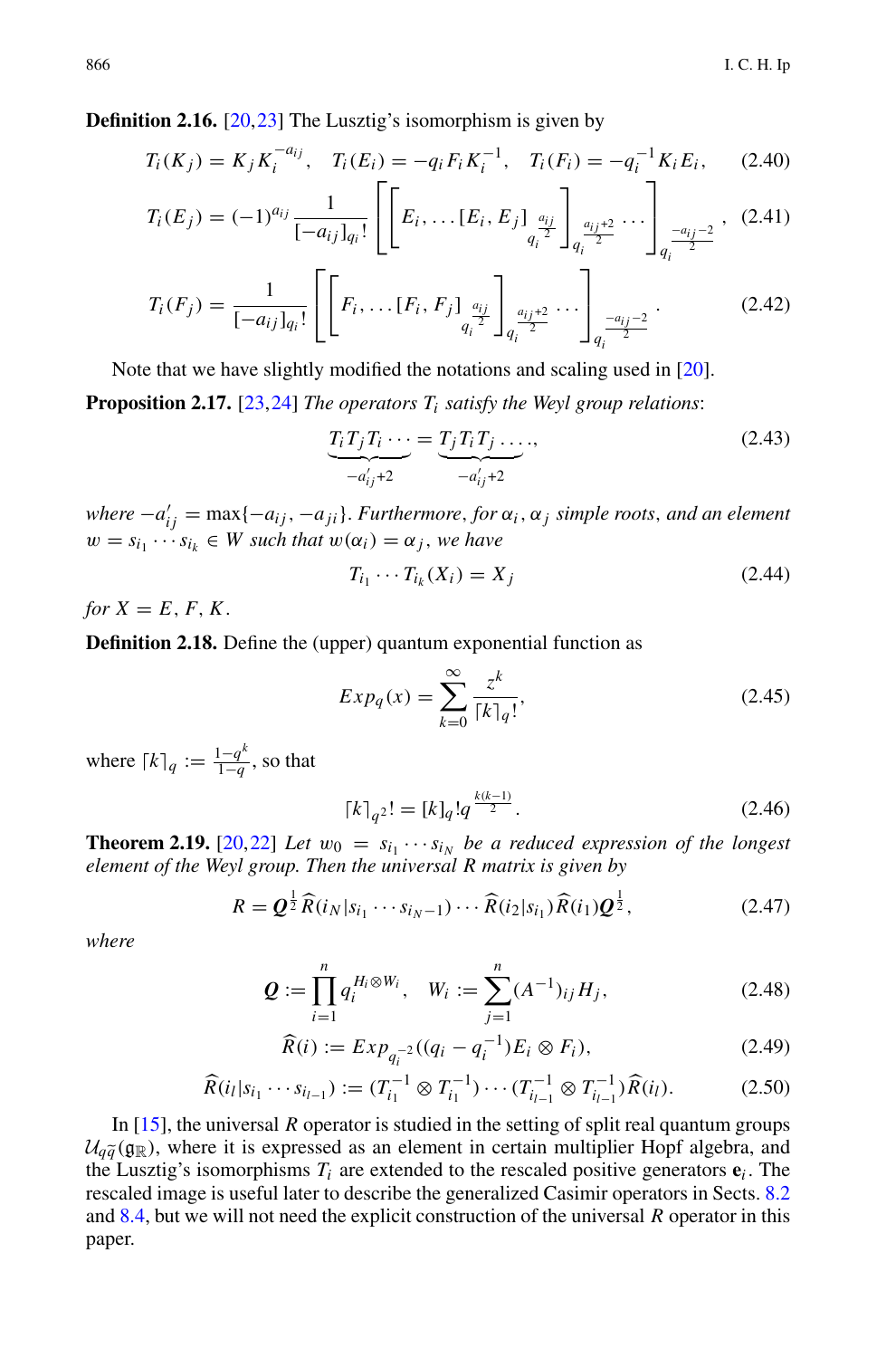**Definition 2.16.** [\[20](#page-31-11)[,23](#page-31-13)] The Lusztig's isomorphism is given by

$$
T_i(K_j) = K_j K_i^{-a_{ij}}, \quad T_i(E_i) = -q_i F_i K_i^{-1}, \quad T_i(F_i) = -q_i^{-1} K_i E_i, \tag{2.40}
$$

$$
T_i(E_j) = (-1)^{a_{ij}} \frac{1}{[-a_{ij}]_{q_i}!} \left[ \left[ E_i, \ldots [E_i, E_j]_{\substack{a_{ij} \\ q_i^2}} \right]_{q_i^{\frac{a_{ij}+2}{2}}} \cdots \right]_{q_i^{\frac{-a_{ij}-2}{2}}}, (2.41)
$$

$$
T_i(F_j) = \frac{1}{[-a_{ij}]_{q_i}!} \left[ \left[ F_i, \ldots [F_i, F_j]_{\frac{a_{ij}}{q_i^2}} \right]_{q_i^{\frac{a_{ij}+2}{2}}} \cdots \right]_{q_i^{\frac{-a_{ij}-2}{2}}}.
$$
 (2.42)

Note that we have slightly modified the notations and scaling used in [\[20](#page-31-11)].

**Proposition 2.17.** [\[23](#page-31-13)[,24](#page-31-14)] *The operators Ti satisfy the Weyl group relations*:

modified the notations and scaling used in [20].  
\n*e operators* 
$$
T_i
$$
 satisfy the Weyl group relations:  
\n
$$
\underbrace{T_i T_j T_i \cdots}_{-a'_{ij}+2} = \underbrace{T_j T_i T_j \cdots}_{-a'_{ij}+2},
$$
\n(2.43)

 $where -a'_{ij} = \max\{-a_{ij}, -a_{ji}\}$ . *Furthermore*, *for*  $\alpha_i$ ,  $\alpha_j$  *simple roots, and an element*  $w = s_{i_1} \cdots s_{i_k} \in W$  such that  $w(\alpha_i) = \alpha_i$ , we have

$$
T_{i_1} \cdots T_{i_k}(X_i) = X_j \tag{2.44}
$$

*for*  $X = E, F, K$ .

**Definition 2.18.** Define the (upper) quantum exponential function as

$$
T_{i_1} \cdots T_{i_k}(X_i) = X_j
$$
\n(2.44)

\nper) quantum exponential function as

\n
$$
Exp_q(x) = \sum_{k=0}^{\infty} \frac{z^k}{\lceil k \rceil_q!},
$$
\n(2.45)

where  $[k]_q := \frac{1-q^k}{1-q}$ , so that

$$
\lceil k \rceil_{q^2}! = [k]_q! q^{\frac{k(k-1)}{2}}.
$$
\n(2.46)

**Theorem 2.19.** [\[20](#page-31-11),[22\]](#page-31-12) *Let*  $w_0 = s_{i_1} \cdots s_{i_N}$  *be a reduced expression of the longest* 

$$
R = \mathcal{Q}^{\frac{1}{2}} \widehat{R}(i_N | s_{i_1} \cdots s_{i_N - 1}) \cdots \widehat{R}(i_2 | s_{i_1}) \widehat{R}(i_1) \mathcal{Q}^{\frac{1}{2}},
$$
 (2.47)

<span id="page-9-0"></span>*where*

element of the Weyl group. Then the universal R matrix is given by  
\n
$$
R = \mathbf{Q}^{\frac{1}{2}} \widehat{R}(i_N | s_{i_1} \cdots s_{i_N-1}) \cdots \widehat{R}(i_2 | s_{i_1}) \widehat{R}(i_1) \mathbf{Q}^{\frac{1}{2}},
$$
\nwhere  
\n
$$
\mathbf{Q} := \prod_{i=1}^n q_i^{H_i \otimes W_i}, \quad W_i := \sum_{j=1}^n (A^{-1})_{ij} H_j,
$$
\n(2.48)

$$
\widehat{R}(i) := Exp_{q_i^{-2}}((q_i - q_i^{-1})E_i \otimes F_i),
$$
\n(2.49)

$$
\widehat{R}(i_l|s_{i_1}\cdots s_{i_{l-1}}) := (T_{i_1}^{-1} \otimes T_{i_1}^{-1}) \cdots (T_{i_{l-1}}^{-1} \otimes T_{i_{l-1}}^{-1}) \widehat{R}(i_l).
$$
\n(2.50)

In [\[15\]](#page-30-8), the universal *R* operator is studied in the setting of split real quantum groups  $\widehat{R}(i_l | s_{i_1} \cdots s_{i_{l-1}}) := (T_{i_1}^{-1} \otimes T_{i_1}^{-1}) \cdots (T_{i_{l-1}}^{-1} \otimes T_{i_{l-1}}^{-1}) \widehat{R}(i_l).$  (2.50)<br>
In [15], the universal *R* operator is studied in the setting of split real quantum groups<br>  $\mathcal{U}_{q\widetilde{q}}(g_{\mathbb{R}})$ , wh the Lusztig's isomorphisms  $T_i$  are extended to the rescaled positive generators  $e_i$ . The rescaled image is useful later to describe the generalized Casimir operators in Sects. [8.2](#page-22-1) and [8.4,](#page-23-1) but we will not need the explicit construction of the universal *R* operator in this paper.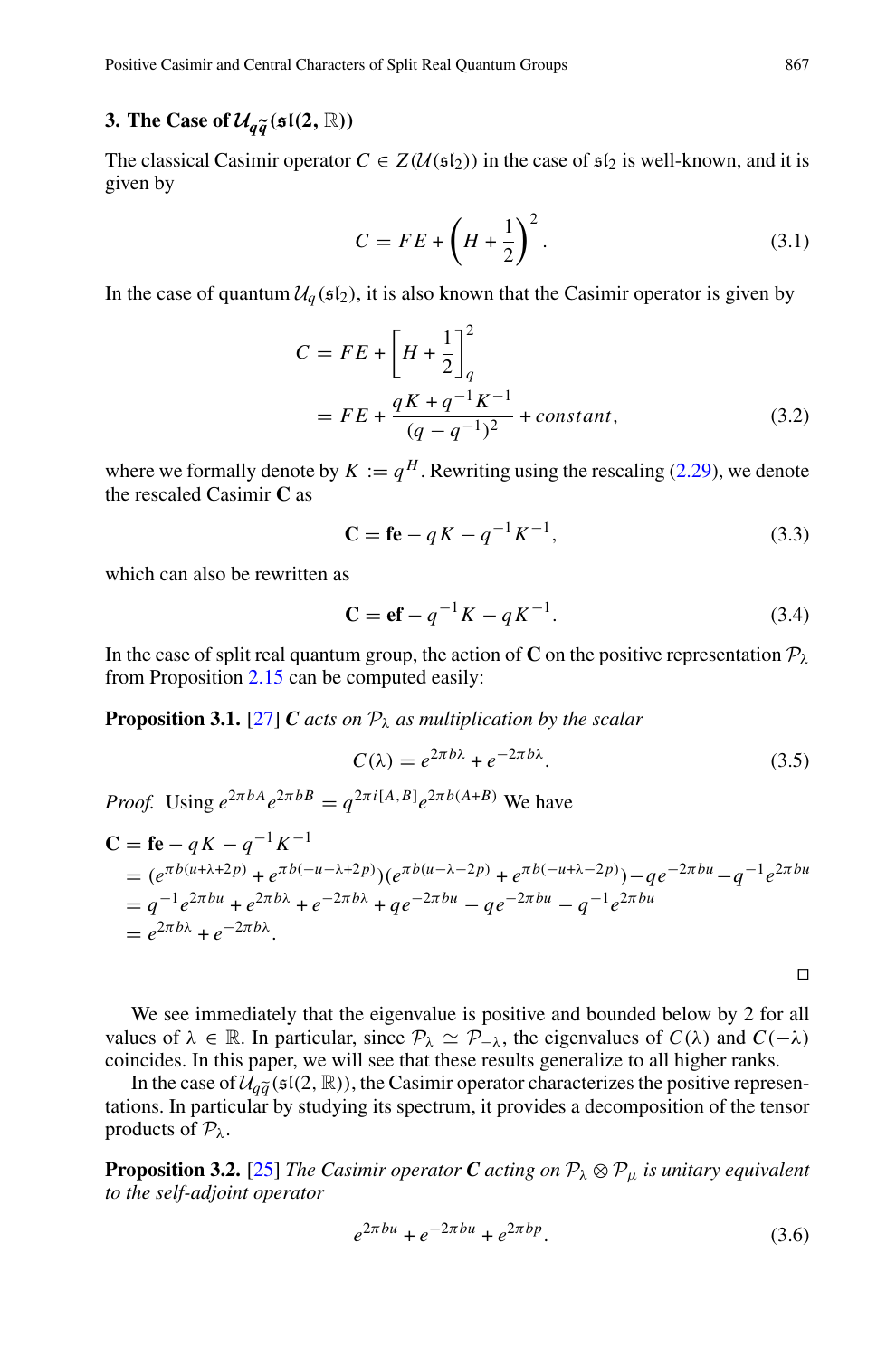Positive Casimir and Central Characters of Split Real Quantum Groups 867

# <span id="page-10-0"></span>**3. The Case of**  $\mathcal{U}_{q\widetilde{q}}(\mathfrak{sl}(2,\mathbb{R}))$

The classical Casimir operator  $C \in Z(\mathcal{U}(\mathfrak{sl}_2))$  in the case of  $\mathfrak{sl}_2$  is well-known, and it is given by

$$
C = FE + \left(H + \frac{1}{2}\right)^2.
$$
\n(3.1)

In the case of quantum  $U_q$  ( $\mathfrak{sl}_2$ ), it is also known that the Casimir operator is given by

$$
C = FE + \left[ H + \frac{1}{2} \right]_q^2
$$
  
= FE +  $\frac{qK + q^{-1}K^{-1}}{(q - q^{-1})^2}$  + constant, (3.2)

where we formally denote by  $K := q^H$ . Rewriting using the rescaling [\(2.29\)](#page-6-1), we denote the rescaled Casimir **C** as

$$
\mathbf{C} = \mathbf{f} \mathbf{e} - qK - q^{-1}K^{-1},\tag{3.3}
$$

which can also be rewritten as

$$
\mathbf{C} = \mathbf{ef} - q^{-1} K - q K^{-1}.
$$
 (3.4)

In the case of split real quantum group, the action of **C** on the positive representation  $P_\lambda$ from Proposition [2.15](#page-8-3) can be computed easily:

**Proposition 3.1.** [\[27](#page-31-1)] *C acts on*  $P_{\lambda}$  *as multiplication by the scalar* 

$$
C(\lambda) = e^{2\pi b\lambda} + e^{-2\pi b\lambda}.
$$
 (3.5)

*Proof.* Using  $e^{2\pi bA}e^{2\pi bB} = q^{2\pi i[A,B]}e^{2\pi b(A+B)}$  We have

$$
C = \mathbf{f} \mathbf{e} - qK - q^{-1}K^{-1}
$$
  
=  $(e^{\pi b(u + \lambda + 2p)} + e^{\pi b(-u - \lambda + 2p)}) (e^{\pi b(u - \lambda - 2p)} + e^{\pi b(-u + \lambda - 2p)}) - qe^{-2\pi bu} - q^{-1}e^{2\pi bu}$   
=  $q^{-1}e^{2\pi bu} + e^{2\pi b\lambda} + e^{-2\pi b\lambda} + qe^{-2\pi bu} - qe^{-2\pi bu} - q^{-1}e^{2\pi bu}$   
=  $e^{2\pi b\lambda} + e^{-2\pi b\lambda}$ .

 $\Box$ 

We see immediately that the eigenvalue is positive and bounded below by 2 for all values of  $\lambda \in \mathbb{R}$ . In particular, since  $\mathcal{P}_{\lambda} \simeq \mathcal{P}_{-\lambda}$ , the eigenvalues of *C*( $\lambda$ ) and *C*( $-\lambda$ ) coincides. In this paper, we will see that these results generalize to all higher ranks. We see immediat<br>ues of  $\lambda \in \mathbb{R}$ . In<br>ncides. In this pap<br>In the case of  $\mathcal{U}_{q\tilde{q}}$ 

In the case of  $\mathcal{U}_{a\tilde{a}}(\mathfrak{sl}(2,\mathbb{R}))$ , the Casimir operator characterizes the positive representations. In particular by studying its spectrum, it provides a decomposition of the tensor products of  $P_\lambda$ .

<span id="page-10-1"></span>**Proposition 3.2.** [\[25](#page-31-3)] *The Casimir operator C acting on*  $\mathcal{P}_{\lambda} \otimes \mathcal{P}_{\mu}$  *is unitary equivalent to the self-adjoint operator*

$$
e^{2\pi bu} + e^{-2\pi bu} + e^{2\pi bp}.
$$
 (3.6)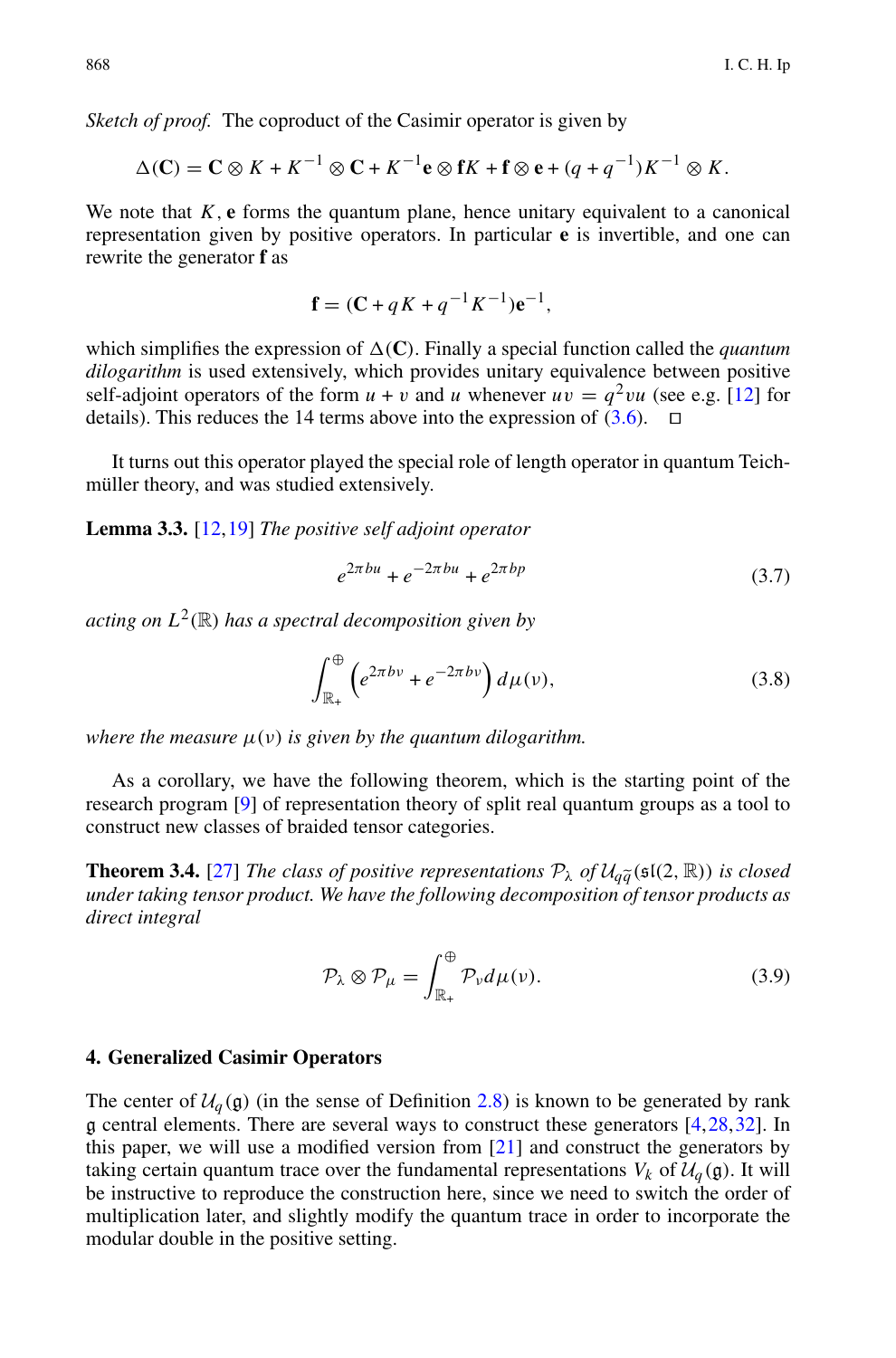*Sketch of proof.* The coproduct of the Casimir operator is given by

$$
\Delta(C) = \mathbf{C} \otimes K + K^{-1} \otimes \mathbf{C} + K^{-1} \mathbf{e} \otimes \mathbf{f} K + \mathbf{f} \otimes \mathbf{e} + (q + q^{-1}) K^{-1} \otimes K.
$$

We note that  $K$ ,  $\bf{e}$  forms the quantum plane, hence unitary equivalent to a canonical representation given by positive operators. In particular **e** is invertible, and one can rewrite the generator **f** as

$$
\mathbf{f} = (\mathbf{C} + qK + q^{-1}K^{-1})\mathbf{e}^{-1},
$$

which simplifies the expression of  $\Delta(C)$ . Finally a special function called the *quantum dilogarithm* is used extensively, which provides unitary equivalence between positive self-adjoint operators of the form  $u + v$  and *u* whenever  $uv = q^2vu$  (see e.g. [\[12\]](#page-30-14) for details). This reduces the 14 terms above into the expression of (3.6).  $\Box$ details). This reduces the 14 terms above into the expression of [\(3.6\)](#page-10-1).

It turns out this operator played the special role of length operator in quantum Teichmüller theory, and was studied extensively.

**Lemma 3.3.** [\[12,](#page-30-14)[19\]](#page-31-15) *The positive self adjoint operator*

$$
e^{2\pi bu} + e^{-2\pi bu} + e^{2\pi bp} \tag{3.7}
$$

*acting on*  $L^2(\mathbb{R})$  *has a spectral decomposition given by* 

$$
\int_{\mathbb{R}_+}^{\oplus} \left( e^{2\pi bv} + e^{-2\pi bv} \right) d\mu(v),\tag{3.8}
$$

*where the measure*  $\mu(\nu)$  *is given by the quantum dilogarithm.* 

As a corollary, we have the following theorem, which is the starting point of the research program [\[9\]](#page-30-2) of representation theory of split real quantum groups as a tool to construct new classes of braided tensor categories. **Theorem 3.4.** [\[27](#page-31-1)] *The classes of positive representations*  $P_{\lambda}$  *of*  $U_q\tilde{q}$  (sl(2, R)) *is closed*<br> **Theorem 3.4.** [27] *The class of positive representations*  $P_{\lambda}$  *of*  $U_q\tilde{q}$  (sl(2, R)) *is closed*<br> *un* 

*under taking tensor product. We have the following decomposition of tensor products as direct integral*

$$
\mathcal{P}_{\lambda} \otimes \mathcal{P}_{\mu} = \int_{\mathbb{R}_{+}}^{\oplus} \mathcal{P}_{\nu} d\mu(\nu).
$$
 (3.9)

#### <span id="page-11-0"></span>**4. Generalized Casimir Operators**

The center of  $U_q$ (g) (in the sense of Definition [2.8\)](#page-5-2) is known to be generated by rank g central elements. There are several ways to construct these generators [\[4](#page-30-11),[28](#page-31-4),[32\]](#page-31-5). In this paper, we will use a modified version from [\[21](#page-31-6)] and construct the generators by taking certain quantum trace over the fundamental representations  $V_k$  of  $\mathcal{U}_a(\mathfrak{g})$ . It will be instructive to reproduce the construction here, since we need to switch the order of multiplication later, and slightly modify the quantum trace in order to incorporate the modular double in the positive setting.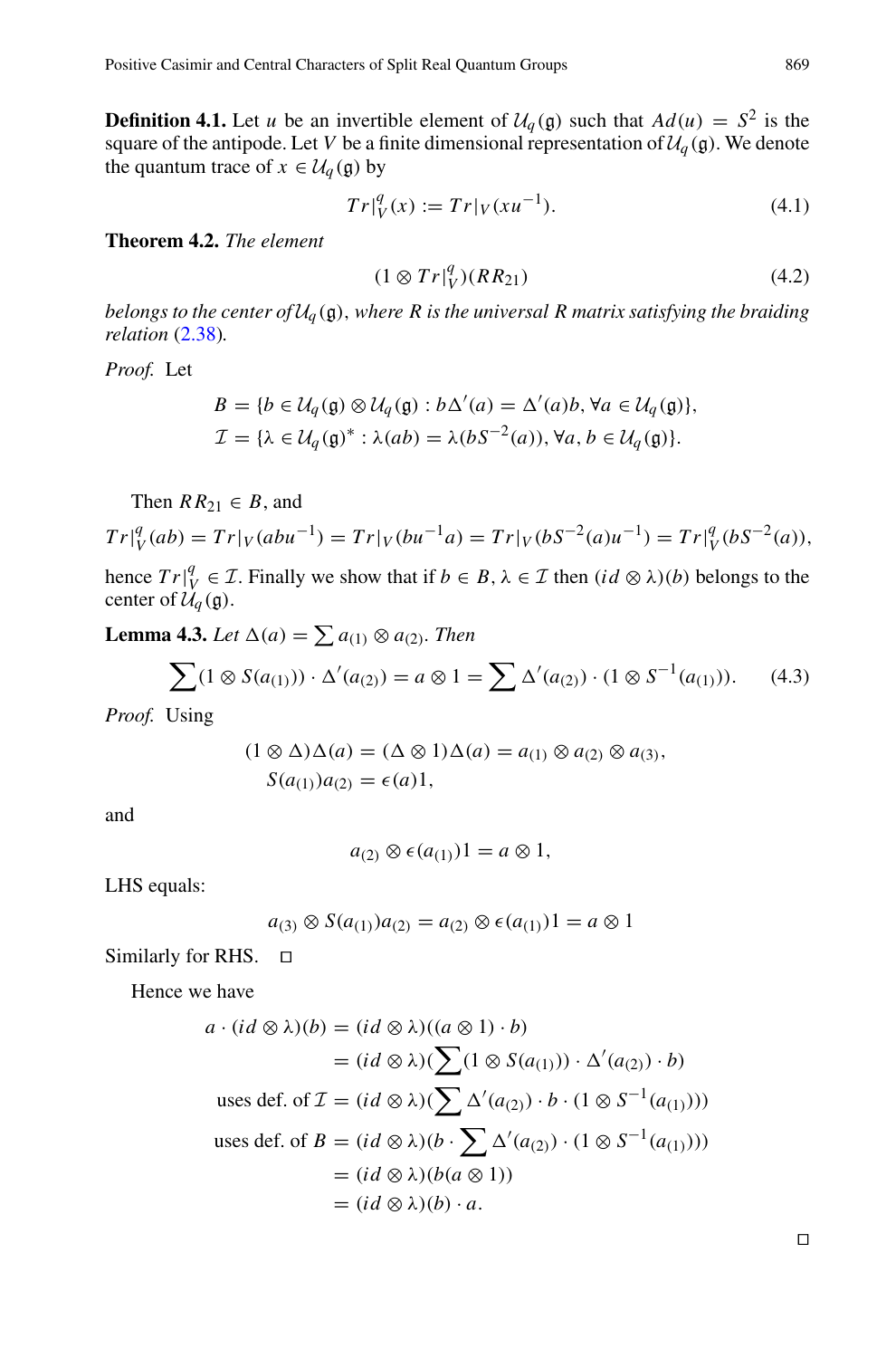**Definition 4.1.** Let *u* be an invertible element of  $U_q(\mathfrak{g})$  such that  $Ad(u) = S^2$  is the square of the antipode. Let *V* be a finite dimensional representation of  $\mathcal{U}_q(\mathfrak{g})$ . We denote the quantum trace of  $x \in \mathcal{U}_q(\mathfrak{g})$  by

$$
Tr|_{V}^{q}(x) := Tr|_{V}(xu^{-1}).
$$
\n(4.1)

<span id="page-12-0"></span>**Theorem 4.2.** *The element*

$$
(1 \otimes Tr|_{V}^{q})(RR_{21}) \tag{4.2}
$$

*belongs to the center of*  $U_q$  (g), where R is the universal R matrix satisfying the braiding *relation* [\(2.38\)](#page-8-4)*.*

*Proof.* Let

$$
B = \{b \in \mathcal{U}_q(\mathfrak{g}) \otimes \mathcal{U}_q(\mathfrak{g}) : b\Delta'(a) = \Delta'(a)b, \forall a \in \mathcal{U}_q(\mathfrak{g})\},
$$
  

$$
\mathcal{I} = \{\lambda \in \mathcal{U}_q(\mathfrak{g})^* : \lambda(ab) = \lambda(bS^{-2}(a)), \forall a, b \in \mathcal{U}_q(\mathfrak{g})\}.
$$

Then  $RR_{21} \in B$ , and  $Tr|_{V}^{q}(ab) = Tr|_{V}(abu^{-1}) = Tr|_{V}(bu^{-1}a) = Tr|_{V}(bS^{-2}(a)u^{-1}) = Tr|_{V}^{q}(bS^{-2}(a)),$  $Tr|_V^q(ab) = Tr|_V(abu^{-1}) = Tr|_V(bu^{-1}a)$ <br>
hence  $Tr|_V^q \in \mathcal{I}$ . Finally we show that if  $b \in$  center of  $\mathcal{U}_q(\mathfrak{g})$ .<br> **Lemma 4.3.** Let  $\Delta(a) = \sum a_{(1)} \otimes a_{(2)}$ . Then

hence  $Tr[\iint_{V}^{q} \in \mathcal{I}$ . Finally we show that if  $b \in B$ ,  $\lambda \in \mathcal{I}$  then  $(id \otimes \lambda)(b)$  belongs to the center of  $\mathcal{U}_q(\mathfrak{g})$ .<br>**Lemma 4.3.** Let  $\Delta(a) = \sum a_{(1)} \otimes a_{(2)}$ . Then  $\int r|_V^q \in \mathcal{I}$ . Finally we show that if  $b \in B$ ,  $\lambda \in \mathcal{I}$ <br>
f  $\mathcal{U}_q(\mathfrak{g})$ .<br> **4.3.** Let  $\Delta(a) = \sum a_{(1)} \otimes a_{(2)}$ . Then<br>  $\sum (1 \otimes S(a_{(1)})) \cdot \Delta'(a_{(2)}) = a \otimes 1 = \sum \Delta'$ 

$$
\sum (1 \otimes S(a_{(1)})) \cdot \Delta'(a_{(2)}) = a \otimes 1 = \sum \Delta'(a_{(2)}) \cdot (1 \otimes S^{-1}(a_{(1)})). \tag{4.3}
$$

*Proof.* Using

$$
(1 \otimes \Delta)\Delta(a) = (\Delta \otimes 1)\Delta(a) = a_{(1)} \otimes a_{(2)} \otimes a_{(3)},
$$
  

$$
S(a_{(1)})a_{(2)} = \epsilon(a)1,
$$

and

$$
a_{(2)} \otimes \epsilon(a_{(1)})1 = a \otimes 1,
$$

LHS equals:

$$
a_{(3)} \otimes S(a_{(1)})a_{(2)} = a_{(2)} \otimes \epsilon(a_{(1)})1 = a \otimes 1
$$

Similarly for RHS. □

Hence we have

$$
r RHS. □
$$
  
\n
$$
a \cdot (id \otimes \lambda)(b) = (id \otimes \lambda)((a \otimes 1) \cdot b)
$$
  
\n
$$
= (id \otimes \lambda)(\sum (1 \otimes S(a_{(1)})) \cdot \Delta'(a_{(2)}) \cdot b)
$$
  
\nuses def. of  $\mathcal{I} = (id \otimes \lambda)(\sum \Delta'(a_{(2)}) \cdot b \cdot (1 \otimes S^{-1}(a_{(1)})))$   
\nuses def. of  $B = (id \otimes \lambda)(b \cdot \sum \Delta'(a_{(2)}) \cdot (1 \otimes S^{-1}(a_{(1)})))$   
\n
$$
= (id \otimes \lambda)(b(a \otimes 1))
$$
  
\n
$$
= (id \otimes \lambda)(b) \cdot a.
$$

 $\Box$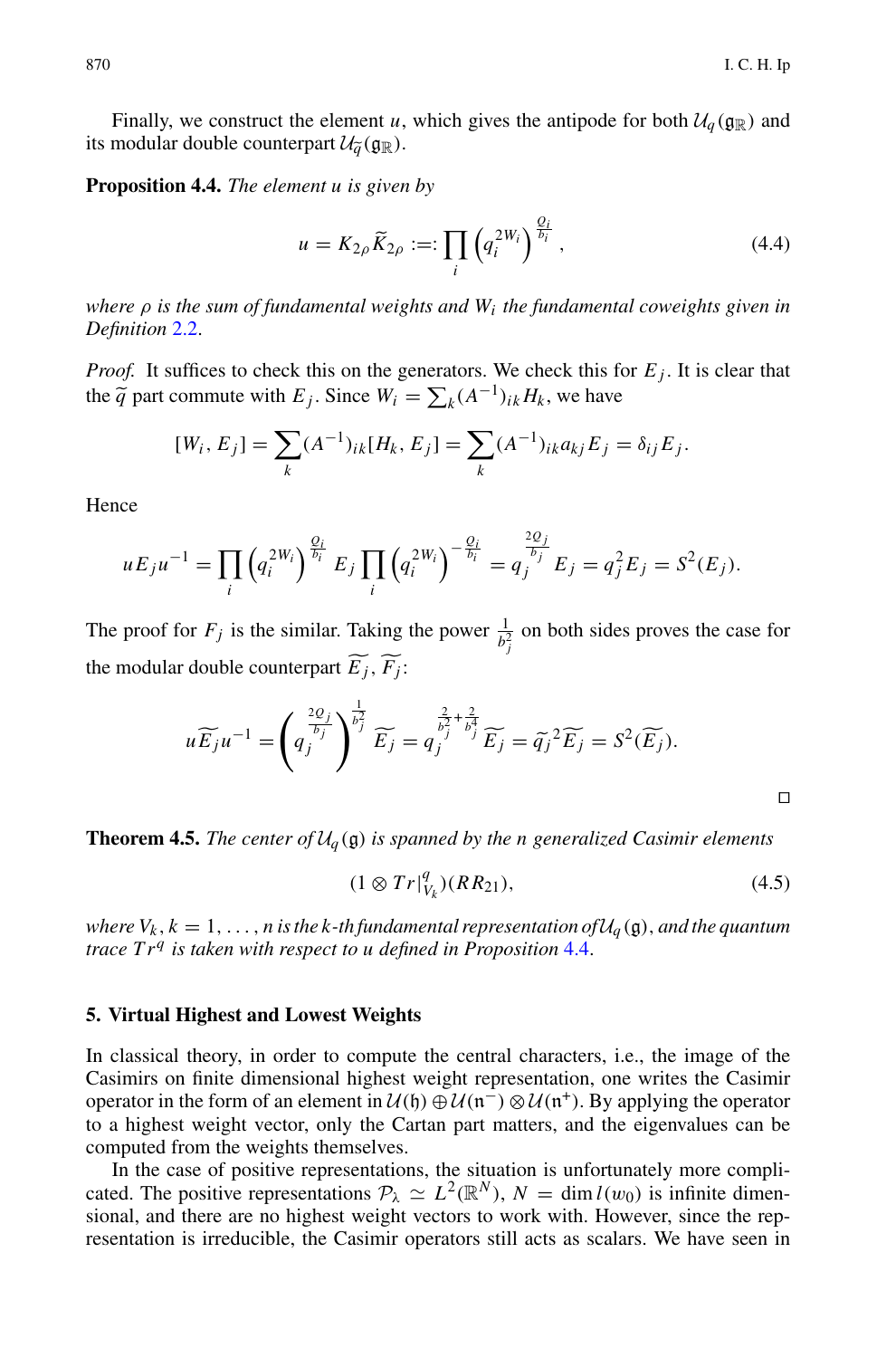Finally, we construct the element *u*, which gives the antipode for both  $U_q(\mathfrak{g}_\mathbb{R})$  and<br>modular double counterpart  $U_q(\mathfrak{g}_\mathbb{R})$ .<br>position 4.4. The element *u* is given by<br> $u = K_{2\rho} \tilde{K}_{2\rho} :=: \prod_{i} \left( q_i^{2W_i} \right$ Finally, we construct the element *u*, its modular double counterpart  $\mathcal{U}_{\tilde{q}}(\mathfrak{g}_{\mathbb{R}})$ .

<span id="page-13-1"></span>**Proposition 4.4.** *The element u is given by*

$$
u = K_{2\rho} \widetilde{K}_{2\rho} :=: \prod_{i} \left( q_i^{2W_i} \right)^{\frac{Q_i}{b_i}}, \tag{4.4}
$$

*where* ρ *is the sum of fundamental weights and Wi the fundamental coweights given in Definition* [2.2.](#page-4-0)

*Proof.* It suffices to check this on the generators. We check this for  $E_j$ . It is clear that *where*  $\rho$  *is the sum of fundamental weights and*  $W_i$  *the fundamenta Definition 2.2.*<br>*Proof.* It suffices to check this on the generators. We check this for the  $\tilde{q}$  part commute with  $E_j$ . Since  $W_i = \sum_k (A^{-1})_{ik} H_k$ , 2.2.<br>
uffices to check this on the generators.<br>
commute with  $E_j$ . Since  $W_i = \sum_k (A^{-1})$ <br>  $[W_i, E_j] = \sum (A^{-1})_{ik} [H_k, E_j] = \sum$ 

$$
[W_i, E_j] = \sum_k (A^{-1})_{ik} [H_k, E_j] = \sum_k (A^{-1})_{ik} a_{kj} E_j = \delta_{ij} E_j.
$$

Hence

$$
[W_i, E_j] = \sum_{k} (A^{-1})_{ik} [H_k, E_j] = \sum_{k} (A^{-1})_{ik} a_{kj} E_j = \delta_{ij} E_j.
$$
  
ce  

$$
u E_j u^{-1} = \prod_i \left( q_i^{2W_i} \right)^{\frac{Q_i}{b_i}} E_j \prod_i \left( q_i^{2W_i} \right)^{-\frac{Q_i}{b_i}} = q_j^{\frac{2Q_j}{b_j}} E_j = q_j^2 E_j = S^2(E_j).
$$

The proof for  $F_j$  is the similar. Taking the power  $\frac{1}{b_j^2}$  on both sides proves the case for  $uE_ju^{-1} = \prod_i \left( q_i^{2W_i} \right)^{b_i} E_j \prod_i \left( q_i^{2W_i} \right)$ <br>The proof for  $F_j$  is the similar. Taking<br>the modular double counterpart  $\widetilde{E_j}$ ,  $\widetilde{F_j}$ : the modular double counterpart  $\widetilde{E_i}$ ,  $\widetilde{F_i}$ :

for 
$$
F_j
$$
 is the similar. Taking the power  $\frac{1}{b_j^2}$  on both sides proves the case for  
double counterpart  $\widetilde{E_j}$ ,  $\widetilde{F_j}$ :  

$$
u \widetilde{E_j} u^{-1} = \left( q_j^{\frac{2Q_j}{b_j}} \right)^{\frac{1}{b_j^2}} \widetilde{E_j} = q_j^{\frac{2}{b_j^2} + \frac{2}{b_j^4}} \widetilde{E_j} = \widetilde{q_j}^2 \widetilde{E_j} = S^2(\widetilde{E_j}).
$$

**Theorem 4.5.** *The center of*  $U_q(\mathfrak{g})$  *is spanned by the n generalized Casimir elements* 

$$
(1 \otimes Tr|_{V_k}^q)(RR_{21}), \qquad (4.5)
$$

*where*  $V_k$ ,  $k = 1, \ldots, n$  *is the k-th fundamental representation of* $\mathcal{U}_q(\mathfrak{g})$ *, and the quantum trace Tr<sup>q</sup> is taken with respect to u defined in Proposition* [4.4.](#page-13-1)

#### <span id="page-13-0"></span>**5. Virtual Highest and Lowest Weights**

In classical theory, in order to compute the central characters, i.e., the image of the Casimirs on finite dimensional highest weight representation, one writes the Casimir operator in the form of an element in  $U(\mathfrak{h}) \oplus U(\mathfrak{n}^-) \otimes U(\mathfrak{n}^+)$ . By applying the operator to a highest weight vector, only the Cartan part matters, and the eigenvalues can be computed from the weights themselves.

In the case of positive representations, the situation is unfortunately more complicated. The positive representations  $\mathcal{P}_{\lambda} \simeq L^2(\mathbb{R}^N)$ ,  $N = \dim l(w_0)$  is infinite dimensional, and there are no highest weight vectors to work with. However, since the representation is irreducible, the Casimir operators still acts as scalars. We have seen in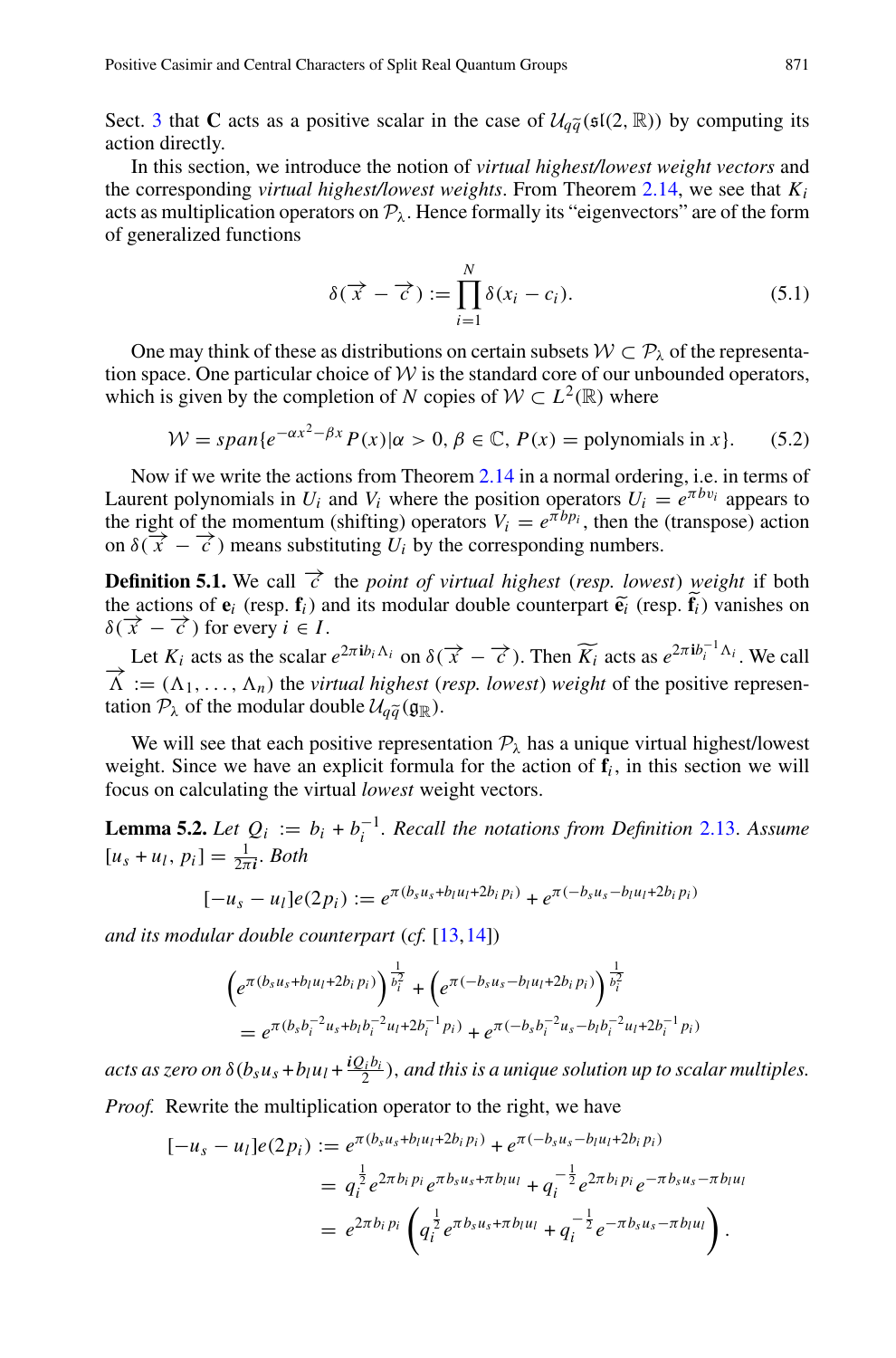Positive Casimir and Central Characters of Split Real Quantum Groups 871<br>
Sect. [3](#page-10-0) that **C** acts as a positive scalar in the case of  $U_{q\tilde{q}}(\mathfrak{sl}(2,\mathbb{R}))$  by computing its<br>
action directly. action directly.

In this section, we introduce the notion of *virtual highest/lowest weight vectors* and the corresponding *virtual highest/lowest weights*. From Theorem [2.14,](#page-8-5) we see that *Ki* acts as multiplication operators on  $P_\lambda$ . Hence formally its "eigenvectors" are of the form of generalized functions fighest/lowest weight<br>ighest/lowest weight<br>ors on  $\mathcal{P}_\lambda$ . Hence for<br> $\delta(\vec{x} - \vec{c}) := \prod^N$ 

$$
\delta(\overrightarrow{x} - \overrightarrow{c}) := \prod_{i=1}^{N} \delta(x_i - c_i).
$$
 (5.1)

One may think of these as distributions on certain subsets  $W \subset \mathcal{P}_\lambda$  of the representation space. One particular choice of  $W$  is the standard core of our unbounded operators, which is given by the completion of *N* copies of  $W \subset L^2(\mathbb{R})$  where

$$
W = span\{e^{-\alpha x^2 - \beta x} P(x) | \alpha > 0, \beta \in \mathbb{C}, P(x) = \text{polynomials in } x\}. \tag{5.2}
$$

Now if we write the actions from Theorem [2.14](#page-8-5) in a normal ordering, i.e. in terms of Laurent polynomials in  $U_i$  and  $V_i$  where the position operators  $U_i = e^{\pi bv_i}$  appears to the right of the momentum (shifting) operators  $V_i = e^{\pi b p_i}$ , then the (transpose) action on  $\delta(\vec{x} - \vec{c})$  means substituting  $U_i$  by the corresponding numbers. Laurent polynomials in  $U_i$  and  $V_i$  where the position operators  $U_i = e^{\pi t}$  the right of the momentum (shifting) operators  $V_i = e^{\pi b p_i}$ , then the (tran on  $\delta(\vec{x} - \vec{c})$  means substituting  $U_i$  by the corresponding num

**Definition 5.1.** We call  $\vec{c}$  the *point of virtual highest* (*resp. lowest*) *weight* if both the actions of  $e_i$  (resp.  $f_i$ ) and its modular double counterpart  $\tilde{e}_i$  (resp.  $\tilde{f}_i$ ) vanishes on  $\delta(\vec{x} - \vec{c})$  for every  $i \in I$ .

Let  $K_i$  acts as the scalar  $e^{2\pi i b_i \Lambda_i}$  on  $\delta(\vec{x} - \vec{c})$ . Then  $\widetilde{K_i}$  acts as  $e^{2\pi i b_i^{-1} \Lambda_i}$ . We call Let  $K_i$  acts as the scalar  $e^{2\pi i b_i \Lambda_i}$  on  $\delta(\vec{x} - \vec{c})$ . Then  $\widetilde{K}_i$  acts as  $e^{2\pi i b_i^{-1} \Lambda_i}$ . We call  $\overrightarrow{\Lambda} := (\Lambda_1, \ldots, \Lambda_n)$  the *virtual highest* (*resp. lowest*) *weight* of the positive represen-Let  $K_i$  acts as the scalar  $e^{2\pi i b_i \Delta_i}$ <br>  $\overrightarrow{\Lambda} := (\Lambda_1, ..., \Lambda_n)$  the *virtual high*<br>
tation  $\mathcal{P}_\lambda$  of the modular double  $\mathcal{U}_{q\tilde{q}}$ tation  $\mathcal{P}_{\lambda}$  of the modular double  $\mathcal{U}_{a\tilde{a}}(\mathfrak{g}_{\mathbb{R}})$ .

We will see that each positive representation  $P_\lambda$  has a unique virtual highest/lowest weight. Since we have an explicit formula for the action of  $f_i$ , in this section we will focus on calculating the virtual *lowest* weight vectors.

<span id="page-14-0"></span>**Lemma 5.2.** *Let*  $Q_i := b_i + b_i^{-1}$ . *Recall the notations from Definition* [2.13.](#page-7-0) *Assume*  $[u_s + u_l, p_i] = \frac{1}{2\pi i}$ *. Both* 

$$
[-u_s - u_l]e(2p_i) := e^{\pi(b_s u_s + b_l u_l + 2b_i p_i)} + e^{\pi(-b_s u_s - b_l u_l + 2b_i p_i)}
$$

*and its modular double counterpart* (*cf.* [\[13](#page-30-6),[14\]](#page-30-7))

$$
\begin{aligned} \left(e^{\pi(b_s u_s + b_l u_l + 2b_i p_i)}\right)^{\frac{1}{b_i^2}} + \left(e^{\pi(-b_s u_s - b_l u_l + 2b_i p_i)}\right)^{\frac{1}{b_i^2}} \\ &= e^{\pi(b_s b_i^{-2} u_s + b_l b_i^{-2} u_l + 2b_i^{-1} p_i)} + e^{\pi(-b_s b_i^{-2} u_s - b_l b_i^{-2} u_l + 2b_i^{-1} p_i)} \end{aligned}
$$

acts as zero on  $\delta(b_s u_s + b_l u_l + \frac{i Q_i b_i}{2})$ , and this is a unique solution up to scalar multiples.

*Proof.* Rewrite the multiplication operator to the right, we have 

$$
[-u_s - u_l]e(2p_i) := e^{\pi(b_s u_s + b_l u_l + 2b_i p_i)} + e^{\pi(-b_s u_s - b_l u_l + 2b_i p_i)}
$$
  
=  $q_i^{\frac{1}{2}} e^{2\pi b_i p_i} e^{\pi b_s u_s + \pi b_l u_l} + q_i^{-\frac{1}{2}} e^{2\pi b_i p_i} e^{-\pi b_s u_s - \pi b_l u_l}$   
=  $e^{2\pi b_i p_i} \left( q_i^{\frac{1}{2}} e^{\pi b_s u_s + \pi b_l u_l} + q_i^{-\frac{1}{2}} e^{-\pi b_s u_s - \pi b_l u_l} \right).$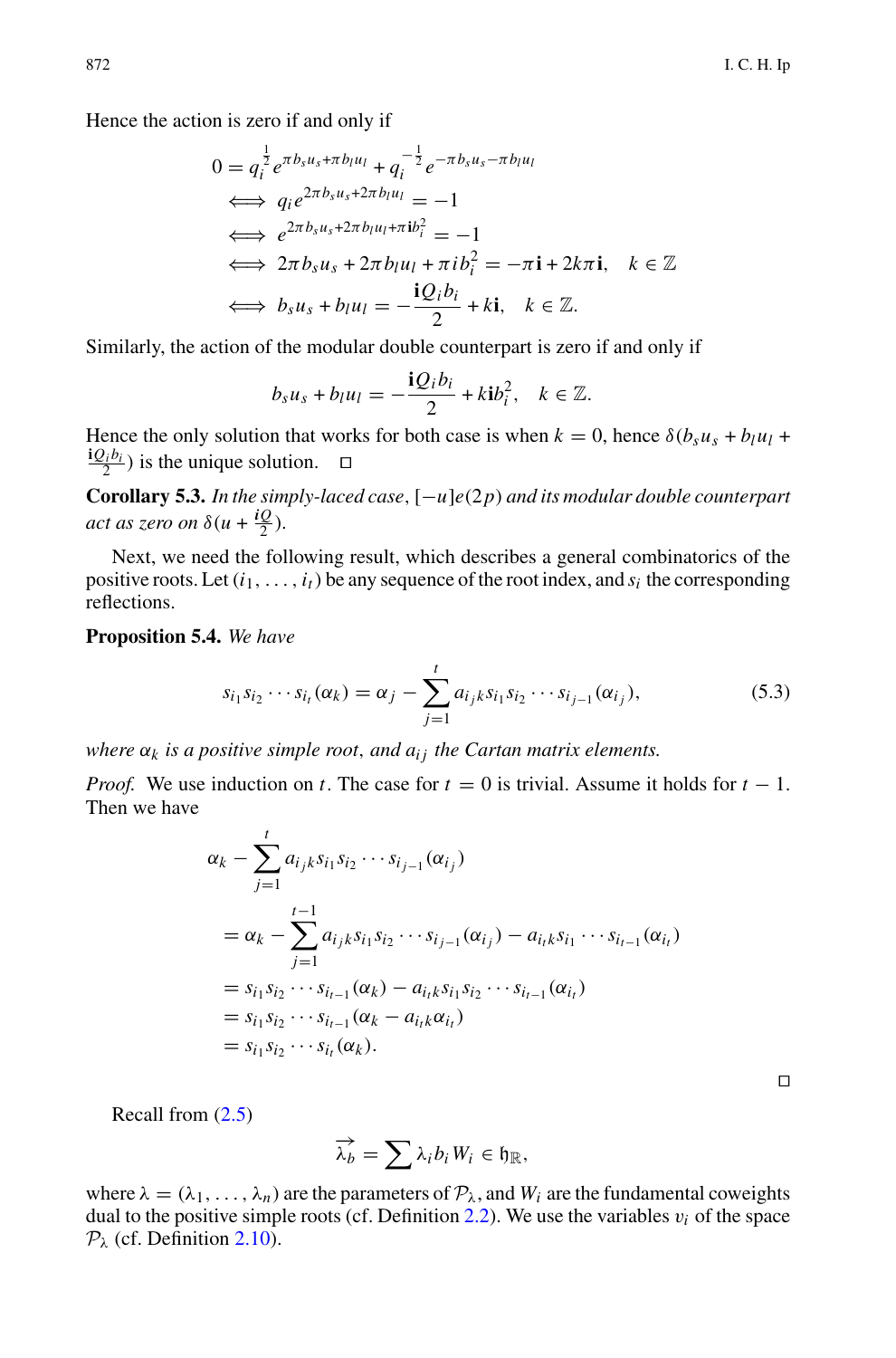Hence the action is zero if and only if

$$
0 = q_i^{\frac{1}{2}} e^{\pi b_s u_s + \pi b_l u_l} + q_i^{-\frac{1}{2}} e^{-\pi b_s u_s - \pi b_l u_l}
$$
  
\n
$$
\iff q_i e^{2\pi b_s u_s + 2\pi b_l u_l} = -1
$$
  
\n
$$
\iff e^{2\pi b_s u_s + 2\pi b_l u_l + \pi i b_i^2} = -1
$$
  
\n
$$
\iff 2\pi b_s u_s + 2\pi b_l u_l + \pi i b_i^2 = -\pi \mathbf{i} + 2k\pi \mathbf{i}, \quad k \in \mathbb{Z}
$$
  
\n
$$
\iff b_s u_s + b_l u_l = -\frac{\mathbf{i} Q_i b_l}{2} + k \mathbf{i}, \quad k \in \mathbb{Z}.
$$

Similarly, the action of the modular double counterpart is zero if and only if

$$
b_s u_s + b_l u_l = -\frac{\mathbf{i} Q_i b_i}{2} + k \mathbf{i} b_i^2, \quad k \in \mathbb{Z}.
$$

Hence the only solution that works for both case is when  $k = 0$ , hence  $\delta(b_s u_s + b_l u_l +$  $\frac{\mathbf{i} Q_i b_i}{2}$  is the unique solution.  $\Box$ 

**Corollary 5.3.** *In the simply-laced case*, [−*u*]*e*(2*p*) *and its modular double counterpart act as zero on*  $\delta(u + \frac{iQ}{2})$ *.* 

Next, we need the following result, which describes a general combinatorics of the positive roots. Let  $(i_1, ..., i_t)$  be any sequence of the root index, and  $s_i$  the corresponding reflections.<br>**Proposition 5.4.** We have<br> $s_{i_1}s_{i_2} \cdots s_{i_t}(\alpha_k) = \alpha_j - \sum_{i=1}^t a_{i_jk}s_{i_1}s_{i_2} \cdots s_{i_{j-1}}(\alpha_{i_j}),$  (5.3) reflections.

<span id="page-15-0"></span>**Proposition 5.4.** *We have*

$$
s_{i_1}s_{i_2}\cdots s_{i_t}(\alpha_k) = \alpha_j - \sum_{j=1}^t a_{i_jk}s_{i_1}s_{i_2}\cdots s_{i_{j-1}}(\alpha_{i_j}),
$$
\n(5.3)

*where*  $\alpha_k$  *is a positive simple root, and*  $a_{ij}$  *the Cartan matrix elements.*<br> *Proof.* We use induction on *t*. The case for  $t = 0$  is trivial. Assume it Then we have<br>  $\alpha_k - \sum_{i=1}^{t} a_{ijk} s_{i1} s_{i2} \cdots s_{i_{j-1}} (\alpha_{i_j})$ *Proof.* We use induction on *t*. The case for  $t = 0$  is trivial. Assume it holds for  $t - 1$ . Then we have

$$
\alpha_k - \sum_{j=1}^t a_{i_j k} s_{i_1} s_{i_2} \cdots s_{i_{j-1}}(\alpha_{i_j})
$$
  
\n
$$
= \alpha_k - \sum_{j=1}^{t-1} a_{i_j k} s_{i_1} s_{i_2} \cdots s_{i_{j-1}}(\alpha_{i_j}) - a_{i_t k} s_{i_1} \cdots s_{i_{t-1}}(\alpha_{i_t})
$$
  
\n
$$
= s_{i_1} s_{i_2} \cdots s_{i_{t-1}}(\alpha_k) - a_{i_t k} s_{i_1} s_{i_2} \cdots s_{i_{t-1}}(\alpha_{i_t})
$$
  
\n
$$
= s_{i_1} s_{i_2} \cdots s_{i_{t-1}}(\alpha_k - a_{i_t k} \alpha_{i_t})
$$
  
\n
$$
= s_{i_1} s_{i_2} \cdots s_{i_t}(\alpha_k).
$$

Recall from [\(2.5\)](#page-4-1)

$$
\overrightarrow{(\alpha_k)} \cdot \overrightarrow{h_{i_1k} \cdot h_{i_1j}} \quad (a_k).
$$
\n
$$
\overrightarrow{\lambda_b} = \sum \lambda_i b_i W_i \in \mathfrak{h}_{\mathbb{R}},
$$

where  $\lambda = (\lambda_1, \ldots, \lambda_n)$  are the parameters of  $P_{\lambda}$ , and  $W_i$  are the fundamental coweights dual to the positive simple roots (cf. Definition  $2.2$ ). We use the variables  $v_i$  of the space  $P_{\lambda}$  (cf. Definition [2.10\)](#page-7-1).

 $\Box$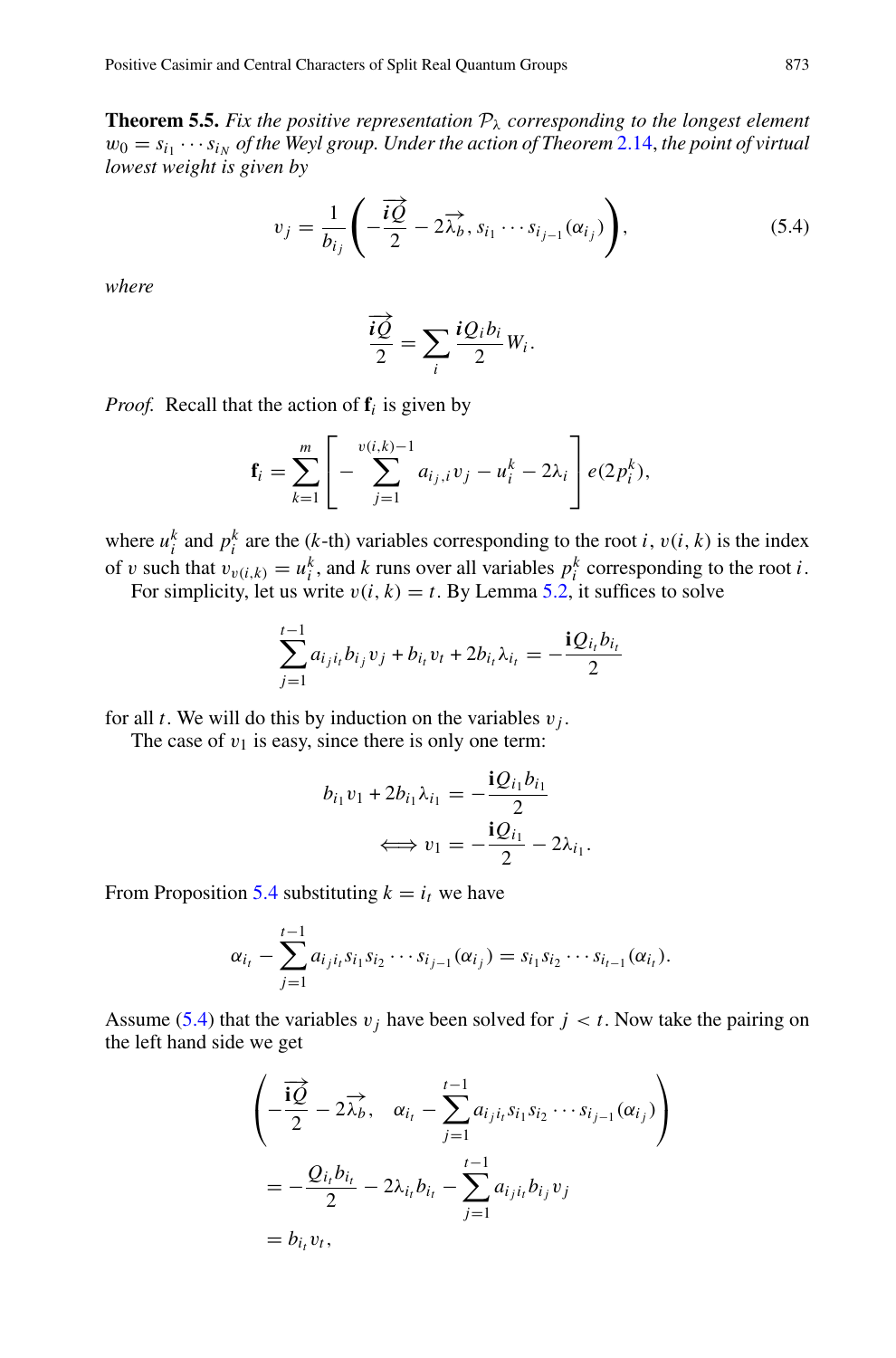**Theorem 5.5.** Fix the positive representation  $P_\lambda$  corresponding to the longest element  $w_0 = s_{i_1} \cdots s_{i_N}$  of the Weyl group. Under the action of Theorem [2.14,](#page-8-5) the point of virtual *lowest weight is given by*

$$
v_j = \frac{1}{b_{i_j}} \left( -\frac{\vec{i} \vec{Q}}{2} - 2\overrightarrow{\lambda_b}, s_{i_1} \cdots s_{i_{j-1}}(\alpha_{i_j}) \right), \tag{5.4}
$$

<span id="page-16-0"></span>*where*

$$
-\frac{iQ}{2} - 2\overline{\lambda}_b, s_{i_1} \cdots s
$$

$$
\frac{i\overrightarrow{Q}}{2} = \sum_i \frac{iQ_i b_i}{2} W_i.
$$

*Proof.* Recall that the action of **f***<sup>i</sup>* is given by

$$
\frac{1}{2} = \sum_{i} \frac{1}{2} w_i.
$$
  
the action of  $\mathbf{f}_i$  is given by  

$$
\mathbf{f}_i = \sum_{k=1}^{m} \left[ -\sum_{j=1}^{v(i,k)-1} a_{i_j,i} v_j - u_i^k - 2\lambda_i \right] e(2p_i^k),
$$

where  $u_i^k$  and  $p_i^k$  are the (*k*-th) variables corresponding to the root *i*,  $v(i, k)$  is the index of v such that  $v_{v(i,k)} = u_i^k$ , and *k* runs over all variables  $p_i^k$  corresponding to the root *i*. For simplicity, let us write  $v(i, k) = t$ . By Lemma [5.2,](#page-14-0) it suffices to solve

$$
\sum_{j=1}^{t-1} a_{i_j i_t} b_{i_j} v_j + b_{i_t} v_t + 2b_{i_t} \lambda_{i_t} = -\frac{\mathbf{i} Q_{i_t} b_{i_t}}{2}
$$

for all *t*. We will do this by induction on the variables  $v_i$ .

The case of  $v_1$  is easy, since there is only one term:

$$
b_{i_1}v_1 + 2b_{i_1}\lambda_{i_1} = -\frac{\mathbf{i}Q_{i_1}b_{i_1}}{2}
$$

$$
\iff v_1 = -\frac{\mathbf{i}Q_{i_1}}{2} - 2\lambda_{i_1}.
$$

From Proposition [5.4](#page-15-0) substituting  $k = i_t$  we have

$$
\iff v_1 = -\frac{iQ_{i_1}}{2} - 2\lambda_{i_1}.
$$
  
on 5.4 substituting  $k = i_t$  we have  

$$
\alpha_{i_t} - \sum_{j=1}^{t-1} a_{i_j i_t} s_{i_1} s_{i_2} \cdots s_{i_{j-1}} (\alpha_{i_j}) = s_{i_1} s_{i_2} \cdots s_{i_{t-1}} (\alpha_{i_t}).
$$

Assume [\(5.4\)](#page-16-0) that the variables  $v_j$  have been solved for  $j < t$ . Now take the pairing on the left hand side we get

$$
j=1
$$
  
the variables  $v_j$  have been solved for  $j < t$ . Now ta  
we get  

$$
\left(-\frac{\overrightarrow{iQ}}{2} - 2\overrightarrow{\lambda}_b, \quad \alpha_{i_t} - \sum_{j=1}^{t-1} a_{i_j i_t} s_{i_1} s_{i_2} \cdots s_{i_{j-1}}(\alpha_{i_j})\right)
$$

$$
= -\frac{Q_{i_t} b_{i_t}}{2} - 2\lambda_{i_t} b_{i_t} - \sum_{j=1}^{t-1} a_{i_j i_t} b_{i_j} v_j
$$

$$
= b_{i_t} v_t,
$$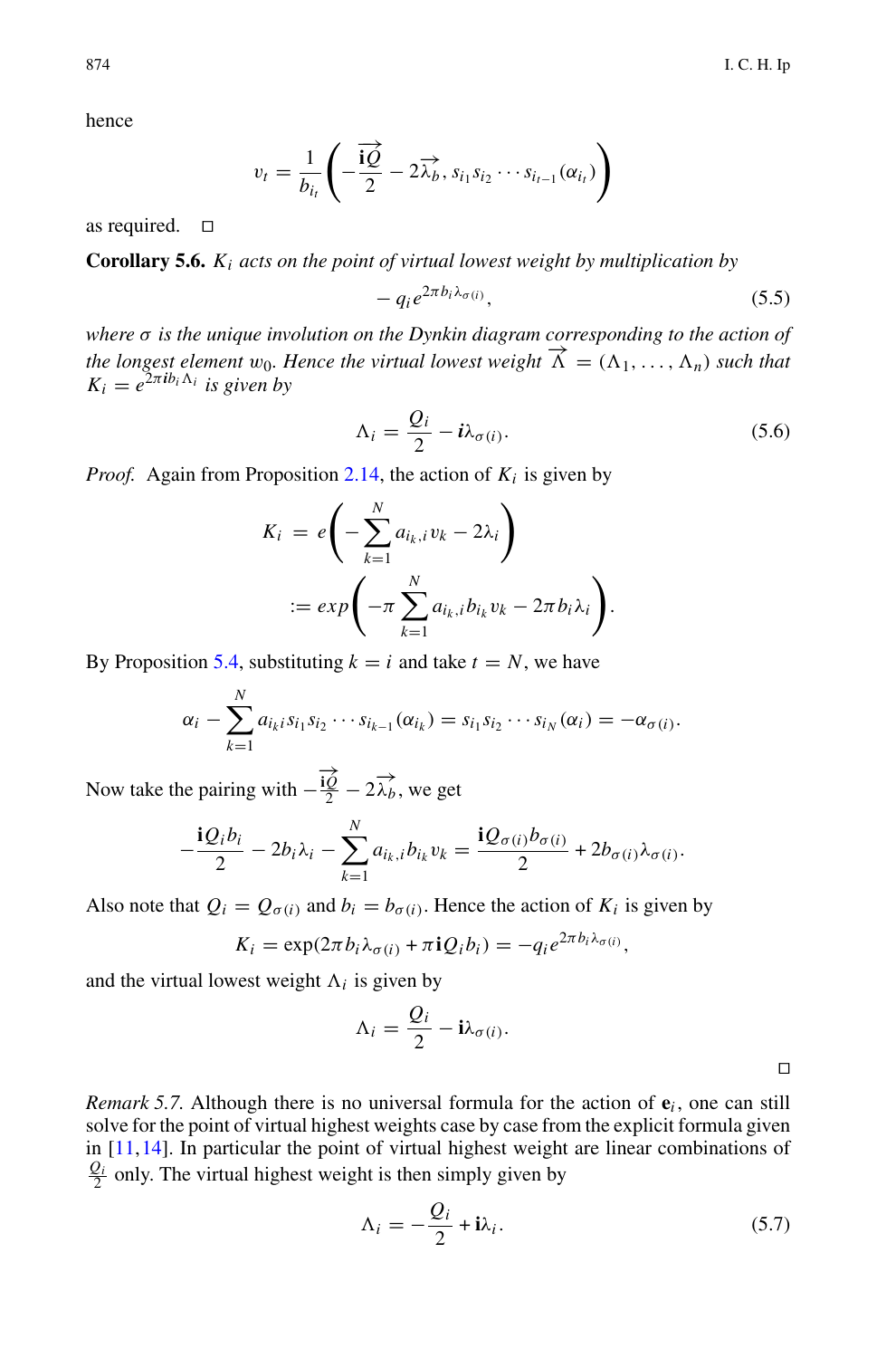hence

$$
v_t = \frac{1}{b_{i_t}} \left( -\frac{\overrightarrow{\mathbf{iQ}}}{2} - 2\overrightarrow{\lambda_b}, s_{i_1} s_{i_2} \cdots s_{i_{t-1}}(\alpha_{i_t}) \right)
$$

as required.  $\square$ 

**Corollary 5.6.** *Ki acts on the point of virtual lowest weight by multiplication by*

$$
-q_i e^{2\pi b_i \lambda_{\sigma(i)}}, \tag{5.5}
$$

*where* σ *is the unique involution on the Dynkin diagram corresponding to the action of the longest element*  $w_0$ *. Hence the virtual lowest weight*  $\overrightarrow{\Lambda} = (\Lambda_1, \ldots, \Lambda_n)$  *such that*  $K_i = e^{2\pi i b_i \Lambda_i}$  *is given by* 

$$
\Lambda_i = \frac{Q_i}{2} - i\lambda_{\sigma(i)}.
$$
\n(5.6)

*Proof.* Again from Proposition 2.14, the action of 
$$
K_i
$$
 is given by\n
$$
K_i = e\left(-\sum_{k=1}^N a_{i_k,i}v_k - 2\lambda_i\right)
$$
\n
$$
:= exp\left(-\pi \sum_{k=1}^N a_{i_k,i}b_{i_k}v_k - 2\pi b_i\lambda_i\right).
$$

By Proposition [5.4,](#page-15-0) substituting  $k = i$  and take  $t = N$ , we have

$$
:= exp\left(-\pi \sum_{k=1} a_{i_k, i} b_{i_k} v_k - 2\pi b_i \lambda_i\right).
$$
  
ion 5.4, substituting  $k = i$  and take  $t = N$ , we have  

$$
\alpha_i - \sum_{k=1}^N a_{i_k i} s_{i_1} s_{i_2} \cdots s_{i_{k-1}} (\alpha_{i_k}) = s_{i_1} s_{i_2} \cdots s_{i_N} (\alpha_i) = -\alpha_{\sigma(i)}.
$$

Now take the pairing with  $-\frac{\overrightarrow{iQ}}{2} - 2\overrightarrow{\lambda}_b$ , we get

$$
\alpha_i - \sum_{k=1} a_{i_k i} s_{i_1} s_{i_2} \cdots s_{i_{k-1}} (\alpha_{i_k}) = s_{i_1} s_{i_2} \cdots s_{i_N} (\alpha_i) = -\alpha_{\sigma(i)}.
$$
  
we pairing with  $-\frac{\overrightarrow{i\phi}}{2} - 2\overrightarrow{\lambda_b}$ , we get  

$$
-\frac{\mathbf{i} Q_i b_i}{2} - 2b_i \lambda_i - \sum_{k=1}^N a_{i_k, i} b_{i_k} v_k = \frac{\mathbf{i} Q_{\sigma(i)} b_{\sigma(i)}}{2} + 2b_{\sigma(i)} \lambda_{\sigma(i)}.
$$

Also note that  $Q_i = Q_{\sigma(i)}$  and  $b_i = b_{\sigma(i)}$ . Hence the action of  $K_i$  is given by

$$
K_i = \exp(2\pi b_i \lambda_{\sigma(i)} + \pi i Q_i b_i) = -q_i e^{2\pi b_i \lambda_{\sigma(i)}},
$$

and the virtual lowest weight  $\Lambda_i$  is given by

$$
\Lambda_i = \frac{Q_i}{2} - i\lambda_{\sigma(i)}.
$$

*Remark 5.7.* Although there is no universal formula for the action of  $e_i$ , one can still solve for the point of virtual highest weights case by case from the explicit formula given in [\[11](#page-30-15),[14](#page-30-7)]. In particular the point of virtual highest weight are linear combinations of  $\frac{Q_i}{2}$  only. The virtual highest weight is then simply given by

$$
\Lambda_i = -\frac{Q_i}{2} + i\lambda_i. \tag{5.7}
$$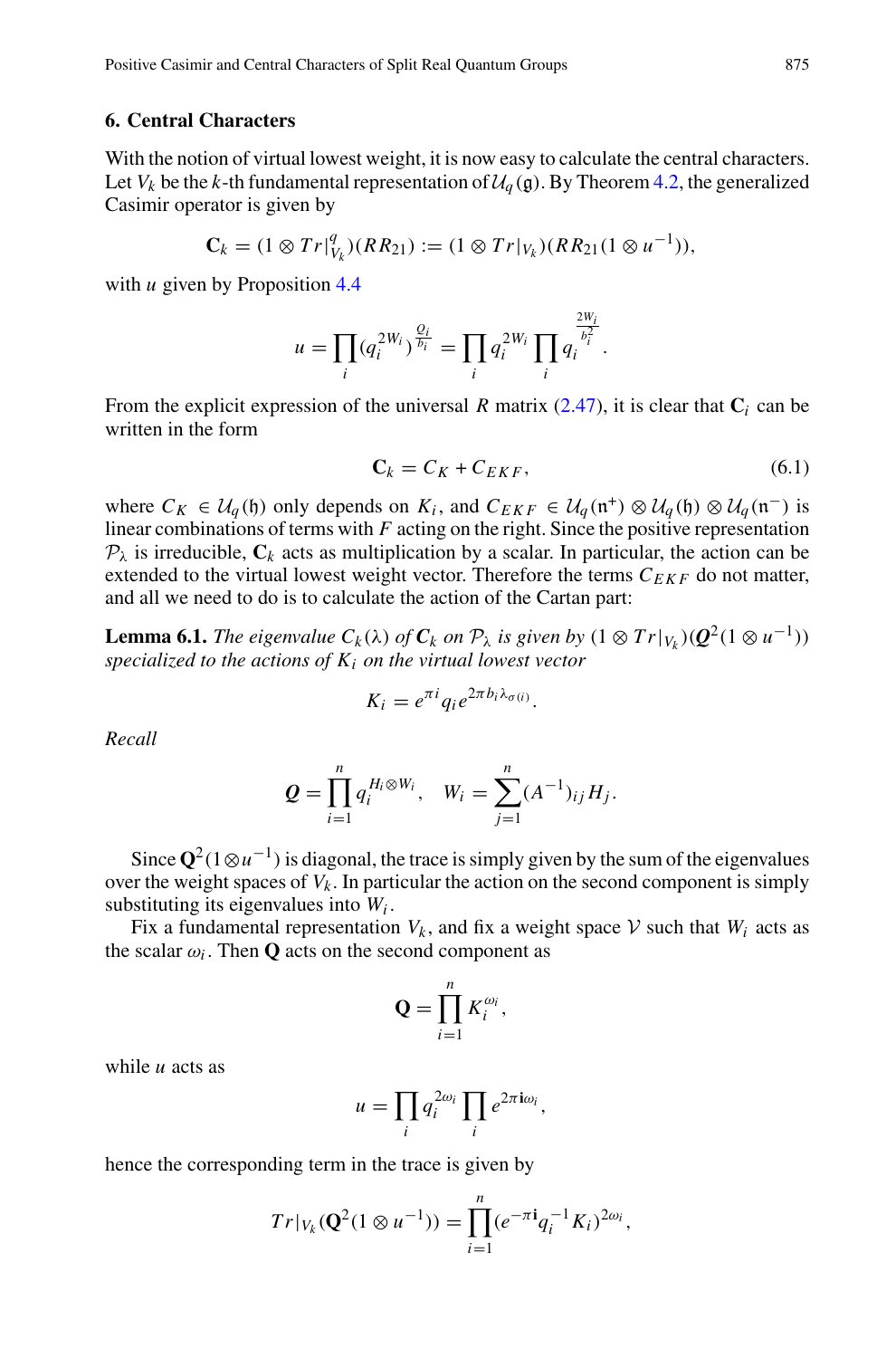#### <span id="page-18-0"></span>**6. Central Characters**

With the notion of virtual lowest weight, it is now easy to calculate the central characters. Let  $V_k$  be the *k*-th fundamental representation of  $\mathcal{U}_q(\mathfrak{g})$ . By Theorem [4.2,](#page-12-0) the generalized Casimir operator is given by

$$
\mathbf{C}_k = (1 \otimes Tr|_{V_k}^q)(RR_{21}) := (1 \otimes Tr|_{V_k})(RR_{21}(1 \otimes u^{-1})),
$$

with *u* given by Proposition [4.4](#page-13-1)

$$
\begin{aligned} & \int Tr \, \big|_{V_k}^q \big( (R_2 \mathbf{R}_1) \big) := (1 \otimes Tr \, \big|_{V_k} \big) (R_2 \mathbf{R}_2) \big( \\ & \text{ation 4.4} \\ & u = \prod_i \big( q_i^{2W_i} \big)^{\frac{Q_i}{b_i}} = \prod_i q_i^{2W_i} \prod_i q_i^{\frac{2W_i}{b_i^2}}. \end{aligned}
$$

From the explicit expression of the universal *R* matrix [\(2.47\)](#page-9-0), it is clear that  $C_i$  can be written in the form

$$
\mathbf{C}_k = C_K + C_{EKF},\tag{6.1}
$$

where  $C_K$  ∈  $U_q$ (h) only depends on  $K_i$ , and  $C_{EKF}$  ∈  $U_q(\mathfrak{n}^+) \otimes U_q(\mathfrak{h}) \otimes U_q(\mathfrak{n}^-)$  is linear combinations of terms with *F* acting on the right. Since the positive representation  $P_{\lambda}$  is irreducible,  $C_k$  acts as multiplication by a scalar. In particular, the action can be extended to the virtual lowest weight vector. Therefore the terms  $C_{EKF}$  do not matter, and all we need to do is to calculate the action of the Cartan part:

**Lemma 6.1.** *The eigenvalue*  $C_k(\lambda)$  *of*  $C_k$  *on*  $\mathcal{P}_\lambda$  *is given by*  $(1 \otimes Tr|_{V_k})(Q^2(1 \otimes u^{-1}))$ *specialized to the actions of Ki on the virtual lowest vector*

$$
K_i = e^{\pi i} q_i e^{2\pi b_i \lambda_{\sigma(i)}}.
$$

*Recall*

$$
K_i = e^{\pi i} q_i e^{2\pi b_i \lambda_{\sigma(i)}}.
$$
  

$$
Q = \prod_{i=1}^n q_i^{H_i \otimes W_i}, \quad W_i = \sum_{j=1}^n (A^{-1})_{ij} H_j.
$$

Since  $\mathbf{Q}^2(1\otimes u^{-1})$  is diagonal, the trace is simply given by the sum of the eigenvalues over the weight spaces of  $V_k$ . In particular the action on the second component is simply substituting its eigenvalues into *Wi* .

Fix a fundamental representation  $V_k$ , and fix a weight space  $V$  such that  $W_i$  acts as the scalar  $\omega_i$ . Then **Q** acts on the second component as

iicular the action

\nin 
$$
V_k
$$
, and fix a

\ncond component

\n $Q = \prod_{i=1}^{n} K_i^{\omega_i}$ 

while *u* acts as

$$
\mathbf{Q} = \prod_{i=1}^{n} K_i^{\omega_i},
$$

$$
u = \prod_i q_i^{2\omega_i} \prod_i e^{2\pi i \omega_i},
$$

hence the corresponding term in the trace is given by

$$
u = \prod_i q_i^{2\omega_i} \prod_i e^{2\pi i \omega_i},
$$
  
ding term in the trace is given by  

$$
Tr|_{V_k}(\mathbf{Q}^2(1 \otimes u^{-1})) = \prod_{i=1}^n (e^{-\pi i} q_i^{-1} K_i)^{2\omega_i},
$$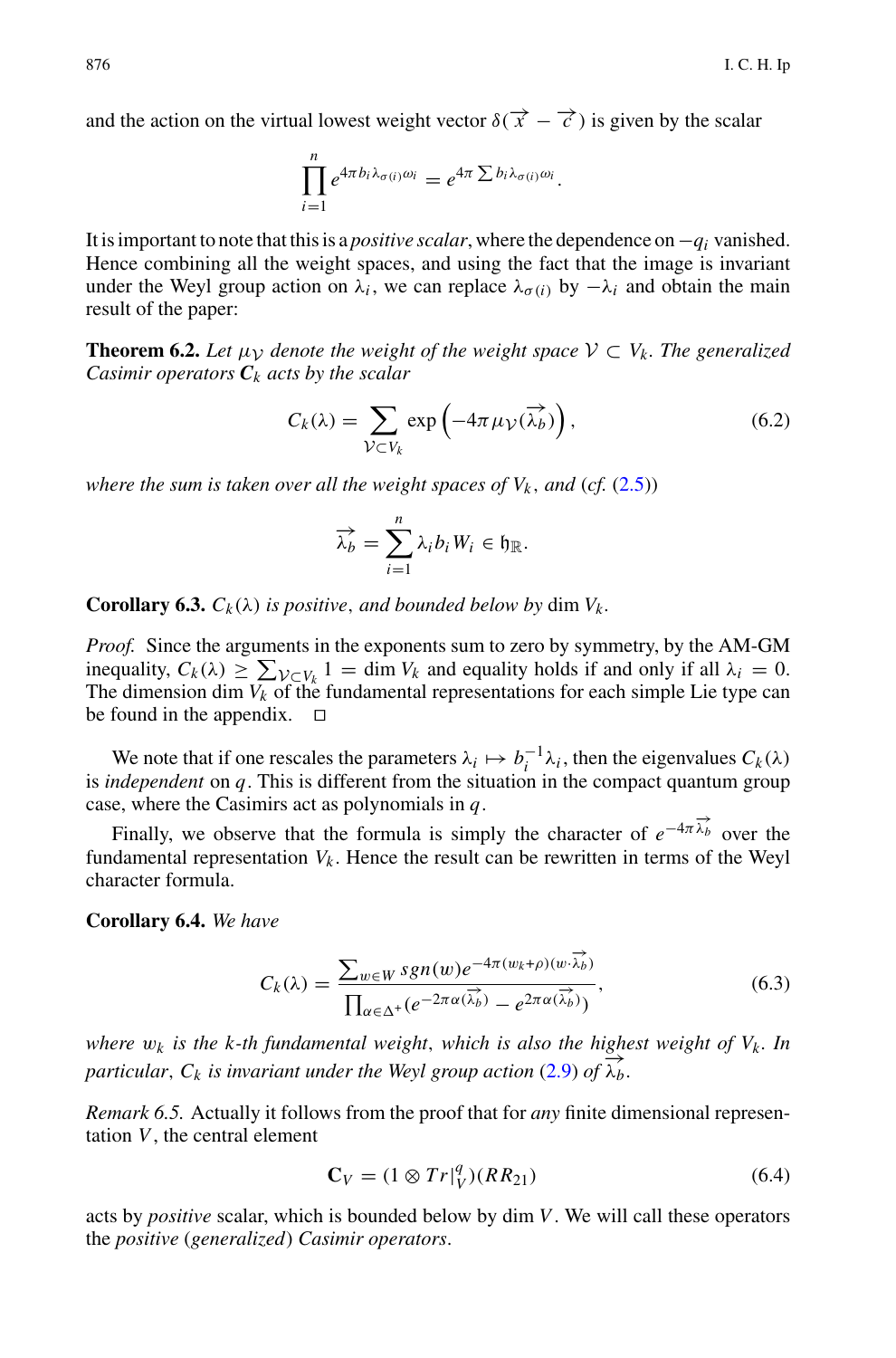and the action on the virtual lowest weight vector  $\delta(\vec{x} - \vec{c})$  is given by the scalar

al lowest weight vector 
$$
\delta(\overrightarrow{x} - \overrightarrow{\prod}_{i=1}^{n} e^{4\pi b_i \lambda_{\sigma(i)} \omega_i} = e^{4\pi \sum b_i \lambda_{\sigma(i)} \omega_i}.
$$

It is important to note that this is a *positive scalar*, where the dependence on−*qi* vanished. Hence combining all the weight spaces, and using the fact that the image is invariant under the Weyl group action on  $\lambda_i$ , we can replace  $\lambda_{\sigma(i)}$  by  $-\lambda_i$  and obtain the main result of the paper:

<span id="page-19-0"></span>**Theorem 6.2.** Let  $\mu$ <sub>V</sub> denote the weight of the weight space  $V \subset V_k$ . The generalized *Casimir operators C<sup>k</sup> acts by the scalar Ck* (*Ck*) =  $\sum_{k=1}^{\infty} \exp\left(-\frac{1}{k}\right)$  =  $\sum_{k=1}^{\infty} \exp\left(-\frac{1}{k}\right)$  =  $\sum_{k=1}^{\infty} \exp\left(-\frac{1}{k}\right)$  =  $\sum_{k=1}^{\infty} \exp\left(-\frac{1}{k}\right)$  =  $\sum_{k=1}^{\infty} \exp\left(-\frac{1}{k}\right)$  =  $\sum_{k=1}^{\infty} \exp\left(-\frac{1}{k}\right)$  =  $\sum_{k=1}^{\infty} \exp\left(-\frac{$ 

$$
C_k(\lambda) = \sum_{\mathcal{V} \subset V_k} \exp\left(-4\pi \mu_{\mathcal{V}}(\overrightarrow{\lambda_b})\right),
$$
\nfor all the weight spaces of  $V_k$ , and (cf. (2.5))

\n
$$
\overrightarrow{\lambda_b} = \sum_{k=1}^n \lambda_i b_i W_i \in \mathfrak{h}_{\mathbb{R}}.
$$
\n(6.2)

*where the sum is taken over all the weight spaces of Vk* , *and* (*cf.* [\(2.5\)](#page-4-1))

$$
\overrightarrow{\lambda}_b = \sum_{i=1}^n \lambda_i b_i W_i \in \mathfrak{h}_{\mathbb{R}}.
$$

**Corollary 6.3.**  $C_k(\lambda)$  *is positive, and bounded below by* dim  $V_k$ .

*Proof.* Since the arguments in the exponents sum to zero by symmetry, by the AM-GM **Corollary 6.3.**  $C_k(\lambda)$  is positive, and bounded below by dim  $V_k$ .<br>*Proof.* Since the arguments in the exponents sum to zero by symmetry, by the AM-GM<br>inequality,  $C_k(\lambda) \ge \sum_{V \subset V_k} 1 = \dim V_k$  and equality holds if and only The dimension dim  $V_k$  of the fundamental representations for each simple Lie type can be found in the appendix.  $\Box$ 

We note that if one rescales the parameters  $\lambda_i \mapsto b_i^{-1} \lambda_i$ , then the eigenvalues  $C_k(\lambda)$ is *independent* on *q*. This is different from the situation in the compact quantum group case, where the Casimirs act as polynomials in *q*.

Finally, we observe that the formula is simply the character of  $e^{-4\pi\vec{\lambda}_b}$  over the fundamental representation  $V_k$ . Hence the result can be rewritten in terms of the Weyl character formula.

**Corollary 6.4.** *We have*

$$
C_k(\lambda) = \frac{\sum_{w \in W} sgn(w)e^{-4\pi(w_k + \rho)(w \cdot \overrightarrow{\lambda_b})}}{\prod_{\alpha \in \Delta^+} (e^{-2\pi \alpha(\overrightarrow{\lambda_b})} - e^{2\pi \alpha(\overrightarrow{\lambda_b})})},
$$
(6.3)

*where*  $w_k$  *is the k-th fundamental weight, which is also the highest weight of*  $V_k$ *. In particular,*  $C_k$  *is invariant under the Weyl group action* [\(2.9\)](#page-4-2) *of*  $\overrightarrow{\lambda_b}$ *.* 

*Remark 6.5.* Actually it follows from the proof that for *any* finite dimensional representation *V*, the central element

$$
\mathbf{C}_V = (1 \otimes Tr|_V^q)(RR_{21})
$$
\n(6.4)

acts by *positive* scalar, which is bounded below by dim *V*. We will call these operators the *positive* (*generalized*) *Casimir operators*.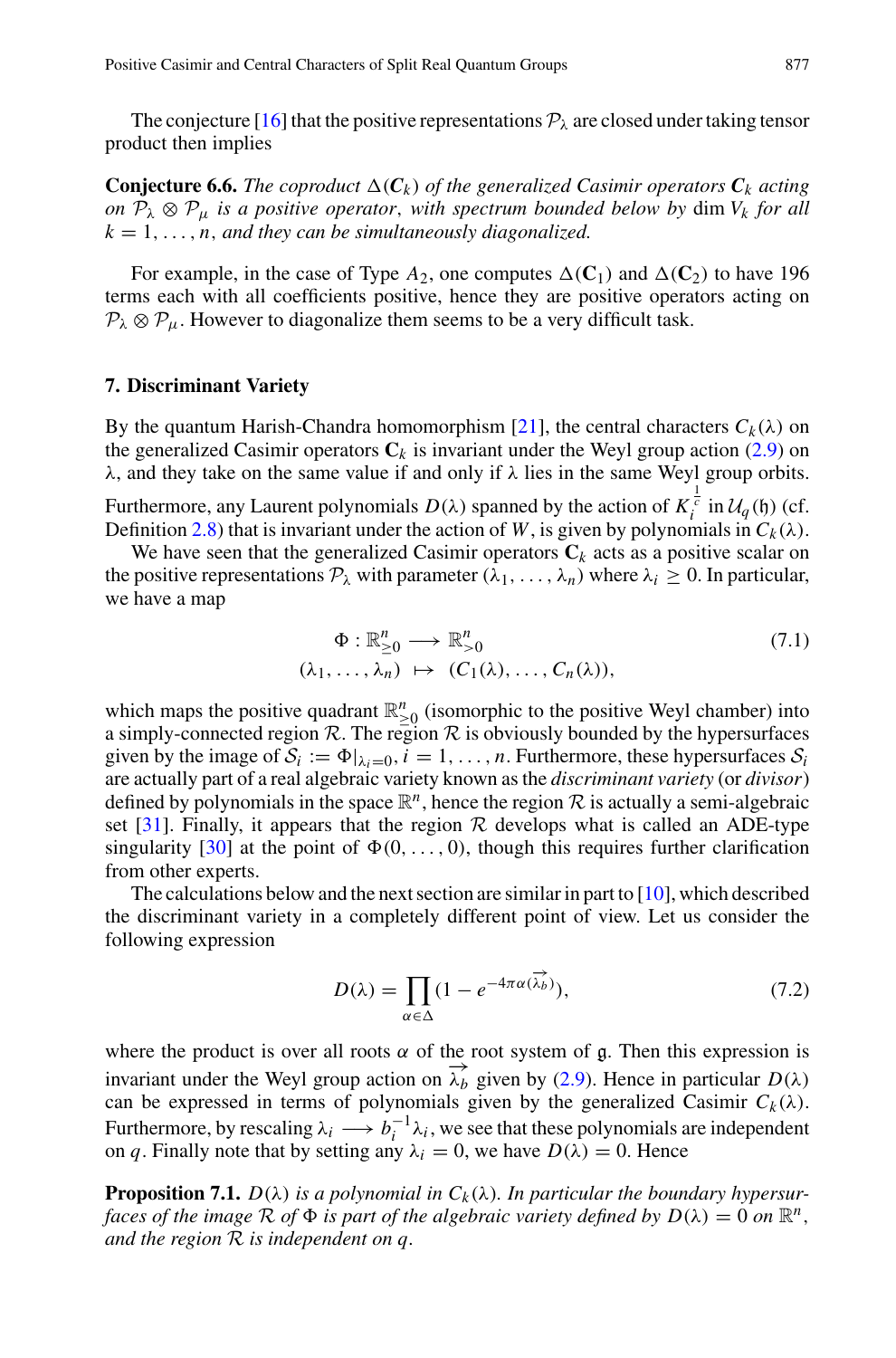The conjecture [\[16\]](#page-31-7) that the positive representations  $\mathcal{P}_{\lambda}$  are closed under taking tensor product then implies

**Conjecture 6.6.** The coproduct  $\Delta(C_k)$  of the generalized Casimir operators  $C_k$  acting *on*  $P_{\lambda} \otimes P_{\mu}$  *is a positive operator, with spectrum bounded below by dim*  $V_k$  *for all*  $k = 1, \ldots, n$ , and they can be simultaneously diagonalized.

For example, in the case of Type  $A_2$ , one computes  $\Delta(C_1)$  and  $\Delta(C_2)$  to have 196 terms each with all coefficients positive, hence they are positive operators acting on  $P_{\lambda} \otimes P_{\mu}$ . However to diagonalize them seems to be a very difficult task.

#### <span id="page-20-0"></span>**7. Discriminant Variety**

By the quantum Harish-Chandra homomorphism [\[21](#page-31-6)], the central characters  $C_k(\lambda)$  on the generalized Casimir operators  $C_k$  is invariant under the Weyl group action  $(2.9)$  on  $\lambda$ , and they take on the same value if and only if  $\lambda$  lies in the same Weyl group orbits.

Furthermore, any Laurent polynomials  $D(\lambda)$  spanned by the action of  $K_i^{\frac{1}{c}}$  in  $U_q(\mathfrak{h})$  (cf.<br>Definition 2.8) that is invariant under the action of W, is given by polynomials in  $C_k(\lambda)$ . Definition [2.8\)](#page-5-2) that is invariant under the action of *W*, is given by polynomials in  $C_k(\lambda)$ .

We have seen that the generalized Casimir operators  $C_k$  acts as a positive scalar on the positive representations  $P_{\lambda}$  with parameter  $(\lambda_1, \ldots, \lambda_n)$  where  $\lambda_i \geq 0$ . In particular, we have a map

$$
\Phi: \mathbb{R}_{\geq 0}^n \longrightarrow \mathbb{R}_{>0}^n
$$
  
\n
$$
(\lambda_1, \dots, \lambda_n) \mapsto (C_1(\lambda), \dots, C_n(\lambda)),
$$
\n(7.1)

which maps the positive quadrant  $\mathbb{R}^n_{\geq 0}$  (isomorphic to the positive Weyl chamber) into<br>examply connected region  $\mathbb{R}$ . The positive  $\mathbb{R}$  is elevisymboly hounded by the hypergyrogeness a simply-connected region  $R$ . The region  $R$  is obviously bounded by the hypersurfaces given by the image of  $S_i := \Phi|_{\lambda_i=0}, i = 1, \ldots, n$ . Furthermore, these hypersurfaces  $S_i$ are actually part of a real algebraic variety known as the *discriminant variety* (or *divisor*) defined by polynomials in the space  $\mathbb{R}^n$ , hence the region  $\mathcal R$  is actually a semi-algebraic set [\[31\]](#page-31-9). Finally, it appears that the region  $R$  develops what is called an ADE-type singularity [\[30\]](#page-31-8) at the point of  $\Phi(0,\ldots, 0)$ , though this requires further clarification from other experts.

The calculations below and the next section are similar in part to  $[10]$ , which described the discriminant variety in a completely different point of view. Let us consider the following expression *D*( $\lambda$ ) =  $\prod$ 

$$
D(\lambda) = \prod_{\alpha \in \Delta} (1 - e^{-4\pi \alpha(\overrightarrow{\lambda_b})}), \tag{7.2}
$$

where the product is over all roots  $\alpha$  of the root system of g. Then this expression is invariant under the Weyl group action on  $\overline{\lambda_b}$  given by [\(2.9\)](#page-4-2). Hence in particular  $D(\lambda)$ can be expressed in terms of polynomials given by the generalized Casimir  $C_k(\lambda)$ . Furthermore, by rescaling  $\lambda_i \longrightarrow b_i^{-1} \lambda_i$ , we see that these polynomials are independent on *q*. Finally note that by setting any  $\lambda_i = 0$ , we have  $D(\lambda) = 0$ . Hence

**Proposition 7.1.**  $D(\lambda)$  *is a polynomial in*  $C_k(\lambda)$ *. In particular the boundary hypersurfaces of the image*  $\mathcal R$  *of*  $\Phi$  *is part of the algebraic variety defined by*  $D(\lambda) = 0$  *on*  $\mathbb R^n$ , *and the region R is independent on q.*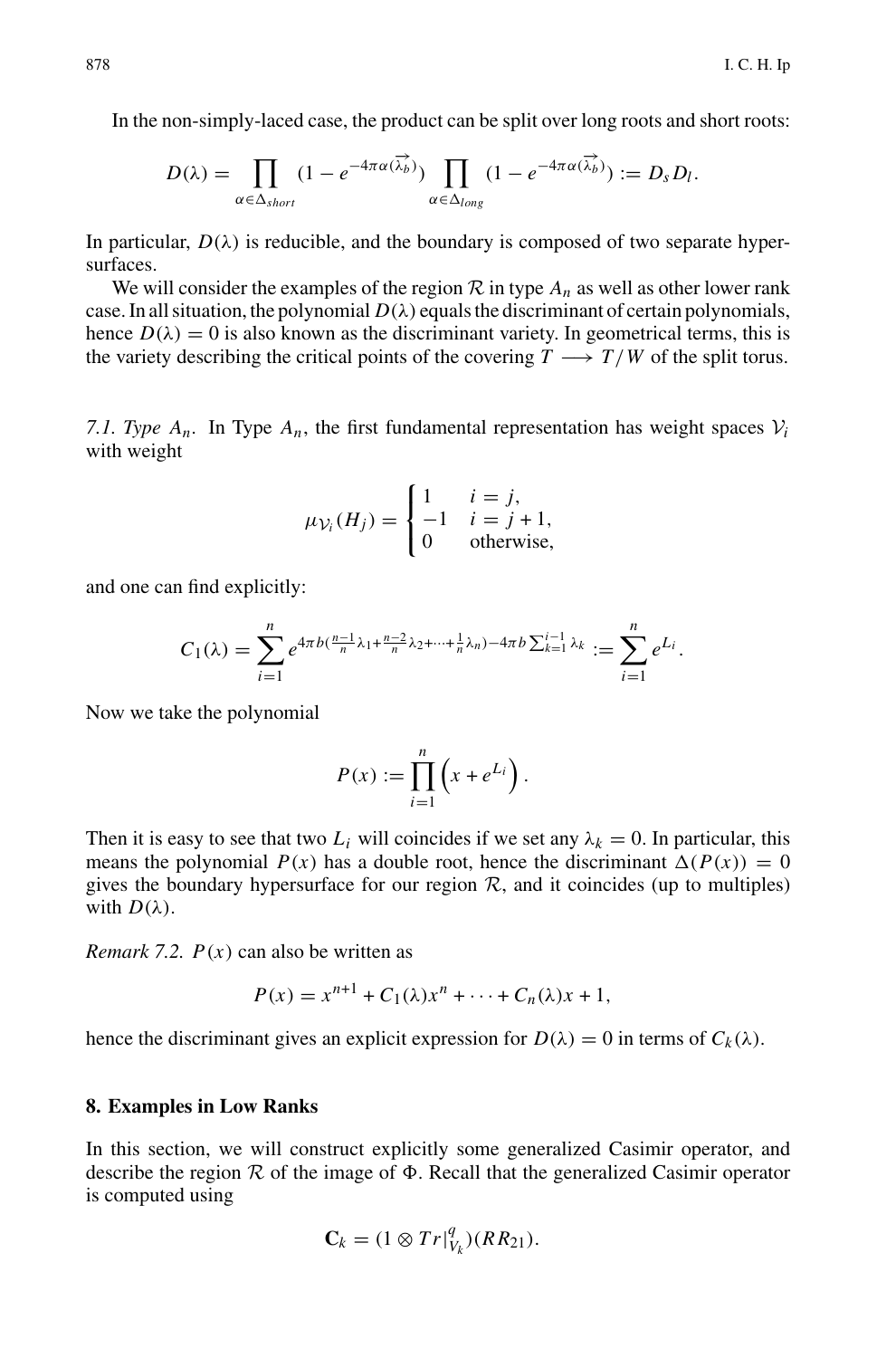In the non-simply-laced case, the product can be split over long roots and short roots:

non-simply-laced case, the product can be split over long roots and  
\n
$$
D(\lambda) = \prod_{\alpha \in \Delta_{short}} (1 - e^{-4\pi \alpha(\overrightarrow{\lambda_b})}) \prod_{\alpha \in \Delta_{long}} (1 - e^{-4\pi \alpha(\overrightarrow{\lambda_b})}) := D_s D_l.
$$

In particular,  $D(\lambda)$  is reducible, and the boundary is composed of two separate hypersurfaces.

We will consider the examples of the region  $R$  in type  $A_n$  as well as other lower rank case. In all situation, the polynomial  $D(\lambda)$  equals the discriminant of certain polynomials, hence  $D(\lambda) = 0$  is also known as the discriminant variety. In geometrical terms, this is the variety describing the critical points of the covering  $T \rightarrow T/W$  of the split torus.

<span id="page-21-0"></span>*7.1. Type*  $A_n$ *. In Type*  $A_n$ *, the first fundamental representation has weight spaces*  $V_i$ with weight

$$
\mu_{\mathcal{V}_i}(H_j) = \begin{cases} 1 & i = j, \\ -1 & i = j + 1, \\ 0 & \text{otherwise,} \end{cases}
$$

and one can find explicitly:

$$
\mu_{\mathcal{V}_i}(H_j) = \begin{cases}\n-1 & i = j + 1, \\
0 & \text{otherwise,} \n\end{cases}
$$
\nand explicitly:

\n
$$
C_1(\lambda) = \sum_{i=1}^n e^{4\pi b (\frac{n-1}{n}\lambda_1 + \frac{n-2}{n}\lambda_2 + \dots + \frac{1}{n}\lambda_n) - 4\pi b \sum_{k=1}^{i-1} \lambda_k} := \sum_{i=1}^n e^{L_i}.
$$

Now we take the polynomial

$$
P(x) := \prod_{i=1}^{n} \left( x + e^{L_i} \right).
$$

Then it is easy to see that two  $L_i$  will coincides if we set any  $\lambda_k = 0$ . In particular, this means the polynomial  $P(x)$  has a double root, hence the discriminant  $\Delta(P(x)) = 0$ gives the boundary hypersurface for our region  $R$ , and it coincides (up to multiples) with  $D(\lambda)$ .

*Remark 7.2. P*(*x*) can also be written as

$$
P(x) = x^{n+1} + C_1(\lambda)x^n + \cdots + C_n(\lambda)x + 1,
$$

hence the discriminant gives an explicit expression for  $D(\lambda) = 0$  in terms of  $C_k(\lambda)$ .

#### <span id="page-21-1"></span>**8. Examples in Low Ranks**

In this section, we will construct explicitly some generalized Casimir operator, and describe the region  $R$  of the image of  $\Phi$ . Recall that the generalized Casimir operator is computed using

$$
\mathbf{C}_k = (1 \otimes Tr|_{V_k}^q)(RR_{21}).
$$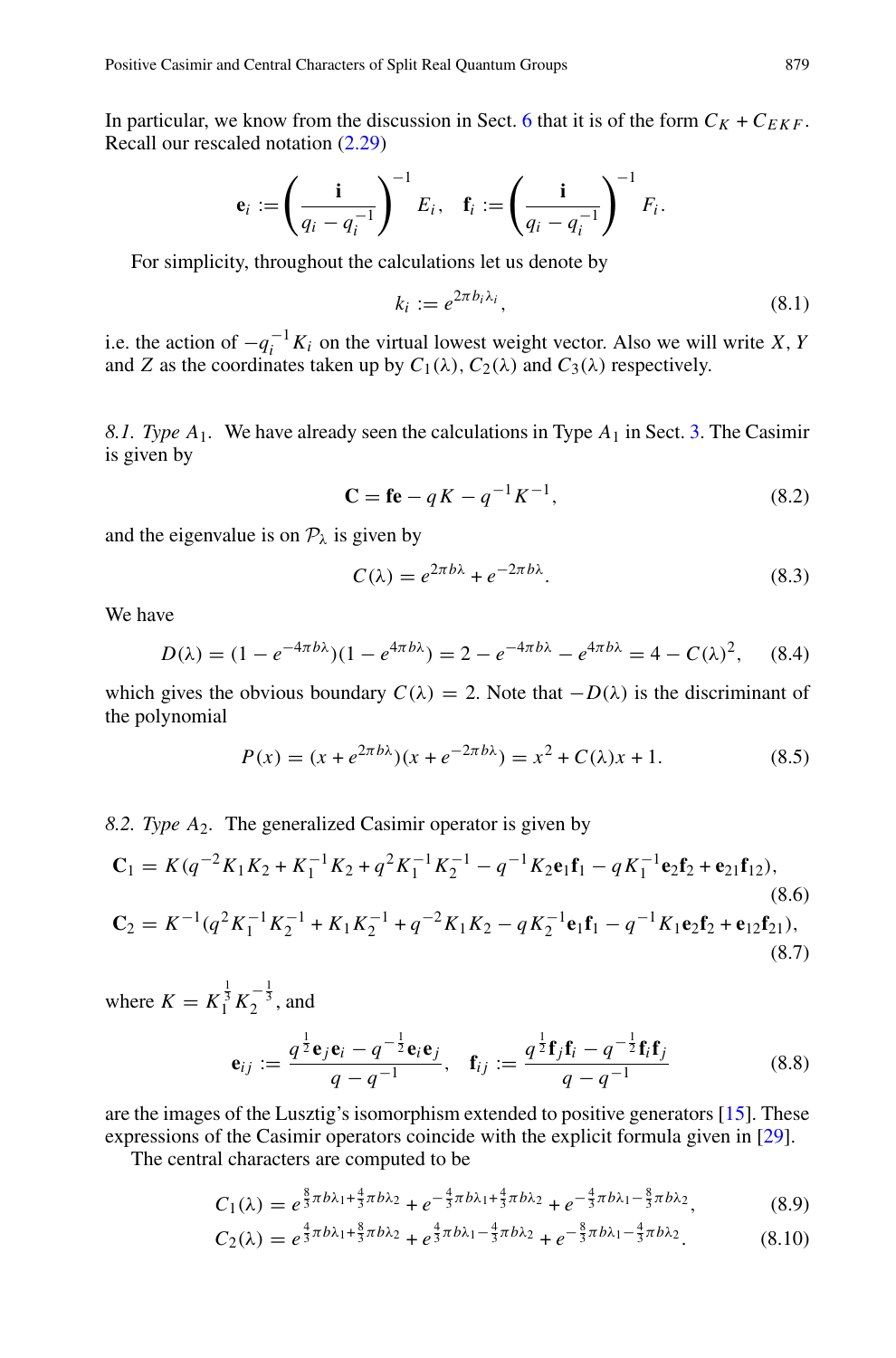In particular, we know from the discussion in Sect. [6](#page-18-0) that it is of the form  $C_K + C_{EKF}$ . Recall our rescaled notation [\(2.29\)](#page-6-1)

d Central Characteristics of Split Real Quantum Groups  
\nthe known from the discussion in Sect. 6 that it is of the f  
\n
$$
\mathbf{e}_i := \left(\frac{\mathbf{i}}{q_i - q_i^{-1}}\right)^{-1} E_i, \quad \mathbf{f}_i := \left(\frac{\mathbf{i}}{q_i - q_i^{-1}}\right)^{-1} F_i.
$$

For simplicity, throughout the calculations let us denote by

$$
k_i := e^{2\pi b_i \lambda_i},\tag{8.1}
$$

i.e. the action of  $-q_i^{-1}K_i$  on the virtual lowest weight vector. Also we will write *X*, *Y* and *Z* as the coordinates taken up by  $C_1(\lambda)$ ,  $C_2(\lambda)$  and  $C_3(\lambda)$  respectively.

<span id="page-22-0"></span>*8.1. Type A*1*.* We have already seen the calculations in Type *A*<sup>1</sup> in Sect. [3.](#page-10-0) The Casimir is given by

$$
\mathbf{C} = \mathbf{f} \mathbf{e} - qK - q^{-1}K^{-1},\tag{8.2}
$$

and the eigenvalue is on  $P_{\lambda}$  is given by

$$
C(\lambda) = e^{2\pi b\lambda} + e^{-2\pi b\lambda}.
$$
 (8.3)

We have

$$
D(\lambda) = (1 - e^{-4\pi b\lambda})(1 - e^{4\pi b\lambda}) = 2 - e^{-4\pi b\lambda} - e^{4\pi b\lambda} = 4 - C(\lambda)^2, \quad (8.4)
$$

which gives the obvious boundary  $C(\lambda) = 2$ . Note that  $-D(\lambda)$  is the discriminant of the polynomial

$$
P(x) = (x + e^{2\pi b\lambda})(x + e^{-2\pi b\lambda}) = x^2 + C(\lambda)x + 1.
$$
 (8.5)

<span id="page-22-1"></span>*8.2. Type A*2*.* The generalized Casimir operator is given by

$$
\mathbf{C}_{1} = K(q^{-2}K_{1}K_{2} + K_{1}^{-1}K_{2} + q^{2}K_{1}^{-1}K_{2}^{-1} - q^{-1}K_{2}\mathbf{e}_{1}\mathbf{f}_{1} - qK_{1}^{-1}\mathbf{e}_{2}\mathbf{f}_{2} + \mathbf{e}_{21}\mathbf{f}_{12}),
$$
\n(8.6)  
\n
$$
\mathbf{C}_{2} = K^{-1}(q^{2}K_{1}^{-1}K_{2}^{-1} + K_{1}K_{2}^{-1} + q^{-2}K_{1}K_{2} - qK_{2}^{-1}\mathbf{e}_{1}\mathbf{f}_{1} - q^{-1}K_{1}\mathbf{e}_{2}\mathbf{f}_{2} + \mathbf{e}_{12}\mathbf{f}_{21}),
$$
\n(8.7)

where  $K = K_1^{\frac{1}{3}} K_2^{-\frac{1}{3}}$ , and

$$
\mathbf{e}_{ij} := \frac{q^{\frac{1}{2}} \mathbf{e}_j \mathbf{e}_i - q^{-\frac{1}{2}} \mathbf{e}_i \mathbf{e}_j}{q - q^{-1}}, \quad \mathbf{f}_{ij} := \frac{q^{\frac{1}{2}} \mathbf{f}_j \mathbf{f}_i - q^{-\frac{1}{2}} \mathbf{f}_i \mathbf{f}_j}{q - q^{-1}}
$$
(8.8)

are the images of the Lusztig's isomorphism extended to positive generators [\[15\]](#page-30-8). These expressions of the Casimir operators coincide with the explicit formula given in [\[29\]](#page-31-16).

The central characters are computed to be

$$
C_1(\lambda) = e^{\frac{8}{3}\pi b\lambda_1 + \frac{4}{3}\pi b\lambda_2} + e^{-\frac{4}{3}\pi b\lambda_1 + \frac{4}{3}\pi b\lambda_2} + e^{-\frac{4}{3}\pi b\lambda_1 - \frac{8}{3}\pi b\lambda_2},
$$
(8.9)

$$
C_2(\lambda) = e^{\frac{4}{3}\pi b\lambda_1 + \frac{8}{3}\pi b\lambda_2} + e^{\frac{4}{3}\pi b\lambda_1 - \frac{4}{3}\pi b\lambda_2} + e^{-\frac{8}{3}\pi b\lambda_1 - \frac{4}{3}\pi b\lambda_2}.
$$
 (8.10)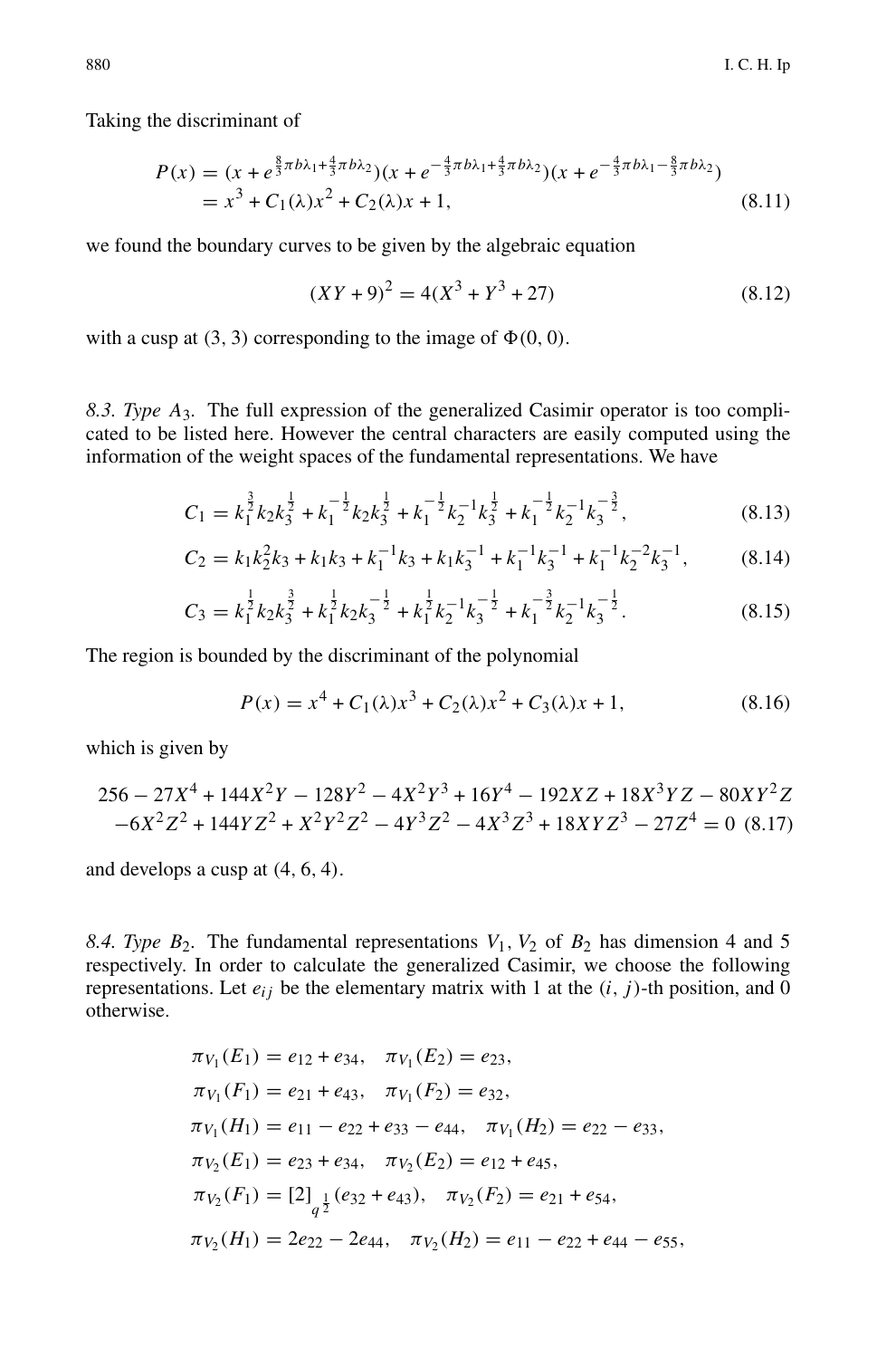Taking the discriminant of

$$
P(x) = (x + e^{\frac{8}{3}\pi b\lambda_1 + \frac{4}{3}\pi b\lambda_2})(x + e^{-\frac{4}{3}\pi b\lambda_1 + \frac{4}{3}\pi b\lambda_2})(x + e^{-\frac{4}{3}\pi b\lambda_1 - \frac{8}{3}\pi b\lambda_2})
$$
  
=  $x^3 + C_1(\lambda)x^2 + C_2(\lambda)x + 1,$  (8.11)

we found the boundary curves to be given by the algebraic equation

$$
(XY+9)2 = 4(X3 + Y3 + 27)
$$
 (8.12)

with a cusp at  $(3, 3)$  corresponding to the image of  $\Phi(0, 0)$ .

<span id="page-23-0"></span>*8.3. Type A*3*.* The full expression of the generalized Casimir operator is too complicated to be listed here. However the central characters are easily computed using the information of the weight spaces of the fundamental representations. We have

$$
C_1 = k_1^{\frac{3}{2}} k_2 k_3^{\frac{1}{2}} + k_1^{-\frac{1}{2}} k_2 k_3^{\frac{1}{2}} + k_1^{-\frac{1}{2}} k_2^{-1} k_3^{\frac{1}{2}} + k_1^{-\frac{1}{2}} k_2^{-1} k_3^{-\frac{3}{2}},
$$
\n(8.13)

$$
C_2 = k_1 k_2^2 k_3 + k_1 k_3 + k_1^{-1} k_3 + k_1 k_3^{-1} + k_1^{-1} k_3^{-1} + k_1^{-1} k_2^{-2} k_3^{-1},
$$
 (8.14)

$$
C_3 = k_1^{\frac{1}{2}} k_2 k_3^{\frac{3}{2}} + k_1^{\frac{1}{2}} k_2 k_3^{-\frac{1}{2}} + k_1^{\frac{1}{2}} k_2^{-1} k_3^{-\frac{1}{2}} + k_1^{-\frac{3}{2}} k_2^{-1} k_3^{-\frac{1}{2}}.
$$
 (8.15)

The region is bounded by the discriminant of the polynomial

$$
P(x) = x4 + C1(\lambda)x3 + C2(\lambda)x2 + C3(\lambda)x + 1,
$$
 (8.16)

which is given by

$$
256 - 27X^4 + 144X^2Y - 128Y^2 - 4X^2Y^3 + 16Y^4 - 192XZ + 18X^3YZ - 80XY^2Z - 6X^2Z^2 + 144YZ^2 + X^2Y^2Z^2 - 4Y^3Z^2 - 4X^3Z^3 + 18XYZ^3 - 27Z^4 = 0
$$
 (8.17)

and develops a cusp at (4, 6, 4).

<span id="page-23-1"></span>8.4. Type  $B_2$ . The fundamental representations  $V_1$ ,  $V_2$  of  $B_2$  has dimension 4 and 5 respectively. In order to calculate the generalized Casimir, we choose the following representations. Let  $e_{ij}$  be the elementary matrix with 1 at the  $(i, j)$ -th position, and 0 otherwise.

$$
\pi_{V_1}(E_1) = e_{12} + e_{34}, \quad \pi_{V_1}(E_2) = e_{23},
$$
  
\n
$$
\pi_{V_1}(F_1) = e_{21} + e_{43}, \quad \pi_{V_1}(F_2) = e_{32},
$$
  
\n
$$
\pi_{V_1}(H_1) = e_{11} - e_{22} + e_{33} - e_{44}, \quad \pi_{V_1}(H_2) = e_{22} - e_{33},
$$
  
\n
$$
\pi_{V_2}(E_1) = e_{23} + e_{34}, \quad \pi_{V_2}(E_2) = e_{12} + e_{45},
$$
  
\n
$$
\pi_{V_2}(F_1) = [2]_{q^{\frac{1}{2}}}(e_{32} + e_{43}), \quad \pi_{V_2}(F_2) = e_{21} + e_{54},
$$
  
\n
$$
\pi_{V_2}(H_1) = 2e_{22} - 2e_{44}, \quad \pi_{V_2}(H_2) = e_{11} - e_{22} + e_{44} - e_{55},
$$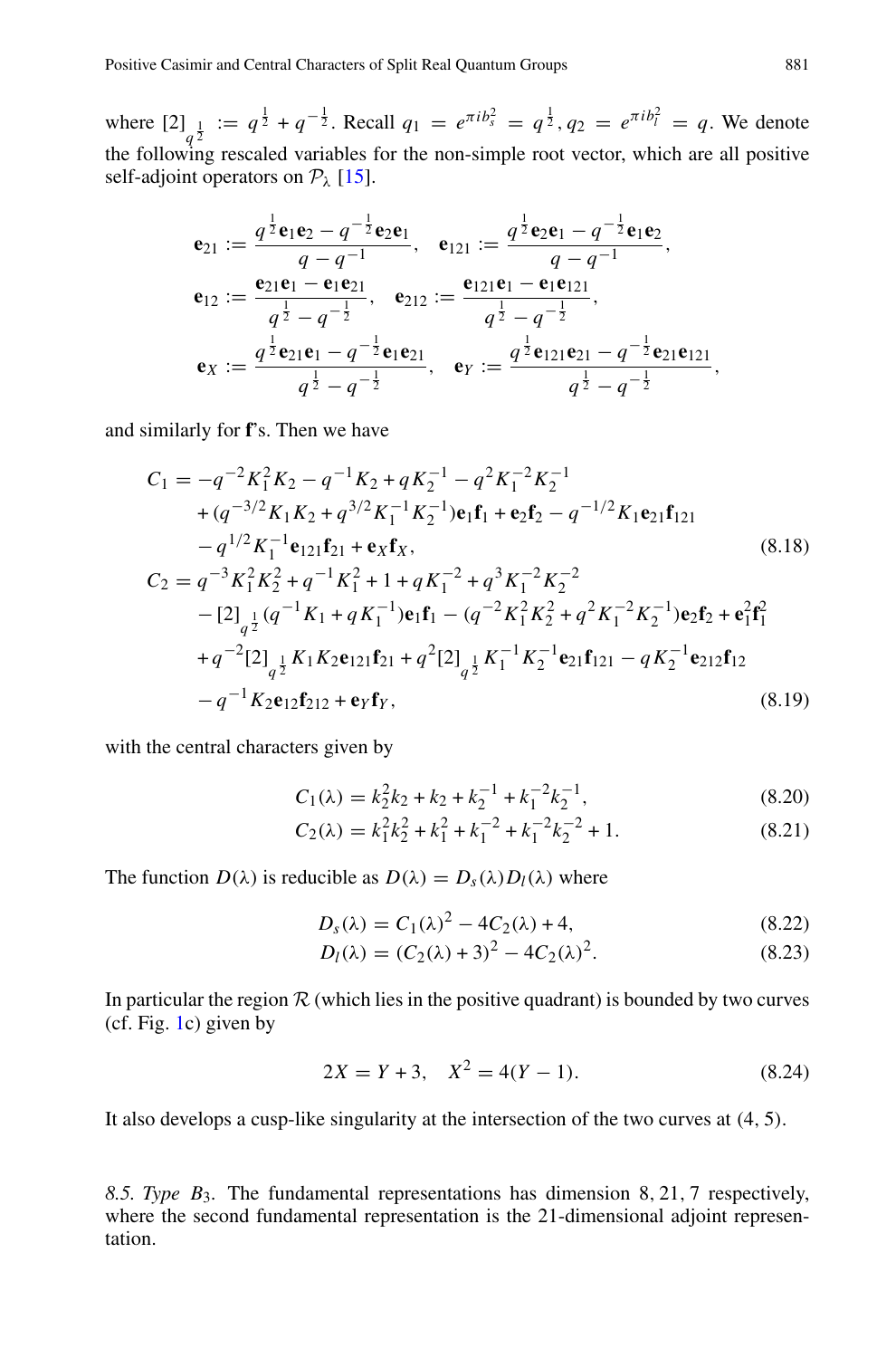where  $[2]_{q^{\frac{1}{2}}} := q^{\frac{1}{2}} + q^{-\frac{1}{2}}$ . Recall  $q_1 = e^{\pi i b_x^2} = q^{\frac{1}{2}}$ ,  $q_2 = e^{\pi i b_i^2} = q$ . We denote the following rescaled variables for the non-simple root vector, which are all positive self-adjoint operators on  $P_{\lambda}$  [\[15\]](#page-30-8).

$$
\mathbf{e}_{21} := \frac{q^{\frac{1}{2}} \mathbf{e}_1 \mathbf{e}_2 - q^{-\frac{1}{2}} \mathbf{e}_2 \mathbf{e}_1}{q - q^{-1}}, \quad \mathbf{e}_{121} := \frac{q^{\frac{1}{2}} \mathbf{e}_2 \mathbf{e}_1 - q^{-\frac{1}{2}} \mathbf{e}_1 \mathbf{e}_2}{q - q^{-1}},
$$
\n
$$
\mathbf{e}_{12} := \frac{\mathbf{e}_{21} \mathbf{e}_1 - \mathbf{e}_1 \mathbf{e}_{21}}{q^{\frac{1}{2}} - q^{-\frac{1}{2}}}, \quad \mathbf{e}_{212} := \frac{\mathbf{e}_{121} \mathbf{e}_1 - \mathbf{e}_1 \mathbf{e}_{121}}{q^{\frac{1}{2}} - q^{-\frac{1}{2}}},
$$
\n
$$
\mathbf{e}_X := \frac{q^{\frac{1}{2}} \mathbf{e}_{21} \mathbf{e}_1 - q^{-\frac{1}{2}} \mathbf{e}_1 \mathbf{e}_{21}}{q^{\frac{1}{2}} - q^{-\frac{1}{2}}}, \quad \mathbf{e}_Y := \frac{q^{\frac{1}{2}} \mathbf{e}_{121} \mathbf{e}_{21} - q^{-\frac{1}{2}} \mathbf{e}_{21} \mathbf{e}_{121}}{q^{\frac{1}{2}} - q^{-\frac{1}{2}}},
$$

and similarly for **f**'s. Then we have

$$
C_{1} = -q^{-2}K_{1}^{2}K_{2} - q^{-1}K_{2} + qK_{2}^{-1} - q^{2}K_{1}^{-2}K_{2}^{-1}
$$
  
+  $(q^{-3/2}K_{1}K_{2} + q^{3/2}K_{1}^{-1}K_{2}^{-1})\mathbf{e}_{1}\mathbf{f}_{1} + \mathbf{e}_{2}\mathbf{f}_{2} - q^{-1/2}K_{1}\mathbf{e}_{21}\mathbf{f}_{121}$   
-  $q^{1/2}K_{1}^{-1}\mathbf{e}_{121}\mathbf{f}_{21} + \mathbf{e}_{X}\mathbf{f}_{X},$   

$$
C_{2} = q^{-3}K_{1}^{2}K_{2}^{2} + q^{-1}K_{1}^{2} + 1 + qK_{1}^{-2} + q^{3}K_{1}^{-2}K_{2}^{-2}
$$
  
-  $[2]_{q^{\frac{1}{2}}}(q^{-1}K_{1} + qK_{1}^{-1})\mathbf{e}_{1}\mathbf{f}_{1} - (q^{-2}K_{1}^{2}K_{2}^{2} + q^{2}K_{1}^{-2}K_{2}^{-1})\mathbf{e}_{2}\mathbf{f}_{2} + \mathbf{e}_{1}^{2}\mathbf{f}_{1}^{2}$   
+  $q^{-2}[2]_{q^{\frac{1}{2}}}K_{1}K_{2}\mathbf{e}_{121}\mathbf{f}_{21} + q^{2}[2]_{q^{\frac{1}{2}}}K_{1}^{-1}K_{2}^{-1}\mathbf{e}_{21}\mathbf{f}_{121} - qK_{2}^{-1}\mathbf{e}_{212}\mathbf{f}_{12}$   
-  $q^{-1}K_{2}\mathbf{e}_{12}\mathbf{f}_{212} + \mathbf{e}_{Y}\mathbf{f}_{Y},$  (8.19)

with the central characters given by

$$
C_1(\lambda) = k_2^2 k_2 + k_2 + k_2^{-1} + k_1^{-2} k_2^{-1},
$$
\n(8.20)

$$
C_2(\lambda) = k_1^2 k_2^2 + k_1^2 + k_1^{-2} + k_1^{-2} k_2^{-2} + 1.
$$
 (8.21)

The function  $D(\lambda)$  is reducible as  $D(\lambda) = D_s(\lambda)D_l(\lambda)$  where

$$
D_s(\lambda) = C_1(\lambda)^2 - 4C_2(\lambda) + 4,\tag{8.22}
$$

$$
D_l(\lambda) = (C_2(\lambda) + 3)^2 - 4C_2(\lambda)^2.
$$
 (8.23)

In particular the region  $R$  (which lies in the positive quadrant) is bounded by two curves (cf. Fig. [1c](#page-25-0)) given by

$$
2X = Y + 3, \quad X^2 = 4(Y - 1). \tag{8.24}
$$

It also develops a cusp-like singularity at the intersection of the two curves at (4, 5).

<span id="page-24-0"></span>*8.5. Type B*3*.* The fundamental representations has dimension 8, 21, 7 respectively, where the second fundamental representation is the 21-dimensional adjoint representation.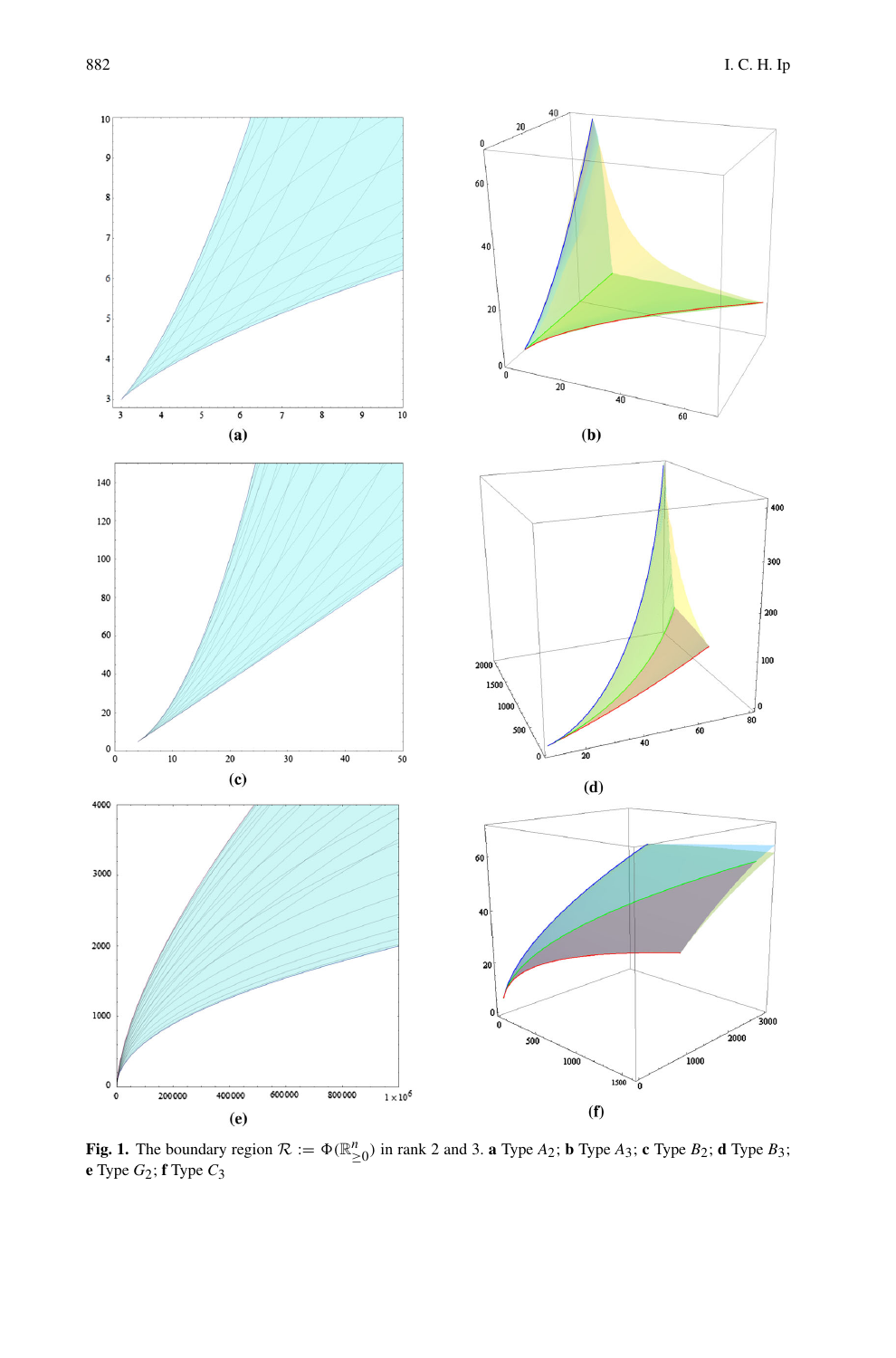

<span id="page-25-0"></span>**Fig. 1.** The boundary region  $\mathcal{R} := \Phi(\mathbb{R}^n_{\geq 0})$  in rank 2 and 3. **a** Type *A*<sub>2</sub>; **b** Type *A*<sub>3</sub>; **c** Type *B*<sub>2</sub>; **d** Type *B*<sub>3</sub>; **e** Type *G*2; **f** Type *C*3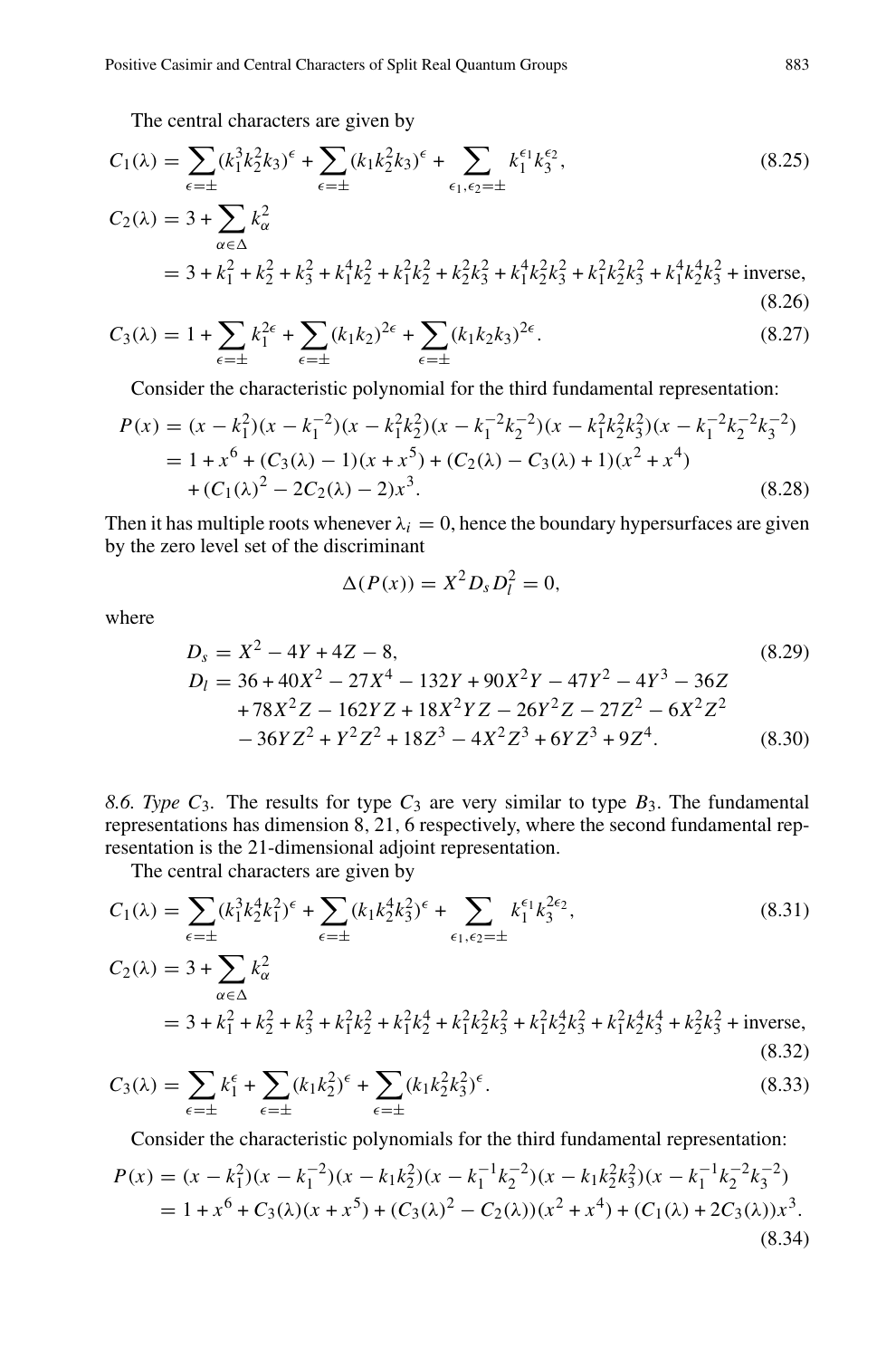The central characters are given by

Positive Casimir and Central Characteristics of Split Real Quantum Groups  
\nThe central characters are given by  
\n
$$
C_1(\lambda) = \sum_{\epsilon=\pm} (k_1^3 k_2^2 k_3)^{\epsilon} + \sum_{\epsilon=\pm} (k_1 k_2^2 k_3)^{\epsilon} + \sum_{\epsilon_1, \epsilon_2 = \pm} k_1^{\epsilon_1} k_3^{\epsilon_2},
$$
\n(8.25)  
\n
$$
C_2(\lambda) = 3 + \sum_{\alpha \in \Delta} k_{\alpha}^2
$$
\n
$$
= 3 + k_1^2 + k_2^2 + k_3^2 + k_1^4 k_2^2 + k_1^2 k_2^2 + k_2^2 k_3^2 + k_1^4 k_2^2 k_3^2 + k_1^2 k_2^2 k_3^2 + k_1^4 k_2^4 k_3^2 + \text{inverse},
$$
\n(8.26)  
\n
$$
C_3(\lambda) = 1 + \sum_{\alpha \in \Delta} k_1^{2\epsilon} + \sum_{\alpha \in \Delta} (k_1 k_2)^{2\epsilon} + \sum_{\alpha \in \Delta} (k_1 k_2 k_3)^{2\epsilon}.
$$

$$
C_3(\lambda) = 1 + \sum_{\epsilon = \pm} k_1^{2\epsilon} + \sum_{\epsilon = \pm} (k_1 k_2)^{2\epsilon} + \sum_{\epsilon = \pm} (k_1 k_2 k_3)^{2\epsilon}.
$$
 (8.27)

Consider the characteristic polynomial for the third fundamental representation:

$$
P(x) = (x - k_1^2)(x - k_1^{-2})(x - k_1^2 k_2^2)(x - k_1^{-2} k_2^{-2})(x - k_1^2 k_2^2 k_3^2)(x - k_1^{-2} k_2^{-2} k_3^{-2})
$$
  
= 1 + x<sup>6</sup> + (C<sub>3</sub>(\lambda) - 1)(x + x<sup>5</sup>) + (C<sub>2</sub>(\lambda) - C<sub>3</sub>(\lambda) + 1)(x<sup>2</sup> + x<sup>4</sup>)  
+ (C<sub>1</sub>(\lambda)<sup>2</sup> - 2C<sub>2</sub>(\lambda) - 2)x<sup>3</sup>. (8.28)

Then it has multiple roots whenever  $\lambda_i = 0$ , hence the boundary hypersurfaces are given by the zero level set of the discriminant

$$
\Delta(P(x)) = X^2 D_s D_l^2 = 0,
$$

where

$$
D_s = X^2 - 4Y + 4Z - 8,
$$
\n
$$
D_l = 36 + 40X^2 - 27X^4 - 132Y + 90X^2Y - 47Y^2 - 4Y^3 - 36Z
$$
\n
$$
+ 78X^2Z - 162YZ + 18X^2YZ - 26Y^2Z - 27Z^2 - 6X^2Z^2
$$
\n
$$
- 36YZ^2 + Y^2Z^2 + 18Z^3 - 4X^2Z^3 + 6YZ^3 + 9Z^4.
$$
\n(8.30)

<span id="page-26-0"></span>8.6. Type  $C_3$ . The results for type  $C_3$  are very similar to type  $B_3$ . The fundamental representations has dimension 8, 21, 6 respectively, where the second fundamental rep-8.6. *Type C*<sub>3</sub>. The results for type *C*<sub>3</sub> are very representations has dimension 8, 21, 6 respectives resentation is the 21-dimensional adjoint representation is the 21-dimensional adjoint representation is the 21-dim

The central characters are given by

resentation is the 21-dimensional adjoint representation.

\nThe central characters are given by

\n
$$
C_{1}(\lambda) = \sum_{\epsilon=\pm} (k_{1}^{3}k_{2}^{4}k_{1}^{2})^{\epsilon} + \sum_{\epsilon=\pm} (k_{1}k_{2}^{4}k_{3}^{2})^{\epsilon} + \sum_{\epsilon_{1},\epsilon_{2}=\pm} k_{1}^{\epsilon_{1}}k_{3}^{2\epsilon_{2}},
$$
\n(8.31)

\n
$$
C_{2}(\lambda) = 3 + \sum_{\alpha \in \Delta} k_{\alpha}^{2}
$$
\n
$$
= 3 + k_{1}^{2} + k_{2}^{2} + k_{3}^{2} + k_{1}^{2}k_{2}^{2} + k_{1}^{2}k_{2}^{4} + k_{1}^{2}k_{2}^{2}k_{3}^{2} + k_{1}^{2}k_{2}^{4}k_{3}^{2} + k_{1}^{2}k_{2}^{4}k_{3}^{4} + k_{2}^{2}k_{3}^{2} + \text{inverse},
$$
\n(8.32)

\n
$$
C_{3}(\lambda) = \sum_{\alpha \in \Delta} k_{1}^{\epsilon} + \sum_{\alpha \in \Delta} (k_{1}k_{2}^{\lambda})^{\epsilon} + \sum_{\alpha \in \Delta} (k_{1}k_{2}^{2}k_{3}^{\lambda})^{\epsilon}.
$$

$$
C_3(\lambda) = \sum_{\epsilon = \pm} k_1^{\epsilon} + \sum_{\epsilon = \pm} (k_1 k_2^2)^{\epsilon} + \sum_{\epsilon = \pm} (k_1 k_2^2 k_3^2)^{\epsilon}.
$$
 (8.33)

Consider the characteristic polynomials for the third fundamental representation:  $P(x) = (x - k_1^2)(x - k_1^{-2})(x - k_1k_2^2)(x - k_1^{-1}k_2^{-2})(x - k_1k_2^2k_3^2)(x - k_1^{-1}k_2^{-2}k_3^{-2})$  $= 1 + x^6 + C_3(\lambda)(x + x^5) + (C_3(\lambda)^2 - C_2(\lambda))(x^2 + x^4) + (C_1(\lambda) + 2C_3(\lambda))x^3.$ (8.34)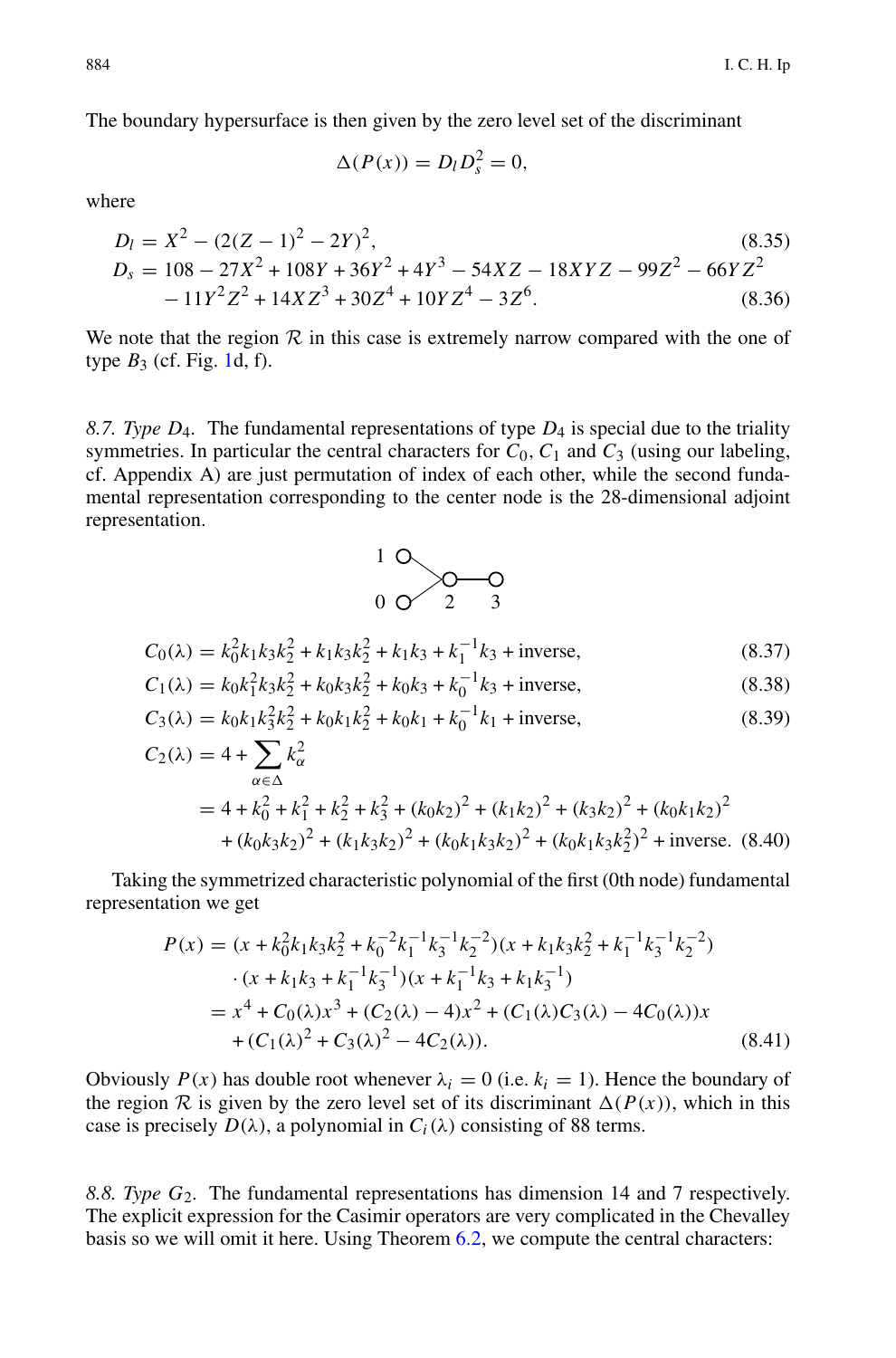The boundary hypersurface is then given by the zero level set of the discriminant

$$
\Delta(P(x)) = D_l D_s^2 = 0,
$$

where

$$
D_l = X^2 - (2(Z - 1)^2 - 2Y)^2,
$$
\n
$$
D_s = 108 - 27X^2 + 108Y + 36Y^2 + 4Y^3 - 54XZ - 18XYZ - 99Z^2 - 66YZ^2 - 11Y^2Z^2 + 14XZ^3 + 30Z^4 + 10YZ^4 - 3Z^6.
$$
\n(8.36)

We note that the region  $R$  in this case is extremely narrow compared with the one of type  $B_3$  (cf. Fig. [1d](#page-25-0), f).

<span id="page-27-0"></span>*8.7. Type D*4*.* The fundamental representations of type *D*<sup>4</sup> is special due to the triality symmetries. In particular the central characters for  $C_0$ ,  $C_1$  and  $C_3$  (using our labeling, cf. Appendix A) are just permutation of index of each other, while the second fundamental representation corresponding to the center node is the 28-dimensional adjoint representation.



$$
C_0(\lambda) = k_0^2 k_1 k_3 k_2^2 + k_1 k_3 k_2^2 + k_1 k_3 + k_1^{-1} k_3 + \text{inverse},\tag{8.37}
$$

$$
C_1(\lambda) = k_0 k_1^2 k_3 k_2^2 + k_0 k_3 k_2^2 + k_0 k_3 + k_0^{-1} k_3 + \text{inverse},\tag{8.38}
$$

$$
C_0(\lambda) = k_0^2 k_1 k_3 k_2^2 + k_1 k_3 k_2^2 + k_1 k_3 + k_1^{-1} k_3 + \text{inverse},
$$
\n(8.37)  
\n
$$
C_1(\lambda) = k_0 k_1^2 k_3 k_2^2 + k_0 k_3 k_2^2 + k_0 k_3 + k_0^{-1} k_3 + \text{inverse},
$$
\n(8.38)  
\n
$$
C_3(\lambda) = k_0 k_1 k_3^2 k_2^2 + k_0 k_1 k_2^2 + k_0 k_1 + k_0^{-1} k_1 + \text{inverse},
$$
\n(8.39)  
\n
$$
C_2(\lambda) = 4 + \sum_k k_\alpha^2
$$

$$
2(\lambda) = 4 + \sum_{\alpha \in \Delta} k_{\alpha}^{2}
$$
  
= 4 + k\_{0}^{2} + k\_{1}^{2} + k\_{2}^{2} + k\_{3}^{2} + (k\_{0}k\_{2})^{2} + (k\_{1}k\_{2})^{2} + (k\_{3}k\_{2})^{2} + (k\_{0}k\_{1}k\_{2})^{2}  
+ (k\_{0}k\_{3}k\_{2})^{2} + (k\_{1}k\_{3}k\_{2})^{2} + (k\_{0}k\_{1}k\_{3}k\_{2})^{2} + (k\_{0}k\_{1}k\_{3}k\_{2}^{2})^{2} + \text{inverse.} (8.40)

Taking the symmetrized characteristic polynomial of the first (0th node) fundamental representation we get

$$
P(x) = (x + k_0^2 k_1 k_3 k_2^2 + k_0^{-2} k_1^{-1} k_3^{-1} k_2^{-2}) (x + k_1 k_3 k_2^2 + k_1^{-1} k_3^{-1} k_2^{-2})
$$
  
\n
$$
\cdot (x + k_1 k_3 + k_1^{-1} k_3^{-1}) (x + k_1^{-1} k_3 + k_1 k_3^{-1})
$$
  
\n
$$
= x^4 + C_0(\lambda) x^3 + (C_2(\lambda) - 4) x^2 + (C_1(\lambda) C_3(\lambda) - 4C_0(\lambda)) x
$$
  
\n
$$
+ (C_1(\lambda)^2 + C_3(\lambda)^2 - 4C_2(\lambda)).
$$
\n(8.41)

Obviously  $P(x)$  has double root whenever  $\lambda_i = 0$  (i.e.  $k_i = 1$ ). Hence the boundary of the region  $R$  is given by the zero level set of its discriminant  $\Delta(P(x))$ , which in this case is precisely  $D(\lambda)$ , a polynomial in  $C_i(\lambda)$  consisting of 88 terms.

<span id="page-27-1"></span>*8.8. Type G*2*.* The fundamental representations has dimension 14 and 7 respectively. The explicit expression for the Casimir operators are very complicated in the Chevalley basis so we will omit it here. Using Theorem [6.2,](#page-19-0) we compute the central characters: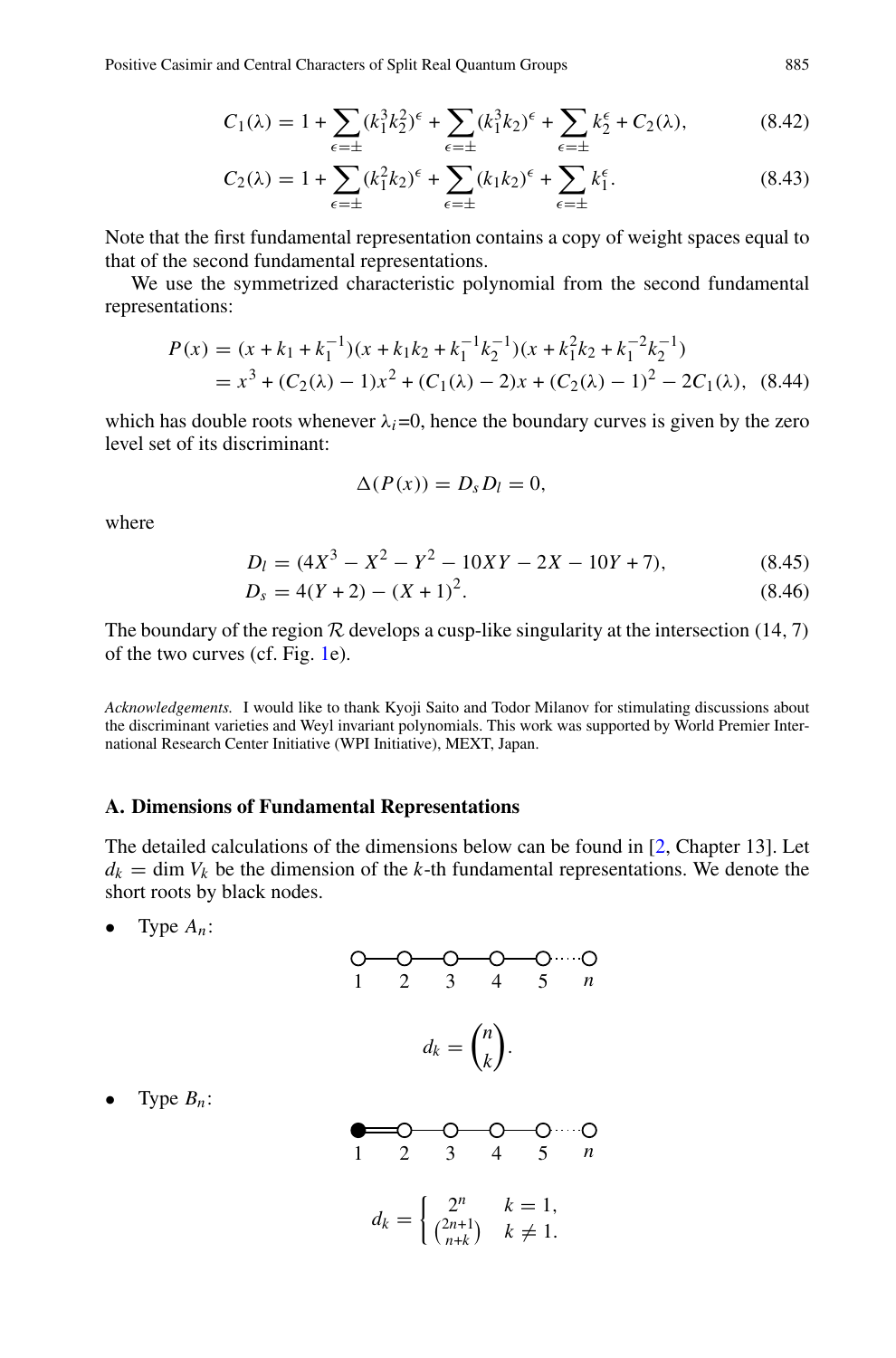Positive Casimir and Central Characters of Split Real Quantum Groups 885

and Central Characteristics of Split Real Quantum Groups  
\n
$$
C_1(\lambda) = 1 + \sum_{\epsilon=\pm} (k_1^3 k_2^2)^{\epsilon} + \sum_{\epsilon=\pm} (k_1^3 k_2)^{\epsilon} + \sum_{\epsilon=\pm} k_2^{\epsilon} + C_2(\lambda),
$$
\n(8.42)  
\n
$$
C_2(\lambda) = 1 + \sum_{\epsilon=1} (k_1^2 k_2)^{\epsilon} + \sum_{\epsilon=1} (k_1 k_2)^{\epsilon} + \sum_{\epsilon=1} k_1^{\epsilon}.
$$

$$
C_2(\lambda) = 1 + \sum_{\epsilon=\pm} (k_1^2 k_2)^{\epsilon} + \sum_{\epsilon=\pm} (k_1 k_2)^{\epsilon} + \sum_{\epsilon=\pm} k_1^{\epsilon}.
$$
 (8.43)

Note that the first fundamental representation contains a copy of weight spaces equal to that of the second fundamental representations.

We use the symmetrized characteristic polynomial from the second fundamental representations:

$$
P(x) = (x + k_1 + k_1^{-1})(x + k_1k_2 + k_1^{-1}k_2^{-1})(x + k_1^2k_2 + k_1^{-2}k_2^{-1})
$$
  
=  $x^3 + (C_2(\lambda) - 1)x^2 + (C_1(\lambda) - 2)x + (C_2(\lambda) - 1)^2 - 2C_1(\lambda)$ , (8.44)

which has double roots whenever  $\lambda_i=0$ , hence the boundary curves is given by the zero level set of its discriminant:

$$
\Delta(P(x))=D_sD_l=0,
$$

where

$$
D_l = (4X^3 - X^2 - Y^2 - 10XY - 2X - 10Y + 7),
$$
\n(8.45)

$$
D_s = 4(Y+2) - (X+1)^2.
$$
\n(8.46)

The boundary of the region  $R$  develops a cusp-like singularity at the intersection (14, 7) of the two curves (cf. Fig. [1e](#page-25-0)).

*Acknowledgements.* I would like to thank Kyoji Saito and Todor Milanov for stimulating discussions about the discriminant varieties and Weyl invariant polynomials. This work was supported by World Premier International Research Center Initiative (WPI Initiative), MEXT, Japan.

# <span id="page-28-0"></span>**A. Dimensions of Fundamental Representations**

The detailed calculations of the dimensions below can be found in [\[2,](#page-30-16) Chapter 13]. Let  $d_k = \dim V_k$  be the dimension of the *k*-th fundamental representations. We denote the short roots by black nodes.

• Type  $A_n$ :

1234 5 *n n dk* = . *k* 

Type  $B_n$ :

$$
\begin{array}{cccc}\n0 & 0 & 0 & 0 & \dots & 0 \\
1 & 2 & 3 & 4 & 5 & n \\
d_k = \begin{cases}\n2^n & k = 1, \\
\binom{2n+1}{n+k} & k \neq 1.\n\end{cases}\n\end{array}
$$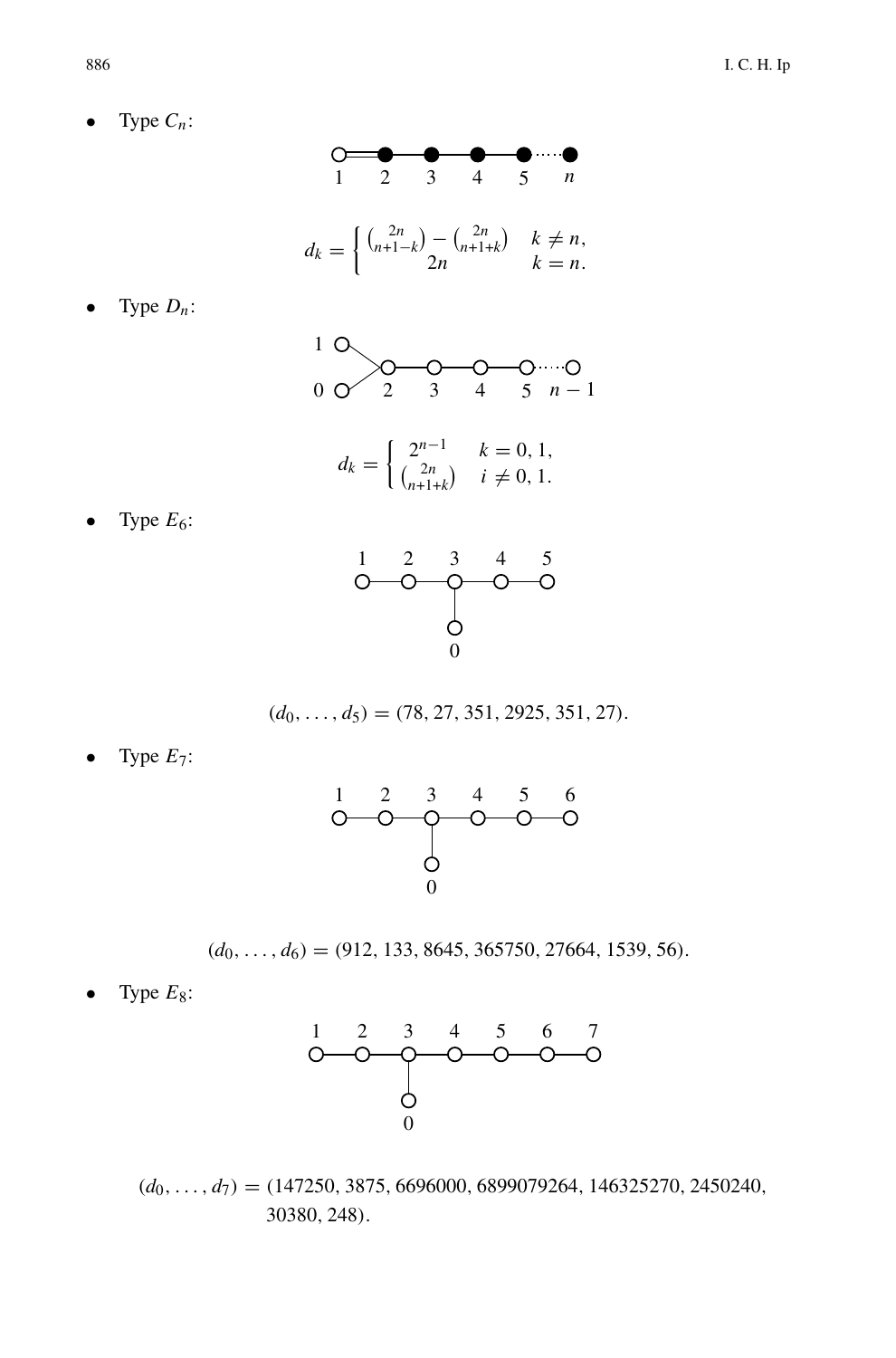Type  $C_n$ :



• Type *Dn*:

Type  $E_6$ :



$$
d_k = \begin{cases} 2^{n-1} & k = 0, 1, \\ \binom{2n}{n+1+k} & i \neq 0, 1. \end{cases}
$$



$$
(d_0, \ldots, d_5) = (78, 27, 351, 2925, 351, 27).
$$

• Type *E*7:



 $(d_0, \ldots, d_6) = (912, 133, 8645, 365750, 27664, 1539, 56).$ 

• Type  $E_8$ :



 $(d_0, \ldots, d_7) = (147250, 3875, 6696000, 6899079264, 146325270, 2450240,$ 30380, 248).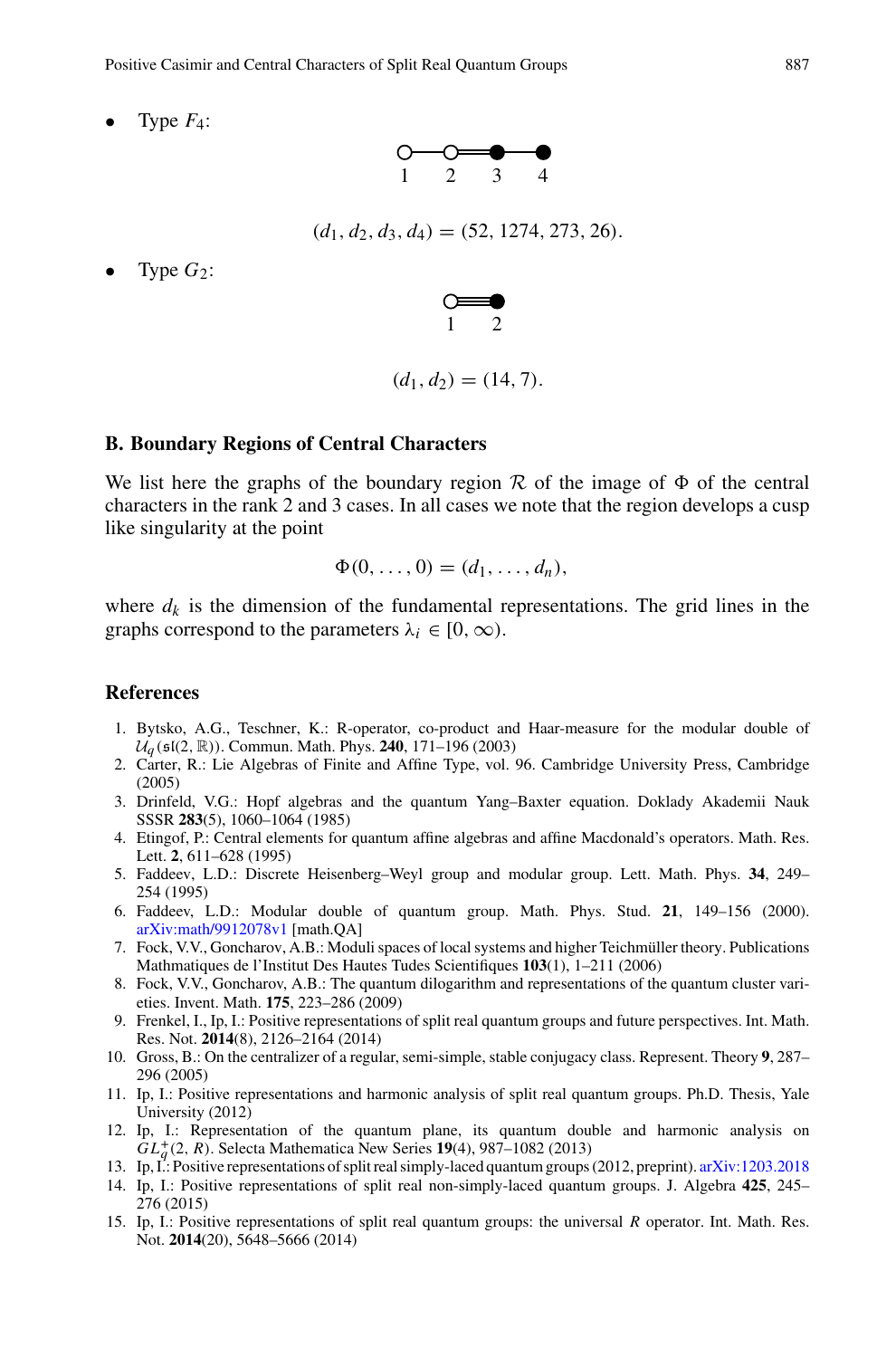• Type *F*4:



 $(d_1, d_2, d_3, d_4) = (52, 1274, 273, 26).$ 

Type  $G_2$ :



$$
(d_1, d_2) = (14, 7).
$$

# <span id="page-30-0"></span>**B. Boundary Regions of Central Characters**

We list here the graphs of the boundary region  $\mathcal R$  of the image of  $\Phi$  of the central characters in the rank 2 and 3 cases. In all cases we note that the region develops a cusp like singularity at the point

$$
\Phi(0,\ldots,0)=(d_1,\ldots,d_n),
$$

where  $d_k$  is the dimension of the fundamental representations. The grid lines in the graphs correspond to the parameters  $\lambda_i \in [0, \infty)$ .

# <span id="page-30-5"></span><span id="page-30-1"></span>**References**

- 1. Bytsko, A.G., Teschner, K.: R-operator, co-product and Haar-measure for the modular double of  $U_q$  ( $\mathfrak{sl}(2,\mathbb{R})$ ). Commun. Math. Phys. **240**, 171–196 (2003)
- <span id="page-30-16"></span>2. Carter, R.: Lie Algebras of Finite and Affine Type, vol. 96. Cambridge University Press, Cambridge (2005)
- <span id="page-30-13"></span>3. Drinfeld, V.G.: Hopf algebras and the quantum Yang–Baxter equation. Doklady Akademii Nauk SSSR **283**(5), 1060–1064 (1985)
- <span id="page-30-11"></span>4. Etingof, P.: Central elements for quantum affine algebras and affine Macdonald's operators. Math. Res. Lett. **2**, 611–628 (1995)
- <span id="page-30-3"></span>5. Faddeev, L.D.: Discrete Heisenberg–Weyl group and modular group. Lett. Math. Phys. **34**, 249– 254 (1995)
- <span id="page-30-4"></span>6. Faddeev, L.D.: Modular double of quantum group. Math. Phys. Stud. **21**, 149–156 (2000). [arXiv:math/9912078v1](http://arxiv.org/abs/math/9912078v1) [math.QA]
- <span id="page-30-9"></span>7. Fock, V.V., Goncharov, A.B.: Moduli spaces of local systems and higher Teichmüller theory. Publications Mathmatiques de l'Institut Des Hautes Tudes Scientifiques **103**(1), 1–211 (2006)
- <span id="page-30-10"></span>8. Fock, V.V., Goncharov, A.B.: The quantum dilogarithm and representations of the quantum cluster varieties. Invent. Math. **175**, 223–286 (2009)
- <span id="page-30-2"></span>9. Frenkel, I., Ip, I.: Positive representations of split real quantum groups and future perspectives. Int. Math. Res. Not. **2014**(8), 2126–2164 (2014)
- <span id="page-30-12"></span>10. Gross, B.: On the centralizer of a regular, semi-simple, stable conjugacy class. Represent. Theory **9**, 287– 296 (2005)
- <span id="page-30-15"></span>11. Ip, I.: Positive representations and harmonic analysis of split real quantum groups. Ph.D. Thesis, Yale University (2012)
- <span id="page-30-14"></span>12. Ip, I.: Representation of the quantum plane, its quantum double and harmonic analysis on *GL*<sup>+</sup>  $^+_0(2, R)$ . Selecta Mathematica New Series 19(4), 987–1082 (2013)
- <span id="page-30-6"></span>13. Ip, I.: Positive representations of split real simply-laced quantum groups (2012, preprint). [arXiv:1203.2018](http://arxiv.org/abs/1203.2018)
- <span id="page-30-7"></span>14. Ip, I.: Positive representations of split real non-simply-laced quantum groups. J. Algebra **425**, 245– 276 (2015)
- <span id="page-30-8"></span>15. Ip, I.: Positive representations of split real quantum groups: the universal *R* operator. Int. Math. Res. Not. **2014**(20), 5648–5666 (2014)